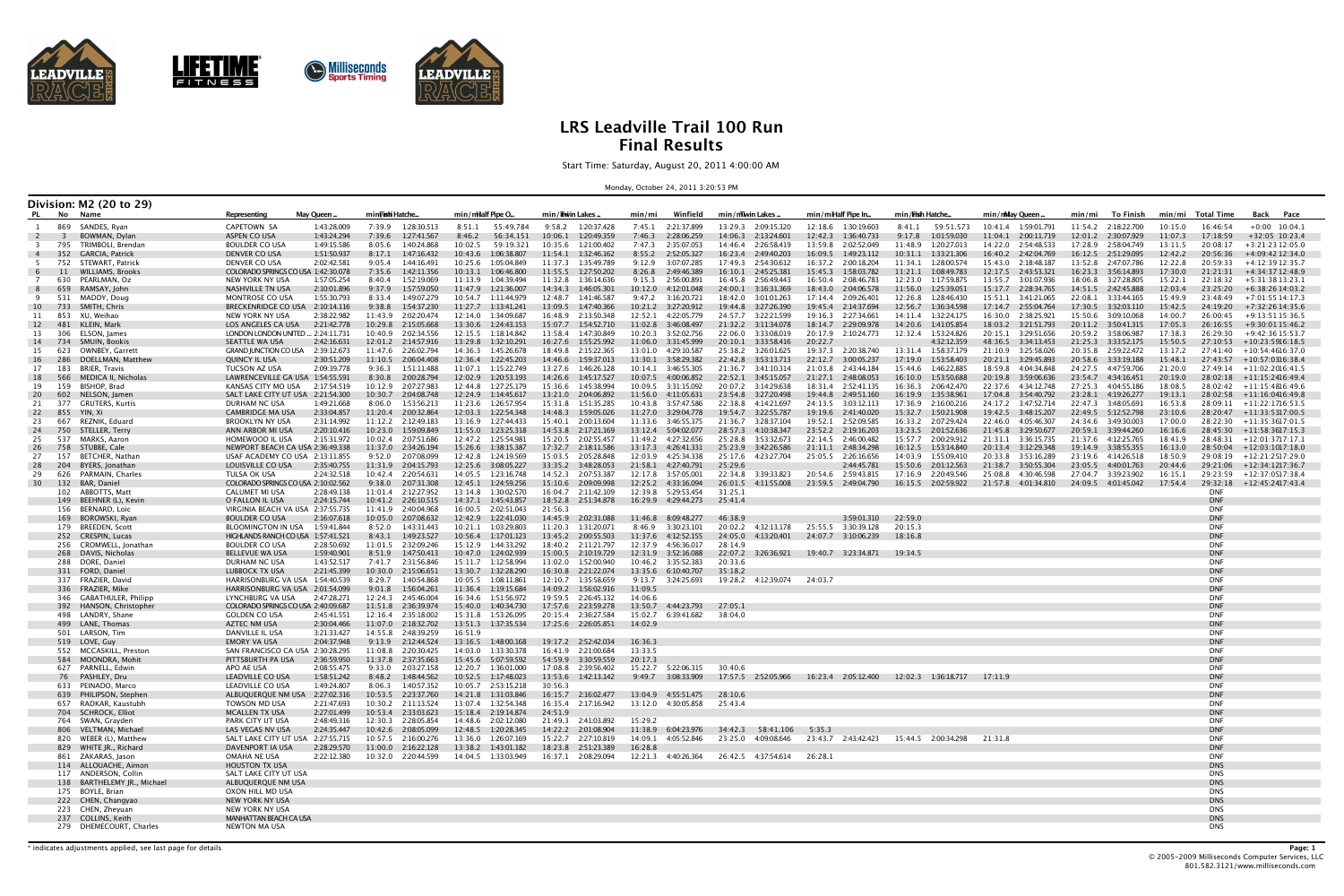



**Communist Sports Timing** 



# **LRS Leadville Trail 100 Run Final Results**

Start Time: Saturday, August 20, 2011 4:00:00 AM

Monday, October 24, 2011 3:20:53 PM

|                       |                         | Division: M2 (20 to 29)                          |                                                             |                            |                                                |                                                  |                                                  |                                                  |                                            |                                                                     |                                                 |                                               |                                            |                                            |                                                          |
|-----------------------|-------------------------|--------------------------------------------------|-------------------------------------------------------------|----------------------------|------------------------------------------------|--------------------------------------------------|--------------------------------------------------|--------------------------------------------------|--------------------------------------------|---------------------------------------------------------------------|-------------------------------------------------|-----------------------------------------------|--------------------------------------------|--------------------------------------------|----------------------------------------------------------|
| PL                    | No Name                 |                                                  | Representing                                                | May Queen.                 | min <b>Fish</b> i Hatche                       | min/milalf Pipe O                                | min/imvin Lakes .                                | Winfield<br>min/mi                               | min/mwin Lakes                             | min/miHalf Pipe In                                                  | min/ <b>Fish</b> Hatche                         | min/mMay Queen.                               | min/mi<br>To Finish                        | min/mi<br>Total Time                       | Back Pace                                                |
|                       |                         | 869 SANDES, Ryan                                 | CAPETOWN SA                                                 | 1:43:28.009                | 7:39.9 1:28:30.513                             |                                                  | 9:58.2 1:20:37.428                               | 7:45.1 2:21:37.899                               | 13:29.3 2:09:15.320                        | 12:18.6 1:30:19.603                                                 | 8:41.1    59:51.573                             | 10:41.4 1:59:01.791                           | 11:54.2 2:18:22.700                        | 10:15.0<br>16:46:54                        | $+0:00$ 10:04.1                                          |
| $\overline{2}$        | $\overline{\mathbf{3}}$ | BOWMAN, Dylan                                    | ASPEN CO USA                                                | 1:43:24.294                | 7:39.6<br>1:27:41.567                          | 8:46.2<br>56:34.151                              | 10:06.1<br>1:20:49.359                           | 7:46.3<br>2:28:06.259                            | 14:06.3  2:13:24.601                       | 12:42.3<br>1:36:40.733                                              | 9:17.8 1:01:59.030                              | 2:00:11.719<br>11:04.1                        | 12:01.2<br>2:30:07.929                     | 17:18:59<br>11:07.3                        | $+32:05$ 10:23.4                                         |
| -4                    | 795<br>352              | TRIMBOLI, Brendan<br>GARCIA, Patrick             | <b>BOULDER CO USA</b><br>DENVER CO USA                      | 1:49:15.586<br>1:51:50.937 | 8:05.6<br>1:40:24.868<br>8:17.1<br>1:47:16.432 | 10:02.5<br>59:19.321<br>10:43.6<br>1:06:38.807   | 10:35.6<br>1:21:00.402<br>11:54.1<br>1:32:46.162 | 7:47.3<br>2:35:07.053<br>8:55.2<br>2:52:05.327   | 14:46.4 2:26:58.419<br>16:23.4 2:49:40.203 | 13:59.8 2:02:52.049<br>16:09.5 1:49:23.112                          | 11:48.9 1:20:27.013<br>10:31.1  1:33:21.306     | 14:22.0 2:54:48.533<br>16:40.2  2:42:04.769   | 17:28.9 2:58:04.749<br>16:12.5 2:51:29.095 | 13:11.5<br>20:08:17<br>12:42.2<br>20:56:36 | $+3:21:2312:05.0$<br>+4:09:42 12:34.0                    |
| - 5                   |                         | 752 STEWART, Patrick                             | DENVER CO USA                                               | 2:02:42.581                | 9:05.4<br>1:44:16.491                          | 10:25.6<br>1:05:04.849                           | 11:37.3  1:35:49.789                             | 9:12.9<br>3:07:07.285                            | 17:49.3 2:54:30.612                        | 16:37.2 2:00:18.204                                                 | 11:34.1  1:28:00.574                            | 15:43.0 2:18:48.187                           | 13:52.8 2:47:07.786                        | 12:22.8<br>20:59:33                        | $+4:12:3912:35.7$                                        |
| -6                    | 11                      | <b>WILLIAMS, Brooks</b>                          | COLORADO SPRINGS CO USA 1:42:30.078                         |                            | 7:35.6<br>1:42:11.356                          | 10:13.1<br>1:06:46.800                           | 11:55.5   1:27:50.202                            | 8:26.8<br>2:49:46.389                            | 16:10.1 2:45:25.381                        | 15:45.3  1:58:03.782                                                | 11:21.1 1:08:49.783                             | 12:17.5 2:43:53.321                           | 16:23.3 3:56:14.893                        | 17:30.0<br>21:21:31                        | +4:34:37 12:48.9                                         |
| 7                     | 630                     | PEARLMAN, Oz                                     | NEW YORK NY USA                                             | 1:57:05.254                | 8:40.4<br>1:52:19.069                          | 11:13.9<br>1:04:39.494                           | 11:32.8  1:36:14.636                             | 9:15.3<br>2:56:00.891                            | 16:45.8 2:56:49.443                        | 16:50.4 2:08:46.783                                                 | 12:23.0 1:17:59.875                             | 13:55.7 3:01:07.936                           | 18:06.8 3:27:28.805                        | 22:18:32<br>15:22.1                        | +5:31:3813:23.1                                          |
| 8<br>-9               | 531                     | 659 RAMSAY, John<br>MADDY, Doug                  | NASHVILLE TN USA<br>MONTROSE CO USA                         | 2:10:01.896<br>1:55:30.793 | 9:37.9<br>1:57:59.050<br>8:33.4<br>1:49:07.279 | 11:47.9<br>1:21:36.007<br>10:54.7<br>1:11:44.979 | 14:34.3  1:46:05.301<br>12:48.7<br>1:41:46.587   | 10:12.0  4:12:01.048<br>9:47.2<br>3:16:20.721    | 24:00.1 3:16:31.369<br>18:42.0 3:01:01.263 | 18:43.0 2:04:06.578<br>17:14.4 2:09:26.401                          | 11:56.0 1:25:39.051<br>12:26.8  1:28:46.430     | 15:17.7 2:28:34.765                           | 14:51.5 2:42:45.888<br>22:08.1 3:33:44.165 | 12:03.4<br>23:25:20<br>15:49.9<br>23:48:49 | +6:38:26 14:03.2<br>+7:01:55 14:17.3                     |
| 10                    | 733                     | SMITH, Chris                                     | <b>BRECKENRIDGE CO USA</b>                                  | 2:10:14.116                | 9:38.8<br>1:54:37.230                          | 11:27.7<br>1:13:41.241                           | 13:09.5<br>1:47:40.366                           |                                                  | 19:44.8 3:27:26.390                        | 19:45.4 2:14:37.694                                                 | 12:56.7  1:36:34.598                            | 17:14.7 2:55:04.764                           | 17:30.5  3:32:03.110                       | 15:42.5<br>24:19:20                        | $+7:32:2614:35.6$                                        |
| 11                    |                         | 853 XU, Weihao                                   | NEW YORK NY USA                                             | 2:38:22.982                | 11:43.9 2:02:20.474                            | 12:14.0<br>1:34:09.687                           | 16:48.9 2:13:50.348                              | 12:52.1 4:22:05.779                              | 24:57.7 3:22:21.599                        | 19:16.3 2:27:34.661                                                 | 14:11.4  1:32:24.175                            | 16:30.0 2:38:25.921                           | 15:50.6 3:09:10.068                        | 14:00.7<br>26:00:45                        | +9:13:51 15:36.5                                         |
| 12                    | 481                     | KLEIN, Mark                                      | LOS ANGELES CA USA                                          | 2:21:42.778                | 10:29.8 2:15:05.668                            | 13:30.6<br>1:24:43.153                           | 15:07.7  1:54:52.710                             | 11:02.8  3:46:08.497                             |                                            | 18:14.7<br>2:29:09.978                                              | 14:20.6  1:41:05.854                            |                                               | 20:11.2<br>3:50:41.315                     | 17:05.3<br>26:16:55                        | $+9:30:0115:46.2$                                        |
| 13<br>14              | 306<br>- 734            | ELSON, James<br>SMUIN, Bookis                    | LONDON LONDON UNITED  2:24:11.731<br>SEATTLE WA USA         | 2:42:16.631                | 10:40.9 2:02:34.556<br>12:01.2 2:14:57.916     | 12:15.5  1:18:14.842<br>13:29.8<br>1:32:10.291   | 13:58.4 1:47:30.849<br>16:27.6 1:55:25.992       | 10:20.3 3:52:02.756<br>11:06.0 3:31:45.999       | 22:06.0 3:33:08.019<br>20:10.1 3:33:58.416 | 20:17.9 2:10:24.773<br>20:22.7                                      | 12:32.4   1:53:24.826<br>4:32:12.359            | 20:15.1 3:29:51.656<br>48:36.5 3:34:13.453    | 20:59.2 3:58:06.987<br>21:25.3 3:33:52.175 | 17:38.3<br>26:29:30<br>15:50.5             | +9:42:36 15:53.7<br>$27:10:53 + 10:23:5916:18.5$         |
| 15                    | 623                     | OWNBEY, Garrett                                  | <b>GRAND JUNCTION CO USA</b>                                | 2:39:12.673                | 11:47.6 2:26:02.794                            | 14:36.3<br>1:45:26.678                           | 18:49.8 2:15:22.365                              | 13:01.0 4:29:10.587                              | 25:38.2 3:26:01.625                        | 19:37.3 2:20:38.740                                                 | 13:31.4 1:58:37.179                             | 21:10.9 3:25:58.026                           | 20:35.8 2:59:22.472                        | 13:17.2<br>27:41:40                        | +10:54:4616:37.0                                         |
| 16                    | 286                     | DOELLMAN, Matthew                                | <b>QUINCY IL USA</b>                                        | 2:30:51.209                | 11:10.5  2:06:04.408                           | 12:36.4<br>1:22:45.203                           | 14:46.6 1:59:37.013                              |                                                  | 22:42.8 3:53:13.713                        | 22:12.7 3:00:05.237                                                 | 17:19.0  1:53:58.403                            | 20:21.1 3:29:45.893                           | 20:58.6 3:33:19.188                        | 15:48.1                                    | 27:43:57 +10:57:0316:38.4                                |
| 17                    | 183                     | BRIER, Travis                                    | TUCSON AZ USA                                               | 2:09:39.778                | 9:36.3<br>1:51:11.488                          | 11:07.1<br>1:15:22.749                           | 13:27.6<br>1:46:26.128                           | 10:14.1  3:46:55.305                             | 21:36.7 3:41:10.314                        | 21:03.8 2:43:44.184                                                 | 15:44.6 1:46:22.885                             | 18:59.8 4:04:34.848                           | 24:27.5 4:47:59.706                        | 21:20.0                                    | 27:49:14 +11:02:2016:41.5                                |
| 18<br>19              | 566<br>159              | MEDICA II, Nicholas<br>BISHOP, Brad              | LAWRENCEVILLE GA USA 1:54:55.591<br>KANSAS CITY MO USA      | 2:17:54.519                | 8:30.8<br>2:00:28.794<br>10:12.9 2:07:27.983   | 12:02.9<br>1:20:53.193<br>12:44.8<br>1:27:25.179 | 14:26.6 1:45:17.527<br>15:36.6 1:45:38.994       | 10:07.5  4:00:06.852<br>10:09.5 3:31:15.092      | 22:52.1 3:45:15.057<br>20:07.2 3:14:29.638 | 21:27.1 2:48:08.053<br>18:31.4 2:52:41.135                          | 16:10.0  1:53:50.688<br>16:36.3 2:06:42.470     | 20:19.8 3:59:06.636<br>22:37.6 4:34:12.748    | 23:54.7 4:34:16.451<br>27:25.3 4:04:55.186 | 20:19.0<br>18:08.5                         | $28:02:18$ +11:15:2416:49.4<br>28:02:42 +11:15:4816:49.6 |
| 20                    | 602                     | NELSON, Jamen                                    | SALT LAKE CITY UT USA 2:21:54.300                           |                            | 10:30.7 2:04:08.748                            | 12:24.9<br>1:14:45.617                           | 13:21.0<br>2:04:06.892                           | 11:56.0  4:11:05.631                             | 23:54.8 3:27:20.498                        | 19:44.8 2:49:51.160                                                 | 16:19.9  1:35:38.961                            | 17:04.8 3:54:40.792                           | 23:28.1<br>4:19:26.277                     | 19:13.1                                    | $28:02:58$ +11:16:0416:49.8                              |
| 21                    | 377                     | <b>GRUTERS, Kurtis</b>                           | DURHAM NC USA                                               | 1:49:21.668                | 8:06.0<br>1:53:56.213                          | 11:23.6<br>1:26:57.954                           | 15:31.8 1:51:35.285                              | 10:43.8<br>3:57:47.586                           | 22:38.8 4:14:21.697                        | 24:13.5 3:03:12.113                                                 | 17:36.9 2:16:00.216                             | 24:17.2 3:47:52.714                           | 22:47.3<br>3:48:05.691                     | 16:53.8<br>28:09:11                        | $+11:22:1716:53.5$                                       |
| 22                    | 855                     | YIN, Xi                                          | <b>CAMBRIDGE MA USA</b>                                     | 2:33:04.857                | 11:20.4 2:00:32.864                            | 12:03.3<br>1:22:54.348                           | 14:48.3<br>1:59:05.026                           | 11:27.0 3:29:04.778                              | 19:54.7 3:22:55.787                        | 19:19.6 2:41:40.020                                                 | 15:32.7 1:50:21.908                             | 19:42.5   3:48:15.207                         | 22:49.5 5:12:52.798                        | 23:10.6                                    | 28:20:47 +11:33:5317:00.5                                |
| 23                    | 667<br>750              | REZNIK, Eduard<br>STELLER, Terry                 | BROOKLYN NY USA<br>ANN ARBOR MI USA                         | 2:31:14.992<br>2:20:10.416 | 11:12.2 2:12:49.183<br>10:23.0 1:59:09.849     | 13:16.9<br>1:27:44.433<br>11:55.0<br>1:23:25.318 | 15:40.1 2:00:13.604<br>14:53.8 2:17:21.169       | 13:12.4   5:04:02.077                            | 21:36.7 3:28:37.104<br>28:57.3 4:10:38.347 | 19:52.1 2:52:09.585<br>23:52.2 2:19:16.203                          | 16:33.2 2:07:29.424<br>13:23.5 2:01:52.636      | 22:46.0 4:05:46.307<br>21:45.8 3:29:50.677    | 24:34.6 3:49:30.003<br>20:59.1 3:39:44.260 | 17:00.0<br>16:16.6                         | 28:22:30 +11:35:3617:01.5<br>28:45:30 +11:58:3617:15.3   |
| 24<br>25              | 537                     | MARKS, Aaron                                     | HOMEWOOD IL USA                                             | 2:15:31.972                | 10:02.4 2:07:51.686                            | 12:47.2  1:25:54.981                             | 15:20.5 2:02:55.457                              | 11:49.2 4:27:32.656                              | 25:28.8 3:53:32.673                        | 22:14.5 2:46:00.482                                                 | 15:57.7 2:00:29.912                             | 21:31.1 3:36:15.735                           | 21:37.6 4:12:25.765                        | 18:41.9                                    | 28:48:31 +12:01:3717:17.1                                |
| 26                    | 758                     | STUBBE, Cale                                     | NEWPORT BEACH CA USA 2:36:49.338                            |                            | 11:37.0 2:34:26.194                            | 15:26.6<br>1:38:15.387                           | 17:32.7 2:18:11.586                              | 13:17.3<br>4:26:41.331                           | 25:23.9 3:42:26.586                        | 21:11.1<br>2:48:34.298                                              | 16:12.5  1:53:14.840                            | 20:13.4 3:12:29.348                           |                                            | 16:13.0                                    | $28:50:04 + 12:03:1017:18.0$                             |
| 27                    | 157                     | BETCHER, Nathan                                  | USAF ACADEMY CO USA 2:13:11.855                             |                            | 9:52.0<br>2:07:08.099                          | 12:42.8<br>1:24:19.569                           | 15:03.5 2:05:28.848                              | 12:03.9 4:25:34.338                              | 25:17.6 4:23:27.704                        | 25:05.5 2:26:16.656                                                 | 14:03.9 1:55:09.410                             | 20:33.8 3:53:16.289                           | 23:19.6 4:14:26.518                        | 18:50.9                                    | 29:08:19 +12:21:2517:29.0                                |
| 28                    | 204                     | BYERS, Jonathan                                  | LOUISVILLE CO USA                                           | 2:35:40.755                | 11:31.9 2:04:15.793                            | 12:25.6<br>3:08:05.227                           |                                                  | 21:58.1<br>4:27:40.791                           | 25:29.6                                    | 2:44:45.781                                                         | 15:50.6 2:01:12.563                             | 21:38.7 3:50:55.304                           | 23:05.5<br>4:40:01.763                     | 20:44.6                                    | 29:21:06 +12:34:1217:36.7                                |
| 29<br>30 <sup>2</sup> | 626                     | PARMAIN, Charles<br>132 BAR, Daniel              | TULSA OK USA<br>COLORADO SPRINGS CO USA 2:10:02.562         | 2:24:32.518                | 10:42.4 2:20:54.631<br>9:38.0<br>2:07:31.308   | 14:05.5<br>1:23:16.748<br>12:45.1<br>1:24:59.256 | 14:52.3 2:07:53.387<br>15:10.6 2:09:09.998       | 12:25.2 4:33:16.094                              | 22:34.8 3:39:33.823<br>26:01.5 4:11:55.008 | 20:54.6 2:59:43.815<br>23:59.5 2:49:04.790                          | 17:16.9 2:20:49.546<br>16:15.5 2:02:59.922      | 25:08.8<br>4:30:46.598<br>21:57.8 4:01:34.810 | 27:04.7 3:39:23.902<br>24:09.5 4:01:45.042 | 16:15.1<br>17:54.4                         | 29:23:59 +12:37:0517:38.4<br>29:32:18 +12:45:2417:43.4   |
|                       |                         | 102 ABBOTTS, Matt                                | CALUMET MI USA                                              | 2:28:49.138                | 11:01.4 2:12:27.952                            | 13:14.8 1:30:02.570                              | 16:04.7 2:11:42.109                              | 12:39.8   5:29:53.454                            | 31:25.1                                    |                                                                     |                                                 |                                               |                                            | <b>DNF</b>                                 |                                                          |
|                       |                         | 149 BEEHNER (L), Kevin                           | O FALLON IL USA                                             | 2:24:15.744                | 10:41.2  2:26:10.515                           | 14:37.1<br>1:45:43.857                           | 18:52.8 2:51:34.878                              | 16:29.9 4:29:44.273                              | 25:41.4                                    |                                                                     |                                                 |                                               |                                            | <b>DNF</b>                                 |                                                          |
|                       |                         | 156 BERNARD, Loid                                | VIRGINIA BEACH VA USA 2:37:55.735                           |                            | 11:41.9 2:40:04.968                            | 16:00.5<br>2:02:51.043                           | 21:56.3                                          |                                                  |                                            |                                                                     |                                                 |                                               |                                            | <b>DNF</b>                                 |                                                          |
|                       |                         | 169 BOROWSKI, Ryan<br>179 BREEDEN, Scott         | <b>BOULDER CO USA</b><br>BLOOMINGTON IN USA                 | 2:16:07.618<br>1:59:41.844 | 10:05.0 2:07:08.632<br>8:52.0<br>1:43:31.443   | 12:42.9<br>1:22:41.030<br>10:21.1<br>1:03:29.803 | 14:45.9<br>2:02:31.088<br>11:20.3 1:31:20.071    | 11:46.8<br>8:09:48.277<br>8:46.9<br>3:30:23.101  | 46:38.9<br>20:02.2 4:32:13.178             | 3:59:01.310<br>25:55.5 3:30:39.128                                  | 22:59.0<br>20:15.3                              |                                               |                                            | <b>DNF</b><br><b>DNF</b>                   |                                                          |
|                       |                         | 252 CRESPIN, Lucas                               | HIGHLANDS RANCH CO USA 1:57:41.521                          |                            | 8:43.1<br>1:49:23.527                          | 10:56.4<br>1:17:01.123                           | 13:45.2<br>2:00:55.503                           | 11:37.6  4:12:52.155                             | 24:05.0 4:13:20.401                        | 24:07.7 3:10:06.239                                                 | 18:16.8                                         |                                               |                                            | <b>DNF</b>                                 |                                                          |
|                       |                         | 256 CROMWELL, Jonathan                           | <b>BOULDER CO USA</b>                                       | 2:28:50.692                | 11:01.5  2:32:09.246                           | 15:12.9  1:44:33.292                             | 18:40.2 2:11:21.797                              | 12:37.9  4:56:36.017                             | 28:14.9                                    |                                                                     |                                                 |                                               |                                            | <b>DNF</b>                                 |                                                          |
|                       |                         | 268 DAVIS, Nicholas                              | <b>BELLEVUE WA USA</b>                                      | 1:59:40.901                | 8:51.9<br>1:47:50.413                          | 10:47.0<br>1:24:02.939                           | 15:00.5 2:10:19.729                              |                                                  | 22:07.2 3:26:36.921                        | 19:40.7 3:23:34.871                                                 | 19:34.5                                         |                                               |                                            | <b>DNF</b>                                 |                                                          |
|                       |                         | 288 DORE, Daniel<br>331 FORD, Daniel             | DURHAM NC USA<br>LUBBOCK TX USA                             | 1:43:52.517<br>2:21:45.399 | 7:41.7<br>2:31:56.846<br>10:30.0 2:15:06.651   | 15:11.7<br>1:12:58.994<br>13:30.7<br>1:32:28.290 | 13:02.0<br>1:52:00.940<br>16:30.8 2:21:22.074    | 13:35.6 6:10:40.707                              | 20:33.6<br>35:18.2                         |                                                                     |                                                 |                                               |                                            | <b>DNF</b><br><b>DNF</b>                   |                                                          |
|                       |                         | 337 FRAZIER, David                               | HARRISONBURG VA USA                                         | 1:54:40.539                | 8:29.7<br>1:40:54.868                          | 10:05.5<br>1:08:11.861                           | 12:10.7<br>1:35:58.659                           | 9:13.7<br>3:24:25.693                            | 19:28.2 4:12:39.074                        | 24:03.7                                                             |                                                 |                                               |                                            | <b>DNF</b>                                 |                                                          |
|                       |                         | 336 FRAZIER, Mike                                | HARRISONBURG VA USA 2:01:54.099                             |                            | 9:01.8<br>1:56:04.261                          | 11:36.4<br>1:19:15.684                           | 14:09.2  1:56:02.916                             | 11:09.5                                          |                                            |                                                                     |                                                 |                                               |                                            | <b>DNF</b>                                 |                                                          |
|                       |                         | 346 GABATHULER, Philipp                          | LYNCHBURG VA USA                                            | 2:47:28.271                | 12:24.3 2:45:46.004                            | 16:34.6 1:51:56.972                              | 19:59.5 2:26:45.132                              | 14:06.6                                          |                                            |                                                                     |                                                 |                                               |                                            | <b>DNF</b>                                 |                                                          |
|                       |                         | 392 HANSON, Christopher<br>498 LANDRY, Shane     | COLORADO SPRINGS CO USA 2:40:09.687<br><b>GOLDEN CO USA</b> | 2:45:41.551                | 11:51.8 2:36:39.974<br>12:16.4 2:35:18.002     | 15:40.0<br>1:40:34.730<br>15:31.8 1:53:26.095    | 17:57.6 2:23:59.278<br>20:15.4 2:36:27.584       | 13:50.7<br>4:44:23.793<br>15:02.7<br>6:39:41.682 | 27:05.1<br>38:04.0                         |                                                                     |                                                 |                                               |                                            | <b>DNF</b><br><b>DNF</b>                   |                                                          |
|                       |                         | 499 LANE, Thomas                                 | AZTEC NM USA                                                | 2:30:04.466                | 11:07.0 2:18:32.702                            | 13:51.3<br>1:37:35.534                           | 17:25.6 2:26:05.851                              | 14:02.9                                          |                                            |                                                                     |                                                 |                                               |                                            | <b>DNF</b>                                 |                                                          |
|                       |                         | 501 LARSON, Tim                                  | DANVILLE IL USA                                             | 3:21:33.427                | 14:55.8 2:48:39.259                            | 16:51.9                                          |                                                  |                                                  |                                            |                                                                     |                                                 |                                               |                                            | <b>DNF</b>                                 |                                                          |
|                       |                         | 519 LOVE, Guy                                    | <b>EMORY VA USA</b>                                         | 2:04:37.948                | 9:13.9 2:12:44.524                             | 13:16.5<br>1:48:00.168                           | 19:17.2  2:52:42.034                             | 16:36.3                                          |                                            |                                                                     |                                                 |                                               |                                            | <b>DNF</b>                                 |                                                          |
|                       |                         | 552 MCCASKILL, Preston<br>584 MOONDRA, Mohit     | SAN FRANCISCO CA USA 2:30:28.295<br>PITTSBURTH PA USA       | 2:36:59.950                | 11:08.8 2:20:30.425<br>11:37.8 2:37:35.663     | 14:03.0 1:33:30.378<br>15:45.6    5:07:59.592    | 16:41.9 2:21:00.684<br>54:59.9 3:30:59.559       | 13:33.5<br>20:17.3                               |                                            |                                                                     |                                                 |                                               |                                            | <b>DNF</b><br><b>DNF</b>                   |                                                          |
|                       |                         | 627 PARNELL, Edwin                               | APO AE USA                                                  | 2:08:55.475                | 9:33.0 2:03:27.158                             | 12:20.7  1:36:01.000                             | 17:08.8 2:39:56.402                              | 15:22.7    5:22:06.315                           | 30:40.6                                    |                                                                     |                                                 |                                               |                                            | <b>DNF</b>                                 |                                                          |
|                       |                         | 76 PASHLEY, Dru                                  | LEADVILLE CO USA                                            | 1:58:51.242                | 8:48.2 1:48:44.562                             | 10:52.5 1:17:48.023                              | 13:53.6 1:42:13.142                              | 9:49.7 3:08:33.909                               |                                            | 17:57.5 2:52:05.966 16:23.4 2:05:12.400 12:02.3 1:36:18.717 17:11.9 |                                                 |                                               |                                            | <b>DNF</b>                                 |                                                          |
|                       |                         | 633 PEINADO, Marco                               | LEADVILLE CO USA                                            | 1:49:24.807                | 8:06.3 1:40:57.352                             | 10:05.7 2:53:15.218                              | 30:56.3                                          |                                                  |                                            |                                                                     |                                                 |                                               |                                            | <b>DNF</b>                                 |                                                          |
|                       |                         | 639 PHILIPSON, Stephen<br>657 RADKAR, Kaustubh   | ALBUQUERQUE NM USA 2:27:02.316<br>TOWSON MD USA             | 2:21:47.693                | 10:53.5 2:23:37.760<br>10:30.2 2:11:13.524     | 14:21.8  1:31:03.846<br>13:07.4  1:32:54.348     | 16:15.7 2:16:02.477<br>16:35.4 2:17:16.942       | 13:04.9   4:55:51.475<br>13:12.0 4:30:05.858     | 28:10.6<br>25:43.4                         |                                                                     |                                                 |                                               |                                            | <b>DNF</b><br><b>DNF</b>                   |                                                          |
|                       |                         | 704 SCHROCK, Elliot                              | <b>MCALLEN TX USA</b>                                       | 2:27:01.499                | 10:53.4 2:33:03.623                            | 15:18.4 2:19:14.874                              | 24:51.9                                          |                                                  |                                            |                                                                     |                                                 |                                               |                                            | <b>DNF</b>                                 |                                                          |
|                       |                         | 764 SWAN, Grayden                                | PARK CITY UT USA                                            | 2:48:49.316                | 12:30.3 2:28:05.854                            | 14:48.6 2:02:12.080                              | 21:49.3 2:41:03.892                              | 15:29.2                                          |                                            |                                                                     |                                                 |                                               |                                            | <b>DNF</b>                                 |                                                          |
|                       |                         | 806 VELTMAN, Michael                             | LAS VEGAS NV USA                                            | 2:24:35.447                | 10:42.6 2:08:05.099                            | 12:48.5  1:20:28.345                             | 14:22.2 2:01:08.904                              | 11:38.9 6:04:23.976                              | 34:42.3 58:41.106 5:35.3                   |                                                                     |                                                 |                                               |                                            | <b>DNF</b>                                 |                                                          |
|                       |                         | 820 WEBER (L), Matthew<br>829 WHITE JR., Richard | SALT LAKE CITY UT USA 2:27:55.715<br>DAVENPORT IA USA       | 2:28:29.570                | 10:57.5 2:16:00.276<br>11:00.0 2:16:22.128     | 13:36.0 1:26:07.169<br>13:38.2  1:43:01.182      | 15:22.7 2:27:10.819<br>18:23.8 2:51:23.389       | 14:09.1 4:05:52.846<br>16:28.8                   | 23:25.0 4:09:08.646                        |                                                                     | 23:43.7 2:43:42.423 15:44.5 2:00:34.298 21:31.8 |                                               |                                            | <b>DNF</b><br><b>DNF</b>                   |                                                          |
|                       |                         | 861 ZAKARAS, Jason                               | OMAHA NE USA                                                | 2:22:12.380                | 10:32.0 2:20:44.599                            | 14:04.5   1:33:03.949                            | 16:37.1 2:08:29.094                              |                                                  | 12:21.3 4:40:26.364 26:42.5 4:37:54.614    | 26:28.1                                                             |                                                 |                                               |                                            | <b>DNF</b>                                 |                                                          |
|                       |                         | 114 ALLOUACHE, Aimon                             | <b>HOUSTON TX USA</b>                                       |                            |                                                |                                                  |                                                  |                                                  |                                            |                                                                     |                                                 |                                               |                                            | <b>DNS</b>                                 |                                                          |
|                       |                         | 117 ANDERSON, Collin                             | SALT LAKE CITY UT USA                                       |                            |                                                |                                                  |                                                  |                                                  |                                            |                                                                     |                                                 |                                               |                                            | <b>DNS</b>                                 |                                                          |
|                       |                         | 138 BARTHELEMY JR., Michael<br>175 BOYLE, Brian  | ALBUQUERQUE NM USA<br>OXON HILL MD USA                      |                            |                                                |                                                  |                                                  |                                                  |                                            |                                                                     |                                                 |                                               |                                            | <b>DNS</b><br><b>DNS</b>                   |                                                          |
|                       |                         | 222 CHEN, Changyao                               | NEW YORK NY USA                                             |                            |                                                |                                                  |                                                  |                                                  |                                            |                                                                     |                                                 |                                               |                                            | <b>DNS</b>                                 |                                                          |
|                       |                         | 223 CHEN, Zheyuan                                | NEW YORK NY USA                                             |                            |                                                |                                                  |                                                  |                                                  |                                            |                                                                     |                                                 |                                               |                                            | <b>DNS</b>                                 |                                                          |
|                       |                         | 237 COLLINS, Keith                               | <b>MANHATTAN BEACH CA USA</b>                               |                            |                                                |                                                  |                                                  |                                                  |                                            |                                                                     |                                                 |                                               |                                            | <b>DNS</b>                                 |                                                          |
|                       |                         | 279 DHEMECOURT, Charles                          | NEWTON MA USA                                               |                            |                                                |                                                  |                                                  |                                                  |                                            |                                                                     |                                                 |                                               |                                            | <b>DNS</b>                                 |                                                          |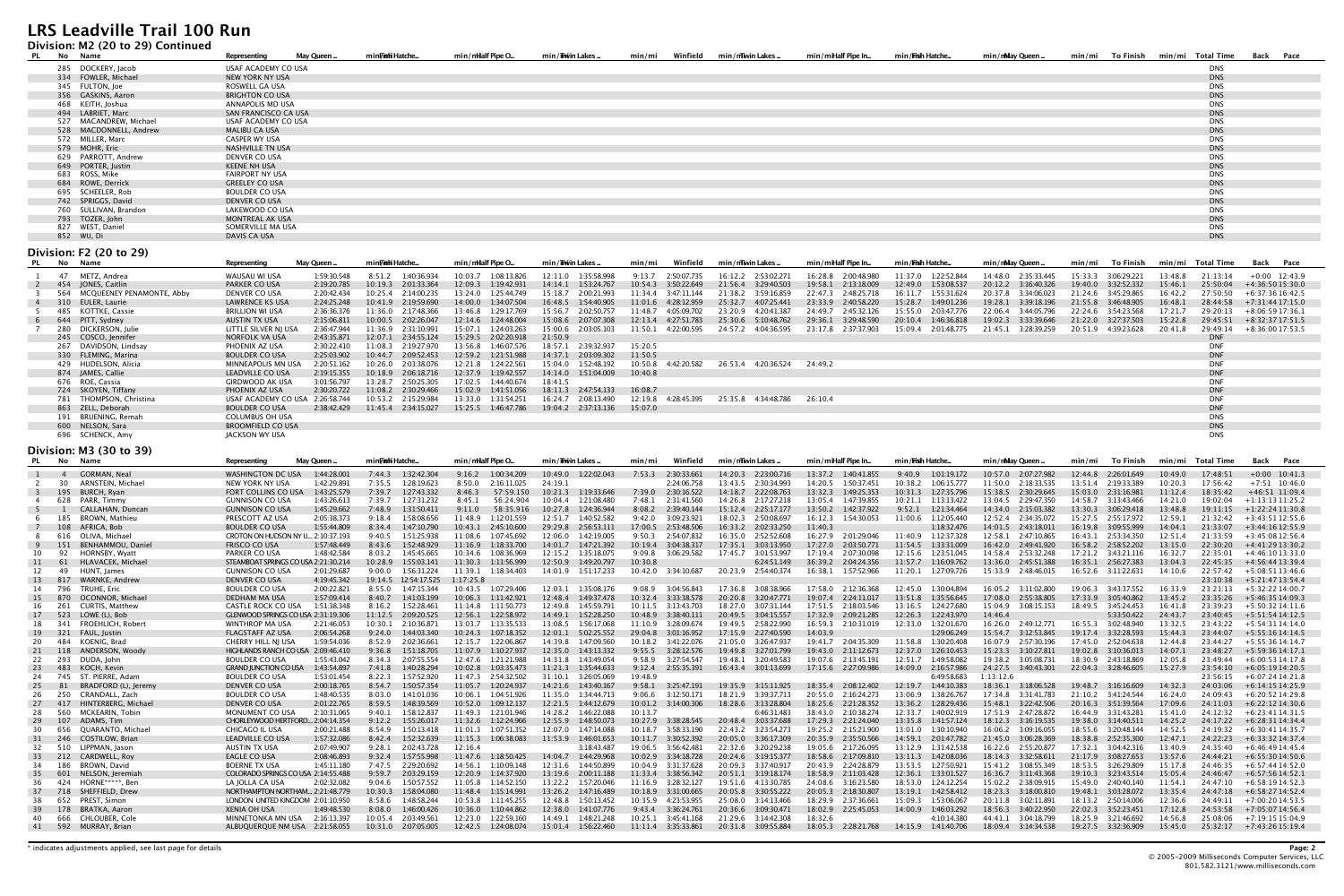#### **Division: M2 (20 to 29) Continued**

| PL.             | No         | Name                      | <b>Representing</b>             | May Queen.  | min <b>Fishi</b> Hatche | min/milalf Pipe O      | min/Twin Lakes.      | Winfield<br>min/mi     | min/mwin Lakes.        | min/miHalf Pipe In     | min/Fish Hatche                             | min/nMay Queen.     | min/mi              | To Finish |         | min/mi Total Time        | Back Pace         |
|-----------------|------------|---------------------------|---------------------------------|-------------|-------------------------|------------------------|----------------------|------------------------|------------------------|------------------------|---------------------------------------------|---------------------|---------------------|-----------|---------|--------------------------|-------------------|
|                 |            | 285 DOCKERY, Jacob        | USAF ACADEMY CO USA             |             |                         |                        |                      |                        |                        |                        |                                             |                     |                     |           |         | <b>DNS</b>               |                   |
|                 |            | 334 FOWLER, Michael       | <b>NEW YORK NY USA</b>          |             |                         |                        |                      |                        |                        |                        |                                             |                     |                     |           |         | <b>DNS</b>               |                   |
|                 |            | 345 FULTON, Joe           | ROSWELL GA USA                  |             |                         |                        |                      |                        |                        |                        |                                             |                     |                     |           |         | <b>DNS</b>               |                   |
|                 |            | 356 GASKINS, Aaron        | <b>BRIGHTON CO USA</b>          |             |                         |                        |                      |                        |                        |                        |                                             |                     |                     |           |         | <b>DNS</b>               |                   |
|                 |            | 468 KEITH, Joshua         | ANNAPOLIS MD USA                |             |                         |                        |                      |                        |                        |                        |                                             |                     |                     |           |         | DNS                      |                   |
|                 |            | 494 LABRIET, Marc         | SAN FRANCISCO CA USA            |             |                         |                        |                      |                        |                        |                        |                                             |                     |                     |           |         | <b>DNS</b>               |                   |
|                 |            | 527 MACANDREW, Michael    | USAF ACADEMY CO USA             |             |                         |                        |                      |                        |                        |                        |                                             |                     |                     |           |         | DNS                      |                   |
|                 |            | 528 MACDONNELL, Andrew    | <b>MALIBU CA USA</b>            |             |                         |                        |                      |                        |                        |                        |                                             |                     |                     |           |         | <b>DNS</b>               |                   |
|                 |            | 572 MILLER, Marc          | <b>CASPER WY USA</b>            |             |                         |                        |                      |                        |                        |                        |                                             |                     |                     |           |         | <b>DNS</b>               |                   |
|                 |            | 579 MOHR, Eric            | <b>NASHVILLE TN USA</b>         |             |                         |                        |                      |                        |                        |                        |                                             |                     |                     |           |         | <b>DNS</b>               |                   |
|                 |            | 629 PARROTT, Andrew       | DENVER CO USA                   |             |                         |                        |                      |                        |                        |                        |                                             |                     |                     |           |         | <b>DNS</b>               |                   |
|                 |            | 649 PORTER, Justin        | <b>KEENE NH USA</b>             |             |                         |                        |                      |                        |                        |                        |                                             |                     |                     |           |         | <b>DNS</b>               |                   |
|                 |            | 683 ROSS, Mike            | <b>FAIRPORT NY USA</b>          |             |                         |                        |                      |                        |                        |                        |                                             |                     |                     |           |         | <b>DNS</b>               |                   |
|                 |            | 684 ROWE, Derrick         | <b>GREELEY CO USA</b>           |             |                         |                        |                      |                        |                        |                        |                                             |                     |                     |           |         | <b>DNS</b>               |                   |
|                 |            | 695 SCHEELER, Rob         | <b>BOULDER CO USA</b>           |             |                         |                        |                      |                        |                        |                        |                                             |                     |                     |           |         | <b>DNS</b>               |                   |
|                 |            | 742 SPRIGGS, David        | <b>DENVER CO USA</b>            |             |                         |                        |                      |                        |                        |                        |                                             |                     |                     |           |         | <b>DNS</b>               |                   |
|                 |            | 760 SULLIVAN, Brandon     | LAKEWOOD CO USA                 |             |                         |                        |                      |                        |                        |                        |                                             |                     |                     |           |         | <b>DNS</b>               |                   |
|                 |            | 793 TOZER, John           | <b>MONTREAL AK USA</b>          |             |                         |                        |                      |                        |                        |                        |                                             |                     |                     |           |         | <b>DNS</b>               |                   |
|                 |            | 827 WEST, Daniel          | SOMERVILLE MA USA               |             |                         |                        |                      |                        |                        |                        |                                             |                     |                     |           |         | <b>DNS</b>               |                   |
|                 | 852 WU, Di |                           | DAVIS CA USA                    |             |                         |                        |                      |                        |                        |                        |                                             |                     |                     |           |         | <b>DNS</b>               |                   |
|                 |            | Division: F2 (20 to 29)   |                                 |             |                         |                        |                      |                        |                        |                        |                                             |                     |                     |           |         |                          |                   |
| <b>No</b><br>PL |            | Name                      | Representing                    | May Queen.  | min <b>Fishi</b> Hatche | min/milalf Pipe O.     | min/Thwin Lakes      | Winfield<br>min/mi     | min/mwinLakes.         | min/miHalf Pipe In     | min/Fish Hatche                             | min/nMay Queen      | min/mi              | To Finish |         | min/mi Total Time        | Back Pace         |
|                 |            |                           |                                 |             |                         |                        |                      |                        |                        |                        |                                             |                     |                     |           |         |                          |                   |
|                 |            | 47 METZ, Andrea           | WAUSAU WI USA                   | 1:59:30.548 | 8:51.2 1:40:36.934      | 10:03.7 1:08:13.826    | 12:11.0 1:35:58.998  | 9:13.7 2:50:07.735     | 16:12.2  2:53:02.271   | 16:28.8 2:00:48.980    | 11:37.0 1:22:52.844                         | 14:48.0 2:35:33.445 | 15:33.3 3:06:29.221 |           | 13:48.8 | 21:13:14                 | $+0:00$ 12:43.9   |
| $\overline{2}$  |            | 454 JONES, Caitlin        | <b>PARKER CO USA</b>            | 2:19:20.785 | 10:19.3 2:01:33.364     | 12:09.3<br>1:19:42.931 | 14:14.1  1:53:24.767 | 10:54.3<br>3:50:22.649 | 21:56.4<br>3:29:40.503 | 19:58.1<br>2:13:18.009 | 12:49.0 1:53:08.537<br>16:11.7  1:55:31.624 |                     | 19:40.0 3:32:52.332 |           | 15:46.1 | 25:50:04                 | +4:36:50 15:30.0  |
|                 | 564        | MCQUEENEY PENAMONTE, Abby | DENVER CO USA                   | 2:20:42.434 | 10:25.4 2:14:00.235     | 13:24.0 1:25:44.749    | 15:18.7 2:00:21.993  |                        | 21:38.2 3:59:16.859    |                        |                                             |                     |                     |           |         | 27:50:50                 | +6:37:36 16:42.5  |
| $\overline{4}$  |            | 310 EULER. Laurie         |                                 |             |                         |                        |                      | 11:34.4 3:47:11.144    |                        | 22:47.3 2:48:25.718    |                                             | 20:37.8 3:34:06.023 | 21:24.6 3:45:29.865 |           | 16:42.2 |                          |                   |
| -5              |            |                           | <b>LAWRENCE KS USA</b>          | 2:24:25.248 | 10:41.9 2:19:59.690     | 14:00.0<br>1:34:07.504 | 16:48.5  1:54:40.905 | 11:01.6 4:28:12.959    | 25:32.7 4:07:25.441    | 23:33.9 2:40:58.220    | 15:28.7 1:49:01.236                         | 19:28.1 3:39:18.196 | 21:55.8 3:46:48.905 |           | 16:48.1 | 28:44:58                 | +7:31:44 17:15.0  |
| - 6             |            | 485 KOTTKE, Cassie        | <b>BRILLION WI USA</b>          | 2:36:36.376 | 11:36.0 2:17:48.366     | 13:46.8 1:29:17.769    | 15:56.7 2:02:50.757  | 11:48.7 4:05:09.702    | 23:20.9 4:20:41.387    | 24:49.7 2:45:32.126    | 15:55.0 2:03:47.776                         | 22:06.4 3:44:05.796 | 22:24.6 3:54:23.568 |           | 17:21.7 | 29:20:13                 | $+8:06:5917:36.1$ |
|                 |            | 644 PITT, Sydney          | AUSTIN TX USA                   | 2:15:06.811 | 10:00.5 2:02:26.047     | 12:14.6  1:24:48.004   | 15:08.6 2:07:07.308  | 12:13.4  4:27:51.783   | 25:30.6 5:10:48.762    | 29:36.1 3:29:48.590    | 20:10.4 1:46:36.818                         | 19:02.3 3:33:39.646 | 21:22.0 3:27:37.503 |           | 15:22.8 | 29:45:51                 | +8:32:37 17:51.5  |
|                 |            | 280 DICKERSON, Julie      | LITTLE SILVER NJ USA            | 2:36:47.944 | 11:36.9 2:31:10.991     | 15:07.1<br>1:24:03.263 | 15:00.6 2:03:05.103  | 11:50.1 4:22:00.595    | 24:57.2 4:04:36.595    | 23:17.8 2:37:37.903    | 15:09.4 2:01:48.775                         | 21:45.1 3:28:39.259 | 20:51.9 4:39:23.628 |           | 20:41.8 | 29:49:14                 | $+8:36:0017:53.5$ |
|                 |            | 245 COSCO, Jennifer       | <b>NORFOLK VA USA</b>           | 2:43:35.871 | 12:07.1 2:34:55.124     | 15:29.5 2:02:20.918    | 21:50.9              |                        |                        |                        |                                             |                     |                     |           |         | <b>DNF</b>               |                   |
|                 |            | 267 DAVIDSON, Lindsay     | PHOENIX AZ USA                  | 2:30:22.410 | 11:08.3 2:19:27.970     | 13:56.8 1:46:07.576    | 18:57.1 2:39:32.937  | 15:20.5                |                        |                        |                                             |                     |                     |           |         | <b>DNF</b>               |                   |
|                 |            | 330 FLEMING, Marina       | <b>BOULDER CO USA</b>           | 2:25:03.902 | 10:44.7 2:09:52.453     | 12:59.2  1:21:51.988   | 14:37.1 2:03:09.302  | 11:50.5                |                        |                        |                                             |                     |                     |           |         | <b>DNF</b>               |                   |
|                 |            | 429 HUDELSON, Alicia      | MINNEAPOLIS MN USA              | 2:20:51.162 | 10:26.0 2:03:38.076     | 1:24:22.561<br>12:21.8 | 15:04.0  1:52:48.192 | 10:50.8<br>4:42:20.582 | 26:53.4 4:20:36.524    | 24:49.2                |                                             |                     |                     |           |         | <b>DNF</b>               |                   |
|                 |            | 874 JAMES, Callie         | LEADVILLE CO USA                | 2:19:15.355 | 10:18.9 2:06:18.716     | 12:37.9 1:19:42.557    | 14:14.0  1:51:04.009 | 10:40.8                |                        |                        |                                             |                     |                     |           |         | <b>DNF</b>               |                   |
|                 |            | 676 ROE, Cassia           | <b>GIRDWOOD AK USA</b>          | 3:01:56.797 | 13:28.7 2:50:25.305     | 17:02.5  1:44:40.674   | 18:41.5              |                        |                        |                        |                                             |                     |                     |           |         | <b>DNF</b>               |                   |
|                 |            | 724 SKOYEN, Tiffany       | PHOENIX AZ USA                  | 2:30:20.722 | 11:08.2 2:30:29.466     | 15:02.9 1:41:51.056    | 18:11.3  2:47:54.133 | 16:08.7                |                        |                        |                                             |                     |                     |           |         | <b>DNF</b>               |                   |
|                 |            | 781 THOMPSON, Christina   | USAF ACADEMY CO USA 2:26:58.744 |             | 10:53.2 2:15:29.984     | 13:33.0 1:31:54.251    | 16:24.7 2:08:13.490  | 12:19.8  4:28:45.395   | 25:35.8 4:34:48.786    | 26:10.4                |                                             |                     |                     |           |         | <b>DNF</b>               |                   |
|                 |            | 863 ZELL, Deborah         | <b>BOULDER CO USA</b>           | 2:38:42.429 | 11:45.4 2:34:15.027     | 15:25.5    1:46:47.786 | 19:04.2 2:37:13.136  | 15:07.0                |                        |                        |                                             |                     |                     |           |         | <b>DNF</b>               |                   |
|                 |            | 191 BRUENING, Remah       | <b>COLUMBUS OH USA</b>          |             |                         |                        |                      |                        |                        |                        |                                             |                     |                     |           |         | DNS                      |                   |
|                 |            | 600 NELSON, Sara          | <b>BROOMFIELD CO USA</b>        |             |                         |                        |                      |                        |                        |                        |                                             |                     |                     |           |         | <b>DNS</b><br><b>DNS</b> |                   |
|                 |            | 696 SCHENCK, Amy          | JACKSON WY USA                  |             |                         |                        |                      |                        |                        |                        |                                             |                     |                     |           |         |                          |                   |
|                 |            | Division: M3 (30 to 39)   |                                 |             |                         |                        |                      |                        |                        |                        |                                             |                     |                     |           |         |                          |                   |
| PL              | No Name    |                           | Representing                    | May Queen.  | minFishiHatche          | min/milalf Pipe O      | min/Trwin Lakes      | min/mi<br>Winfield     | min/mwin Lakes         | min/miHalf Pipe In     | min/Fish Hatche                             | min/nMay Queen.     | min/mi              | To Finish |         | min/mi Total Time        | Back Pace         |

| PL       |                | , ככ סי ספר (ספויו וויטופור<br>No Name | Representing                                                | May Queen   | min <b>Fish</b> i Hatche                        | min/milalf Pipe O                             | min/Thwin Lakes                             | Winfield<br>min/mi                 | min/mwinLakes.                             | min/miHalf Pipe In                 | min / <b>Fish</b> Hatche                | min/nMay Queen                     | min/mi<br>To Finish                           | min/mi Total Time                          | Back Pace                             |
|----------|----------------|----------------------------------------|-------------------------------------------------------------|-------------|-------------------------------------------------|-----------------------------------------------|---------------------------------------------|------------------------------------|--------------------------------------------|------------------------------------|-----------------------------------------|------------------------------------|-----------------------------------------------|--------------------------------------------|---------------------------------------|
|          | $\overline{4}$ | <b>GORMAN, Neal</b>                    | WASHINGTON DC USA                                           | 1:44:28.001 | 7:44.3 1:32:42.304                              | 9:16.2<br>1:00:34.209                         | 10:49.0 1:22:02.043                         | 7:53.3<br>2:30:33.661              | 14:20.3 2:23:00.716                        | 13:37.2 1:40:41.855                | 9:40.9 1:01:19.172                      | 10:57.0 2:07:27.982                | 12:44.8<br>2:26:01.649                        | 10:49.0<br>17:48:51                        | $+0:00$ 10:41.3                       |
|          | 30             | ARNSTEIN, Michael                      | NEW YORK NY USA                                             | 1:42:29.891 | 7:35.5<br>1:28:19.623                           | 8:50.0<br>2:16:11.025                         | 24:19.1                                     | 2:24:06.758                        | 13:43.5 2:30:34.993                        | 14:20.5<br>1:50:37.451             | 10:38.2<br>1:06:15.777                  | 11:50.0 2:18:33.535                | 13:51.4 2:19:33.389                           | 10:20.3<br>17:56:42                        | $+7:51$ 10:46.0                       |
|          | 195            | <b>BURCH, Rvan</b>                     | FORT COLLINS CO USA                                         | 1:43:25.579 | 7:39.7<br>1:27:43.332                           | 8:46.3<br>57:59.150                           | 10:21.3 1:19:33.646                         | 7:39.0 2:30:16.522                 | 14:18.7 2:22:08.763                        | 13:32.3<br>1:49:25.353             | 10:31.3 1:27:35.796                     | 15:38.5 2:30:29.645                | 15:03.0<br>2:31:16.981                        | 11:12.4<br>18:35:42                        | +46:51 11:09.4                        |
| -4       | 628            | PARR. Timmy                            | <b>GUNNISON CO USA</b>                                      | 1:43:26.613 | 7:39.7<br>1:27:31.232                           | 8:45.1<br>56:24.904                           | 10:04.4 1:21:08.480                         | 7:48.1 2:31:41.560                 | 14:26.8 2:17:27.218                        | 13:05.4 1:47:39.855                | 10:21.1 1:13:13.422                     | 13:04.5 2:29:47.350                | 14:58.7 3:13:43.466                           | 14:21.0<br>19:02:04                        | $+1:13:1311:25.2$                     |
| 5        |                | CALLAHAN, Duncan                       | <b>GUNNISON CO USA</b>                                      | 1:45:29.662 | 7:48.9<br>1:31:50.411                           | 9:11.0<br>58:35.916                           | 10:27.8 1:24:36.944                         | 8:08.2<br>2:39:40.144              | 15:12.4 2:25:17.177                        | 1:42:37.922<br>13:50.2             | 1:21:34.464<br>9:52.1                   | 14:34.0 2:15:03.382                | 13:30.3<br>3:06:29.418                        | 13:48.8<br>19:11:15                        | $+1:22:2411:30.8$                     |
| - 6      | 185            | BROWN. Mathieu                         | PRESCOTT AZ USA                                             | 2:05:38.373 | 9:18.4<br>1:58:08.656                           | 11:48.9<br>1:12:01.559                        | 12:51.7 1:40:52.582                         | 9:42.0<br>3:09:23.92               | 18:02.3 2:50:08.697                        | 16:12.3  1:54:30.053               | 11:00.6<br>1:12:05.440                  | 12:52.4 2:34:35.072                | 15:27.5 2:55:17.972                           | 12:59.3<br>21:32:42                        | $+3:43:5112:55.6$                     |
|          |                | 108 AFRICA, Bob                        | <b>BOULDER CO USA</b>                                       | 1:55:44.809 | 8:34.4 1:47:10.790                              | 10:43.1  2:45:10.600                          | 29:29.8 2:56:53.111                         | 17:00.5 2:53:48.506                | 16:33.2  2:02:33.250                       | 11:40.3                            | 1:18:32.476                             | 14:01.5 2:43:18.011                | 16:19.8 3:09:55.999                           | 14:04.1<br>21:33:07                        | $+3:44:1612:55.9$                     |
| - 8      |                | 616 OLIVA, Michael                     | CROTON ON HUDSON NY U 2:10:37.193                           |             | 9:40.5<br>1:51:25.938                           | 11:08.6<br>1:07:45.692                        | 12:06.0 1:42:19.005                         | 2:54:07.832<br>9:50.3              | 16:35.0 2:52:52.608                        | 16:27.9 2:01:29.046                | 11:40.9 1:12:37.328                     | 12:58.1 2:47:10.865                | 16:43.1 2:53:34.350                           | 12:51.4<br>21:33:59                        | $+3:45:0812:56.4$                     |
| -9       | 151            | BENHAMMOU, Daniel                      | <b>FRISCO CO USA</b>                                        | 1:57:48.449 | 8:43.6<br>1:52:48.929                           | 11:16.9<br>1:18:33.700                        | 14:01.7 1:47:21.392                         | 10:19.4 3:04:38.317                | 17:35.1 3:03:13.950                        | 2:03:50.771<br>17:27.0             | 11:54.5 1:33:31.009                     | 16:42.0 2:49:41.920                | 16:58.2<br>2:58:52.202                        | 13:15.0<br>22:30:20                        | $+4:41:2913:30.2$                     |
| 10       | 92             | <b>HORNSBY, Wyatt</b>                  | PARKER CO USA                                               | 1:48:42.584 | 8:03.2<br>1:45:45.665                           | 10:34.6 1:08:36.969                           | 12:15.2  1:35:18.075                        | 9:09.8<br>3:06:29.582              | 17:45.7 3:01:53.997                        | 17:19.4 2:07:30.098                | 12:15.6  1:23:51.045                    | 14:58.4 2:53:32.248                | 17:21.2  3:43:21.116                          | 16:32.7<br>22:35:01                        | $+4:46:1013:33.0$                     |
| 11       | 61             | HLAVACEK, Michael                      | STEAMBOAT SPRINGS CO USA 2:21:30.214                        |             | 10:28.9<br>1:55:03.141                          | 11:30.3<br>1:11:56.999                        | 12:50.9 1:49:20.797                         | 10:30.8                            | 6:24:51.149                                | 36:39.2 2:04:24.356                | 11:57.7 1:16:09.762                     | 13:36.0 2:45:51.388                | 16:35.1 2:56:27.383                           | 13:04.3                                    | 22:45:35 +4:56:44 13:39.4             |
| 12       | 49             | HUNT, James                            | <b>GUNNISON CO USA</b>                                      | 2:01:29.687 | 9:00.0<br>1:56:31.224                           | 11:39.1<br>1:18:34.403                        | 14:01.9 1:51:17.233                         | 10:42.0  3:34:10.687               | 20:23.9 2:54:40.374                        | 1:57:52.966<br>16:38.1             | 11:20.1<br>1:27:09.726                  | 15:33.9 2:48:46.015                | 16:52.6 3:11:22.631                           | 14:10.6<br>22:57:42                        | +5:08:5113:46.6                       |
| 13       | 817            | <b>WARNKE, Andrew</b>                  | <b>DENVER CO USA</b>                                        | 4:19:45.342 | 19:14.5  12:54:17.525                           | 1:17:25.8                                     |                                             |                                    |                                            |                                    |                                         |                                    |                                               |                                            | 23:10:38 +5:21:47 13:54.4             |
| 14       | 796            | <b>TRUHE, Eric</b>                     | <b>BOULDER CO USA</b>                                       | 2:00:22.821 | 8:55.0 1:47:15.344                              | 10:43.5 1:07:29.406                           | 12:03.1 1:35:08.176                         | 9:08.9<br>3:04:56.843              | 17:36.8 3:08:38.966                        | 17:58.0 2:12:36.368                | 12:45.0 1:30:04.894                     | 16:05.2  3:11:02.800               | 19:06.3 3:43:37.552                           | 16:33.9                                    | $23:21:13 + 5:32:2214:00.7$           |
| 15       | 870            | OCONNOR, Michael                       | <b>DEDHAM MA USA</b>                                        | 1:57:09.414 | 8:40.7 1:41:03.199                              | 10:06.3<br>1:11:42.921                        | 12:48.4 1:49:37.478                         | 10:32.4 3:33:38.578                | 20:20.8 3:20:47.771                        | 2:24:11.017<br>19:07.4             | 13:51.8 1:35:56.645                     | 17:08.0 2:55:38.805                | 17:33.9 3:05:40.862                           | 13:45.2<br>23:35:26                        | $+5:46:3514:09.3$                     |
| 16       | 261            | CURTIS, Matthew                        | <b>CASTLE ROCK CO USA</b>                                   | 1:51:38.348 | 1:52:28.461<br>8:16.2                           | 11:14.8<br>1:11:50.773                        | 12:49.8 1:45:59.791                         | 10:11.5   3:13:43.703              | 18:27.0 3:07:31.144                        | 17:51.5<br>2:18:03.546             | 13:16.5<br>1:24:27.680                  | 15:04.9<br>3:08:15.153             | 18:49.5 3:45:24.453                           | 16:41.8<br>23:39:23                        | $+5:50:3214:11.6$                     |
|          | 523            | LOWE (L), Bob                          | GLENWOOD SPRINGS CO USA 2:31:19.306                         |             | 11:12.5 2:09:20.525                             | 12:56.1<br>1:22:58.972                        | 14:49.1  1:52:28.250                        | 10:48.9 3:38:40.111                | 20:49.5 3:04:15.557                        | 17:32.9 2:09:21.285                | 12:26.3 1:22:43.970                     | 14:46.4                            | 5:33:50.422                                   | 24:43.7                                    | $23:40:45$ $+5:51:5414:12.5$          |
| 18       | 341            | FROEHLICH, Robert                      | <b>WINTHROP MA USA</b>                                      | 2:21:46.053 | 10:30.1 2:10:36.871                             | 13:03.7 1:13:35.533                           | 13:08.5 1:56:17.068                         | 11:10.9  3:28:09.674               | 19:49.5 2:58:22.990                        | 16:59.3 2:10:31.019                | 12:33.0  1:32:01.670                    | 16:26.0 2:49:12.771                | 16:55.3 3:02:48.940                           | 13:32.5                                    | $23:43:22 +5:54:3114:14.0$            |
| 19       | 321            | FAUL, Justin                           | <b>FLAGSTAFF AZ USA</b>                                     | 2:06:54.268 | 9:24.0 1:44:03.340                              | 10:24.3<br>1:07:18.352                        | 12:01.1    5:02:25.552                      | 29:04.8<br>3:01:16.952             | 17:15.9 2:27:40.590                        | 14:03.9                            | 1:29:06.249                             | 15:54.7 3:12:53.845                | 3:32:28.593<br>19:17.4                        | 15:44.3<br>23:44:07                        | $+5:55:1614:14.5$                     |
| 20       | 484            | KOENIG. Brad                           | CHERRY HILL NJ USA                                          | 1:59:54.036 | 8:52.9 2:02:36.661                              | 12:15.7<br>1:22:06.867                        | 14:39.8 1:47:09.560                         | 10:18.2  3:41:22.076               | 21:05.0 3:26:47.937                        | 19:41.7<br>2:04:35.309             | 11:58.8<br>1:30:20.408                  | 16:07.9 2:57:30.196                | 17:45.0<br>2:52:04.638                        | 12:44.8<br>23:44:27                        | $+5:55:3614:14.7$                     |
| 21       | 118            | ANDERSON, Woody                        | HIGHLANDS RANCH CO USA 2:09:46.410                          |             | 9:36.8 1:51:18.705                              | 11:07.9 1:10:27.937                           | 12:35.0 1:43:13.332                         | 9:55.5 3:28:12.576                 | 19:49.8 3:27:01.799                        | 2:11:12.673<br>19:43.0             | 12:37.0 1:26:10.453                     | 15:23.3 3:10:27.811                | 19:02.8 3:10:36.013                           | 14:07.1<br>23:48:27                        | $+5:59:3614:17.1$                     |
| 22       | 293            | DUDA, John                             | <b>BOULDER CO USA</b>                                       | 1:55:43.042 | 8:34.3 2:07:55.554                              | 12:47.6 1:21:21.988                           | 14:31.8 1:43:49.054                         | 9:58.9<br>3:27:54.547              | 19:48.1 3:20:49.583                        | 19:07.6 2:13:45.191                | 12:51.7<br>1:49:58.082                  | 19:38.2 3:05:08.731                | 18:30.9 2:43:18.869                           | 12:05.8<br>23:49:44                        | $+6:00:5314:17.8$                     |
| 23       | 483            | KOCH, Kevin                            | <b>GRAND JUNCTION CO USA</b>                                | 1:43:54.897 | 7:41.8 1:40:28.294                              | 10:02.8<br>1:03:35.473                        | 11:21.3  1:35:44.633                        | 9:12.4 2:55:35.391                 | 16:43.4 3:01:13.699                        | 17:15.6 2:27:09.986                | 14:09.0 2:16:57.986                     | 24:27.5 3:40:43.301                | 22:04.3 3:28:46.605                           | 15:27.9<br>23:54:10                        | $+6:05:1914:20.5$                     |
| 24       |                | 745 ST. PIERRE. Adam                   | <b>BOULDER CO USA</b>                                       | 1:53:01.454 | 8:22.3 1:57:52.920                              | 11:47.3 2:54:32.502                           | 31:10.1 3:26:05.069                         | 19:48.9                            |                                            |                                    | 6:49:58.683                             | 1:13:12.6                          |                                               | 23:56:15                                   | +6:07:24 14:21.8                      |
| 25       | -81            | BRADFORD (L), Jeremy                   | DENVER CO USA                                               | 2:00:18.765 | 8:54.7 1:50:57.354                              | 11:05.7 1:20:24.937                           | 14:21.6  1:43:40.167                        | 9:58.1 3:25:47.191                 | 19:35.9 3:15:11.925                        | 18:35.4 2:08:12.402                | 12:19.7 1:44:10.383                     | 18:36.1 3:18:06.528                | 19:48.7 3:16:16.609                           | 14:32.3<br>24:03:06                        | $+6:14:1514:25.9$                     |
| 26       | 250            | CRANDALL, Zach                         | <b>BOULDER CO USA</b>                                       | 1:48:40.535 | 8:03.0<br>1:41:01.036                           | 10:06.1<br>1:04:51.926                        | 11:35.0 1:34:44.713                         | 9:06.6<br>3:12:50.171              | 18:21.9 3:39:37.713                        | 20:55.0<br>2:16:24.273             | 13:06.9<br>1:38:26.767                  | 17:34.8 3:31:41.783                | 21:10.2<br>3:41:24.544                        | 16:24.0<br>24:09:43                        | $+6:20:5214:29.8$                     |
| 27       | 417            | HINTERBERG, Michael                    | <b>DENVER CO USA</b>                                        | 2:01:22.765 | 8:59.5 1:48:39.569                              | 10:52.0<br>1:09:12.137                        | 12:21.5 1:44:12.679                         | 10:01.2  3:14:00.306               | 18:28.6 3:13:28.804                        | 18:25.6 2:21:28.352                | 13:36.2 1:28:29.436                     | 15:48.1 3:22:42.506                | 20:16.3<br>3:51:39.564                        | 17:09.6<br>24:11:03                        | $+6:22:1214:30.6$                     |
| 28       | 560            | MCKEARIN, Tobin                        | MONUMENT CO USA                                             | 2:10:31.065 | 9:40.1 1:58:12.837                              | 11:49.3 1:21:01.946                           | 14:28.2  1:46:22.088                        | 10:13.7                            | 6:46:31.483                                | 38:43.0 2:10:38.274                | 12:33.7  1:40:02.919                    | 17:51.9 2:47:28.872                | 16:44.9  3:31:43.281                          | 15:41.0<br>24:12:32                        | $+6:23:4114:31.5$                     |
| 29       | 107            | ADAMS. Tim                             | CHORLEYWOOD HERTFORD 2:04:14.354                            |             | 9:12.2<br>1:55:26.017                           | 11:32.6 1:12:24.966                           | 12:55.9  1:48:50.073                        | 10:27.9 3:38:28.545                | 20:48.4 3:03:37.688                        | 17:29.3 2:21:24.040                | 13:35.8  1:41:57.124                    |                                    | 19:38.0<br>3:14:40.511                        | 14:25.2<br>24:17:22                        | +6:28:31 14:34.4                      |
| 30       | 656            | OUARANTO, Michael                      | CHICAGO IL USA                                              | 2:00:21.488 | 8:54.9<br>1:50:13.418                           | 11:01.3<br>1:07:51.352                        | 12:07.0 1:47:14.088                         | 10:18.7 3:58:33.190                | 22:43.2 3:23:54.273                        | 19:25.2 2:15:21.900                | 13:01.0 1:30:10.940                     | 16:06.2 3:09:16.055                | 18:55.6 3:20:48.144                           | 14:52.5<br>24:19:32                        | $+6:30:4114:35.7$                     |
| 31       | 246            | <b>COSTILOW, Brian</b>                 | LEADVILLE CO USA                                            | 1:57:32.086 | 8:42.4 1:52:32.639                              | 11:15.3 1:06:38.083                           | 11:53.9 1:46:01.653                         |                                    | 20:05.0 3:36:17.309                        | 20:35.9<br>2:35:50.566             | 14:59.1<br>2:01:47.782                  | 21:45.0 3:06:28.369                | 2:52:35.300<br>18:38.8                        | 12:47.1<br>24:22:23                        | +6:33:32 14:37.4                      |
| 32       | 510            | LIPPMAN, Jason                         | AUSTIN TX USA                                               | 2:07:49.907 | 9:28.1 2:02:43.728                              | 12:16.4                                       | 3:18:43.487                                 | 19:06.5 3:56:42.481                | 22:32.6 3:20:29.238                        | 19:05.6 2:17:26.095                | 13:12.9 1:31:42.538                     | 16:22.6 2:55:20.877                | 17:32.1 3:04:42.316                           | 13:40.9<br>24:35:40                        | +6:46:49 14:45.4                      |
| 33       | 212            | <b>CARDWELL, Roy</b>                   | EAGLE CO USA                                                | 2:08:46.893 | 9:32.4<br>1:57:55.998                           | 11:47.6 1:18:50.425                           | 14:04.7 1:44:29.968                         | 10:02.9 3:34:18.728                | 20:24.6 3:19:15.377                        | 2:17:09.810<br>18:58.6             | 1:42:08.036<br>13:11.3                  |                                    | 21:17.9<br>3:08:27.653                        | 13:57.6<br>24:44:21                        | +6:55:30 14:50.6                      |
| 34       | 186            | BROWN, David                           | <b>BOERNE TX USA</b><br>COLORADO SPRINGS CO USA 2:14:55.488 | 1:45:11.180 | 7:47.5 2:29:20.692                              | 14:56.1<br>1:10:09.148<br>12:20.9 1:14:37.920 | 12:31.6  1:44:50.899                        | 10:04.9<br>3:31:37.628             | 20:09.3 3:37:40.917                        | 20:43.9 2:24:28.879<br>2:11:03.428 | 1:27:50.921<br>13:53.5                  | 15:41.2 3:08:55.349                | 18:53.5 3:26:29.809                           | 15:17.8<br>24:46:35<br>15:05.4             | +6:57:44 14:52.0                      |
| 35       | 601            | NELSON, Jeremiah                       |                                                             |             | 9:59.7<br>2:03:29.159                           |                                               | 13:19.6 2:00:11.188                         | 11:33.4 3:38:56.342                | 20:51.1 3:19:18.174                        | 18:58.9                            | 12:36.1<br>1:33:01.527                  | 16:36.7 3:11:43.368                |                                               | 24:46:47                                   | +6:57:56 14:52.1                      |
| 36       | 424            | HORNE******. Ben<br>SHEFFIELD, Drew    | LA JOLLA CA USA<br>NORTHAMPTON NORTHAM 2:21:48.779          | 2:02:32.082 | 9:04.6<br>1:50:57.552<br>10:30.3<br>1:58:04.080 | 11:05.8 1:14:52.150<br>11:48.4                | 13:22.2  1:57:20.046<br>13:26.2 1:47:16.489 | 11:16.9 3:28:32.127<br>10:18.9     | 19:51.6 4:13:30.785<br>20:05.8 3:30:55.222 | 24:08.6 3:16:23.580<br>2:18:30.807 | 18:53.0 1:24:12.254<br>1:42:58.412      | 15:02.2 2:38:09.915<br>3:18:00.810 | 15:49.0 2:40:40.140<br>19:48.1<br>3:03:28.072 | 11:54.1<br>24:47:10                        | +6:58:19 14:52.3<br>$+6:58:2714:52.4$ |
| 37<br>38 | 718<br>652     | PREST, Simon                           | LONDON UNITED KINGDOM 2:01:10.950                           |             | 8:58.6 1:48:58.244                              | 1:15:14.991<br>10:53.8 1:11:45.255            | 12:48.8 1:50:13.452                         | 3:31:00.665<br>10:35.9 4:23:53.955 | 25:08.0 3:14:13.466                        | 20:05.3<br>18:29.9 2:37:36.661     | 13:19.1<br>15:09.3<br>1:53:06.067       | 18:23.3<br>20:11.8 3:02:11.891     | 18:13.2  2:50:14.006                          | 13:35.4<br>24:47:18<br>12:36.6<br>24:49:11 | +7:00:20 14:53.5                      |
| 39       | 178            | BRATKA, Aaron                          | XENIA OH USA                                                | 1:49:48.530 | 8:08.0<br>1:46:00.426                           | 10:36.0<br>1:10:44.862                        | 12:38.0 1:41:07.776                         | 9:43.4 3:36:24.761                 | 20:36.6 3:09:30.471                        | 18:02.9 2:25:45.053                | 14:00.9  1:46:03.292                    | 18:56.3 3:40:22.950                | 22:02.3 3:52:23.451                           | 17:12.8                                    | 24:53:58 +7:05:07 14:56.4             |
| -40      | 666            | <b>CHLOUBER, Cole</b>                  | MINNETONKA MN USA                                           | 2:16:13.397 | 10:05.4 2:03:49.561                             | 12:23.0<br>1:22:59.160                        | 14:49.1<br>1:48:21.248                      | 10:25.1  3:45:41.168               | 21:29.6 3:14:42.308                        | 18:32.6                            | 4:10:14.380                             | 44:41.1 3:04:18.799                | 18:25.9<br>3:21:46.692                        | 14:56.8<br>25:08:06                        | +7:19:15 15:04.9                      |
|          |                | 41 592 MURRAY Brian                    | ALBUOUEROUE NM USA 2:21:58.055                              |             | 10:31.0 2:07:05.005                             | 12:42.5 1:24:08.074                           | 15:01.4 1:56:22.460                         | 11:11.4 3:35:33.861                | 20:31.8 3:09:55.884                        |                                    | 18:05.3 2:28:21.768 14:15.9 1:41:40.706 | 18:09.4 3:14:34.538                | 19:27.5 3:32:36.909                           | 15:45.0                                    | $25:32:17$ +7:43:26 15:19.4           |
|          |                |                                        |                                                             |             |                                                 |                                               |                                             |                                    |                                            |                                    |                                         |                                    |                                               |                                            |                                       |

\* indicates adjustments applied, see last page for details **Page: 2**

© 2005-2009 Milliseconds Computer Services, LLC 801.582.3121/www.milliseconds.com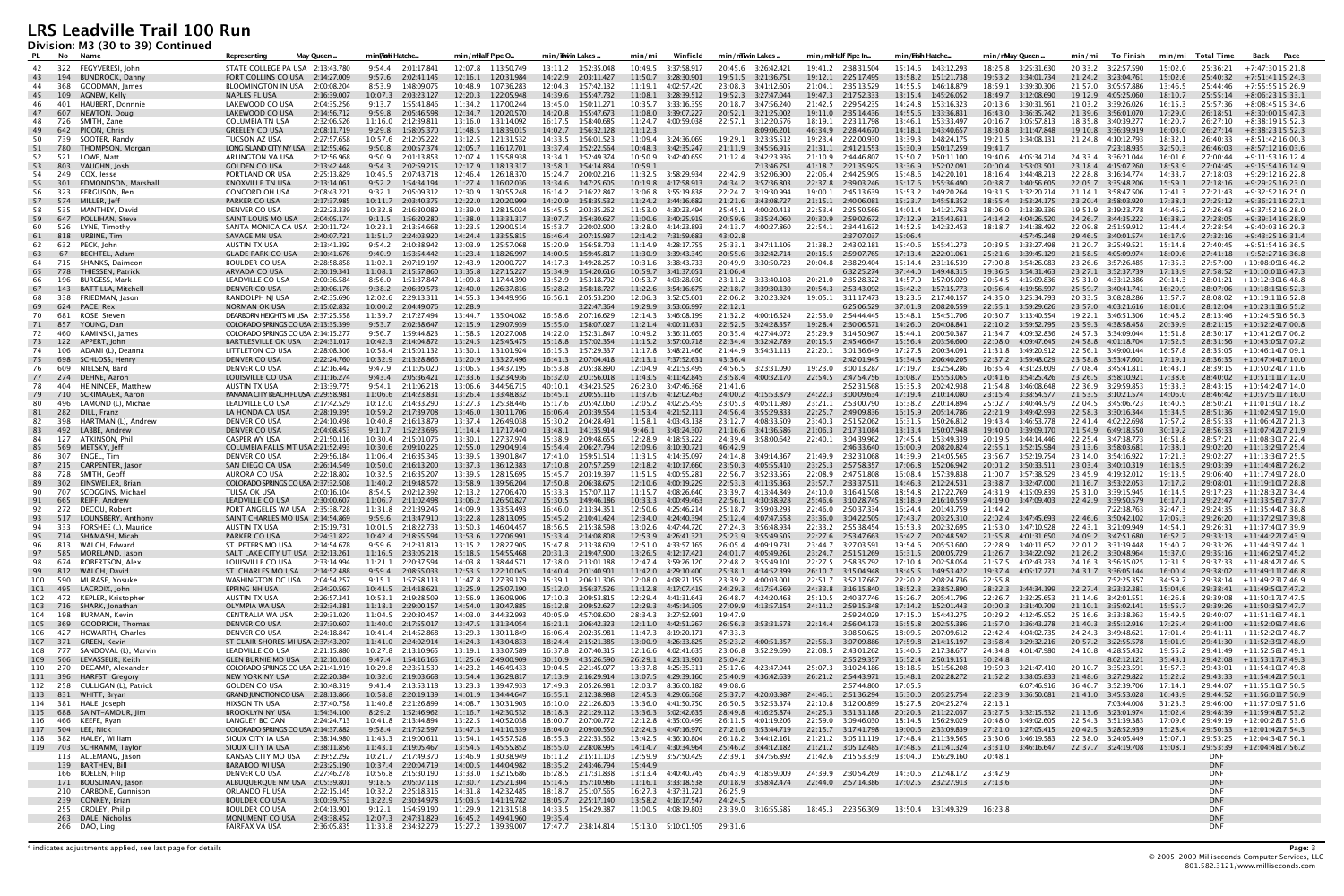**Division: M3 (30 to 39) Continued**

| PL.        | No         | Name                                                 | May Queen.<br><b>Representing</b>                                      | min <b>Fishi</b> Hatche                         | min/milalf Pipe O                                | min/iiwin Lakes .                                | Winfield<br>min/min                              | min/mwin Lakes                                   | min/miHalf Pipe In                               | min/ <b>Frish</b> Hatche                      | min/nMay Queen                                   | To Finish<br>min/mi                           | min/mi Total Time                          | Back Pace                                              |
|------------|------------|------------------------------------------------------|------------------------------------------------------------------------|-------------------------------------------------|--------------------------------------------------|--------------------------------------------------|--------------------------------------------------|--------------------------------------------------|--------------------------------------------------|-----------------------------------------------|--------------------------------------------------|-----------------------------------------------|--------------------------------------------|--------------------------------------------------------|
| 42         |            | 322 FEGYVERESI, John                                 | STATE COLLEGE PA USA 2:13:43.780                                       | 9:54.4 2:01:17.841                              | 12:07.8  1:13:50.749                             | 13:11.2  1:52:35.048                             | 10:49.5 3:37:58.917                              | 20:45.6 3:26:42.421                              | 19:41.2 2:38:31.504                              | 15:14.6 1:43:12.293                           | 18:25.8 3:25:31.630                              | 20:33.2 3:22:57.590                           | 15:02.0<br>25:36:21                        | +7:47:30 15:21.8                                       |
| 43         | 194        | <b>BUNDROCK, Danny</b>                               | FORT COLLINS CO USA<br>2:14:27.009                                     | 9:57.6<br>2:02:41.145                           | 12:16.1<br>1:20:31.984                           | 14:22.9 2:03:11.427                              |                                                  |                                                  | 19:12.1<br>2:25:17.495                           | 13:58.2<br>1:51:21.738                        |                                                  | 21:24.2  3:23:04.761                          | 15:02.6<br>25:40:32                        | +7:51:41 15:24.3                                       |
| 44         | - 368      | GOODMAN. Iames                                       | BLOOMINGTON IN USA<br>2:00:08.204                                      | 8:53.9<br>1:48:09.075                           | 10:48.9<br>1:07:36.283                           | 12:04.3 1:57:42.132                              | 11:19.1<br>4:02:57.420                           | 23:08.3<br>3:41:12.605                           | 21:04.1<br>2:35:13.529                           | 14:55.5 1:46:18.879                           | 18:59.1 3:39:30.306                              | 21:57.0 3:05:57.886                           | 13:46.5<br>25:44:46                        | +7:55:55 15:26.9                                       |
| 45         | 109        | AGNEW, Kelly                                         | 2:16:39.007<br>NAPLES FL USA                                           | 2:03:23.127<br>10:07.3                          | 12:20.3<br>1:22:05.948                           | 14:39.6 1:55:47.732                              | 11:08.1<br>3:28:39.512                           | 19:52.3 3:27:47.044                              | 19:47.3<br>2:17:52.333                           | 13:15.4  1:45:26.052                          | 18:49.7 3:12:08.690                              | 19:12.9<br>4:05:25.060                        | 18:10.7<br>25:55:14                        | $+8:06:2315:33.1$                                      |
| 46         | 401        | HAUBERT, Donnnie                                     | LAKEWOOD CO USA<br>2:04:35.256                                         | 9:13.7<br>1:55:41.846                           | 11:34.2<br>1:17:00.244                           | 13:45.0<br>1:50:11.271                           | 10:35.7 3:33:16.359                              | 20:18.7<br>3:47:56.240                           | 21:42.5 2:29:54.235                              | 14:24.8 1:53:16.323                           | 20:13.6 3:30:31.561                              | 21:03.2 3:39:26.026                           | 16:15.3<br>25:57:36                        | +8:08:45 15:34.6                                       |
| 47         | 607        | NEWTON, Doug                                         | 2:14:56.712<br>LAKEWOOD CO USA                                         | 9:59.8<br>2:05:46.598                           | 12:34.7    1:20:20.570                           | 14:20.8<br>1:55:47.673                           | 11:08.0 3:39:07.227                              | 20:52.1 3:21:25.002                              | 19:11.0<br>2:35:14.436                           | 14:55.6  1:33:36.831                          | 16:43.0 3:36:35.742                              | 21:39.6 3:56:01.070                           | 17:29.0<br>26:18:51                        | +8:30:00 15:47.3                                       |
| 48         | 726        | SMITH, Zane                                          | <b>COLUMBIA TN USA</b><br>2:32:06.526                                  | 11:16.0<br>2:12:39.811                          | 13:16.0<br>1:31:14.092                           | 16:17.5<br>1:58:40.685                           | 11:24.7<br>4:00:59.038                           | 22:57.1<br>3:12:20.576                           | 18:19.1<br>2:23:11.798                           | 13:46.1<br>1:53:33.497                        | 20:16.7<br>3:05:57.813                           | 18:35.8 3:40:39.277                           | 16:20.7<br>26:27:10                        | $+8:38:1915:52.3$                                      |
| 49<br>50   | 642<br>739 | PICON, Chris<br>SOOTER, Randy                        | <b>GREELEY CO USA</b><br>2:08:11.719<br>TUCSON AZ USA<br>2:27:57.658   | 9:29.8<br>1:58:05.370<br>10:57.6 2:12:05.222    | 11:48.5<br>1:18:39.015<br>13:12.5   1:21:31.532  | 14:02.7<br>1:56:32.128<br>14:33.5<br>1:56:01.523 | 11:12.3<br>11:09.4  3:24:36.069                  | 8:09:06.201<br>3:23:35.512<br>19:29.1            | 46:34.9<br>2:28:44.670<br>19:23.4 2:22:00.930    | 14:18.1<br>1:43:40.657<br>13:39.3 1:48:24.175 | 18:30.8<br>3:11:47.848                           | 19:10.8<br>3:36:39.919<br>21:24.8 4:10:12.793 | 16:03.0<br>26:27:14<br>18:32.1<br>26:40:33 | $+8:38:2315:52.3$<br>$+8:51:4216:00.3$                 |
| 51         | 780        | THOMPSON, Morgan                                     | 2:12:55.462<br>LONG ISLAND CITY NY USA                                 | 9:50.8<br>2:00:57.374                           | 12:05.7<br>1:16:17.701                           | 13:37.4<br>1:52:22.564                           | 10:48.3 3:42:35.247                              | 21:11.9<br>3:45:56.915                           | 21:31.1<br>2:41:21.553                           | 15:30.9<br>1:50:17.259                        | 19:41.7                                          | 7:23:18.935                                   | 32:50.3<br>26:46:03                        | $+8:57:1216:03.6$                                      |
| 52         | 521        | LOWE, Matt                                           | 2:12:56.968<br>ARLINGTON VA USA                                        | 9:50.9<br>2:01:13.853                           | 12:07.4 1:15:58.938                              | 13:34.1  1:52:49.374                             | 10:50.9 3:42:40.659                              | 21:12.4 3:42:23.936                              | 21:10.9 2:44:46.807                              | 15:50.7 1:50:11.100                           | 19:40.6 4:05:34.214                              | 24:33.4 3:36:21.044                           | 16:01.6<br>27:00:44                        | +9:11:53 16:12.4                                       |
| 53         | 803        | VAUGHN, Josh                                         | <b>GOLDEN CO USA</b><br>2:13:42.448                                    | 9:54.3<br>2:02:59.215                           | 12:17.9<br>1:18:13.317                           | 13:58.1<br>1:54:14.834                           | 10:59.1                                          | 7:13:46.751                                      | 41:18.7<br>2:21:35.925                           | 13:36.9<br>1:52:02.091                        | 20:00.4<br>3:53:03.501                           | 23:18.4<br>4:15:07.260                        | 18:53.9<br>27:04:45                        | +9:15:54 16:14.9                                       |
| 54         | 249        | COX, Jesse                                           | PORTLAND OR USA<br>2:25:13.829                                         | 10:45.5<br>2:07:43.718                          | 12:46.4<br>1:26:18.370                           | 15:24.7<br>2:00:02.216                           | 11:32.5<br>3:58:29.934                           | 3:52:06.900<br>22:42.9                           | 22:06.4<br>2:44:25.905                           | 15:48.6<br>1:42:20.101                        | 18:16.4  3:44:48.213                             | 22:28.8<br>3:16:34.774                        | 14:33.7<br>27:18:03                        | +9:29:12 16:22.8                                       |
| 55         | - 301      | EDMONDSON, Marshall                                  | <b>KNOXVILLE TN USA</b><br>2:13:14.061                                 | 9:52.2<br>1:54:34.194                           | 1:16:02.036<br>11:27.4                           | 1:47:25.605<br>13:34.6                           | 10:19.8<br>4:17:58.913                           | 24:34.2<br>3:57:36.803                           | 22:37.8<br>2:39:03.246                           | 15:17.6  1:55:36.490                          | 20:38.7<br>3:40:56.605                           | 22:05.7 3:35:48.206                           | 15:59.1<br>27:18:16                        | $+9:29:2516:23.0$                                      |
| 56         | 323        | FERGUSON, Ben                                        | <b>CONCORD OH USA</b><br>2:08:43.221                                   | 9:32.1<br>2:05:09.312                           | 12:30.9<br>1:30:55.248                           | 16:14.2 2:16:22.847                              | 13:06.8<br>3:55:19.838                           | 22:24.7 3:19:30.994                              | 19:00.1<br>2:45:13.639                           | 15:53.2<br>1:49:20.264                        |                                                  | 3:58:47.506<br>21:14.1                        | 17:41.3<br>27:21:43                        | +9:32:52 16:25.0                                       |
| 57         |            | 574 MILLER, Jeff                                     | PARKER CO USA<br>2:17:37.985                                           | 10:11.7 2:03:40.375                             | 12:22.0<br>1:20:20.999                           | 14:20.9 1:58:35.532                              | 11:24.2  3:44:16.682                             | 21:21.6 3:43:08.727                              | 21:15.1<br>2:40:06.081                           | 15:23.7<br>1:45:58.352                        | 18:55.4 3:53:24.175                              | 23:20.4 3:58:03.920                           | 17:38.1<br>27:25:12                        | +9:36:21 16:27.1                                       |
| 58<br>59   | 535<br>647 | MANTHEY, David<br>POLLIHAN, Steve                    | DENVER CO USA<br>2:22:23.339<br>2:04:05.174<br>SAINT LOUIS MO USA      | 10:32.8<br>2:16:30.089<br>9:11.5<br>1:56:20.280 | 13:39.0<br>1:28:15.024<br>11:38.0 1:13:31.317    | 15:45.5 2:03:35.262<br>13:07.7 1:54:30.627       | 11:53.0 4:30:23.494                              | 25:45.1 4:00:20.413<br>20:59.6 3:35:24.060       | 22:53.4 2:25:50.566<br>20:30.9<br>2:59:02.672    | 14:01.4 1:41:21.763<br>17:12.9 2:15:43.631    | 18:06.0 3:18:39.336<br>24:14.2 4:04:26.520       | 19:51.9 3:19:23.778<br>24:26.7 3:44:35.222    | 14:46.2<br>27:26:43<br>16:38.2<br>27:28:05 | +9:37:52 16:28.0<br>+9:39:14 16:28.9                   |
| 60         | 526        | LYNE, Timothy                                        | SANTA MONICA CA USA 2:20:11.724                                        | 10:23.1 2:13:54.668                             | 13:23.5<br>1:29:00.514                           | 15:53.7<br>2:20:02.900                           | 13:28.0 4:14:23.893                              | 24:13.7<br>4:00:27.860                           | 22:54.1<br>2:34:41.632                           | 14:52.5   1:42:32.453                         | 18:18.7<br>3:41:38.492                           | 22:09.8 2:51:59.912                           | 12:44.4<br>27:28:54                        | +9:40:03 16:29.3                                       |
| 61         | 818        | URBINE, Tim                                          | SAVAGE MN USA<br>2:40:07.721                                           | 11:51.7<br>2:24:03.920                          | 14:24.4<br>1:33:55.815                           | 16:46.4<br>2:07:15.937                           | 12:14.2<br>7:31:59.683                           | 43:02.8                                          | 2:37:07.037                                      | 15:06.4                                       | 4:57:45.248                                      | 29:46.5 3:40:01.574                           | 16:17.9<br>27:32:16                        | +9:43:25 16:31.4                                       |
| 62         | 632        | PECK, John                                           | AUSTIN TX USA<br>2:13:41.392                                           | 9:54.2 2:10:38.942                              | 13:03.9 1:25:57.068                              | 15:20.9 1:56:58.703                              | 11:14.9   4:28:17.755                            | 25:33.1 3:47:11.106                              | 21:38.2 2:43:02.181                              | 15:40.6  1:55:41.273                          | 20:39.5 3:33:27.498                              | 21:20.7 3:25:49.521                           | 15:14.8<br>27:40:45                        | +9:51:54 16:36.5                                       |
| 63         | 67         | BECHTEL, Adam                                        | <b>GLADE PARK CO USA</b><br>2:10:41.676                                | 9:40.9<br>1:53:54.442                           | 1:18:26.997<br>11:23.4                           | 14:00.5<br>1:59:45.817                           | 11:30.9 3:39:43.349                              | 20:55.6<br>3:32:42.714                           | 20:15.5<br>2:59:07.765                           | 17:13.4<br>2:22:01.061                        | 25:21.6<br>3:39:45.129                           | 21:58.5 4:05:09.974                           | 18:09.6<br>27:41:18                        | +9:52:27 16:36.8                                       |
| 64         | 715        | SHANKS, Daimeon                                      | <b>BOULDER CO USA</b><br>2:28:58.858                                   | 11:02.1 2:07:19.197                             | 12:43.9<br>1:20:00.727                           | 14:17.3  1:49:28.257                             | 10:31.6  3:38:43.733                             | 20:49.9 3:30:50.723                              | 20:04.8 2:38:29.404                              | 15:14.4 2:31:16.539                           | 27:00.8 3:54:26.083                              | 23:26.6 3:57:26.485                           | 17:35.3<br>27:57:00                        | +10:08:0916:46.2                                       |
| 65         | 778        | THIESSEN, Patrick                                    | ARVADA CO USA<br>2:30:19.341                                           | 11:08.1<br>2:15:57.860                          | 13:35.8<br>1:27:15.227                           | 15:34.9   1:54:20.616                            | 10:59.7 3:41:37.051                              | 21:06.4                                          | 6:32:25.274                                      | 37:44.0 1:49:48.315                           | 19:36.5 3:54:31.463                              | 23:27.1 3:52:37.739                           | 17:13.9<br>27:58:52                        | $+10:10:0116:47.3$                                     |
| 66         | 196        | <b>BURGESS, Mark</b>                                 | LEADVILLE CO USA<br>2:00:36.584                                        | 8:56.0<br>1:51:37.847                           | 11:09.8<br>1:17:44.390                           | 13:52.9<br>1:53:18.792                           | 10:53.7<br>4:03:28.030                           |                                                  | 20:21.0 2:35:28.322                              | 14:57.0<br>1:57:05.029                        | 20:54.5 4:15:09.836                              | 25:31.0 4:33:12.386<br>25:59.7 3:40:41.741    | 20:14.3<br>28:01:21<br>16:20.9             | $+10:12:3016:48.8$                                     |
| 67<br>68   | 143<br>338 | <b>BATTILLA, Mitchel</b><br>FRIEDMAN, Jason          | DENVER CO USA<br>2:10:06.176<br>RANDOLPH NJ USA<br>2:42:35.696         | 9:38.2<br>2:06:39.573<br>12:02.6 2:29:13.311    | 12:40.0<br>1:26:37.816<br>14:55.3<br>1:34:49.956 | 15:28.2<br>1:58:18.727<br>16:56.1<br>2:05:53.200 | 11:22.6<br>3:54:16.675<br>12:06.3<br>3:52:05.601 | 22:18.7<br>3:39:30.130<br>22:06.2<br>3:20:23.924 | 20:54.3<br>2:53:43.092<br>19:05.1<br>3:11:17.473 | 16:42.2<br>1:57:15.773<br>18:23.6 2:17:40.157 | 20:56.4<br>4:19:56.597<br>24:35.0<br>3:25:34.793 | 3:08:28.286<br>20:33.5                        | 28:07:06<br>13:57.7<br>28:08:02            | $+10:18:1516:52.3$<br>$+10:19:1116:52.8$               |
| 69         | 624        | PACE, Rex                                            | 2:15:02.832<br><b>NORMAN OK USA</b>                                    | 10:00.2<br>2:04:49.076                          | 12:28.9                                          | 3:22:47.364                                      | 19:29.9<br>3:53:06.997                           | 22:12.1                                          | 6:25:06.529                                      | 37:01.8 2:08:20.559                           | 22:55.1 3:59:29.626                              | 23:57.0 4:03:21.616                           | 18:01.6<br>28:12:04                        | $+10:23:1316:55.2$                                     |
| 70         | 681        | ROSE, Steven                                         | DEARBORN HEIGHTS MI USA 2:37:25.558                                    | 11:39.7 2:17:27.494                             | 13:44.7  1:35:04.082                             | 16:58.6 2:07:16.629                              | 12:14.3  3:46:08.199                             | 21:32.2 4:00:16.524                              | 22:53.0 2:54:44.445                              | 16:48.1  1:54:51.706                          | 20:30.7 3:13:40.554                              | 19:22.1 3:46:51.306                           | 16:48.2<br>28:13:46                        | $+10:24:5516:56.3$                                     |
| 71         | 857        | YOUNG, Dan                                           | COLORADO SPRINGS CO USA 2:13:35.399                                    | 9:53.7<br>2:02:38.647                           | 12:15.9<br>1:29:07.939                           | 15:55.0<br>1:58:07.027                           | 11:21.4 4:00:11.631                              | 22:52.5 3:24:28.357                              | 19:28.4<br>2:30:06.571                           | 14:26.0<br>2:04:08.841                        | 22:10.2 3:59:52.795                              | 23:59.3 4:38:58.458                           | 20:39.9<br>28:21:15                        | +10:32:2417:00.8                                       |
| 72         | 460        | KAMINSKI, James                                      | COLORADO SPRINGS CO USA 2:14:15.277                                    | 1:59:44.823<br>9:56.7                           | 11:58.5<br>1:20:27.008                           | 14:22.0<br>1:52:31.847                           | 10:49.2<br>3:36:11.665                           | 20:35.4 4:27:44.072                              | 25:29.9<br>3:14:50.967                           | 18:44.1 2:00:50.387                           | 21:34.7<br>4:09:32.836                           | 24:57.3 3:34:09.044                           | 15:51.8<br>28:30:17                        | $+10:41:2617:06.2$                                     |
| 73         | 122        | APPERT, John                                         | 2:24:31.017<br>BARTLESVILLE OK USA                                     | 10:42.3 2:14:04.872                             | 13:24.5<br>1:25:45.475                           | 15:18.8<br>1:57:02.354                           | 11:15.2<br>3:57:00.718                           | 22:34.4<br>3:32:42.789                           | 20:15.5<br>2:45:46.647                           | 15:56.4 2:03:56.600                           | 22:08.0<br>4:09:47.645                           | 24:58.8<br>4:01:18.704                        | 17:52.5<br>28:31:56                        | +10:43:0517:07.2                                       |
| 74         | 106        | ADAMI (L), Deanna                                    | LITTLETON CO USA<br>2:28:08.306                                        | 10:58.4 2:15:01.132                             | 13:30.1 1:31:01.924                              | 16:15.3 1:57:29.337                              |                                                  | 3:54:31.113<br>21:44.9                           | 22:20.1 3:01:36.649                              | 17:27.8 2:00:34.091                           | 21:31.8 3:49:20.912                              | 22:56.1<br>3:49:00.144                        | 16:57.8                                    | $28:35:05 + 10:46:1417:09.1$                           |
| 75<br>76   | 698<br>609 | SCHLOSS, Henry<br>NIELSEN, Bard                      | DENVER CO USA<br>2:22:24.760<br>DENVER CO USA<br>2:12:16.442           | 10:32.9<br>2:13:28.866<br>9:47.9 2:11:05.020    | 13:20.9<br>1:33:27.496<br>13:06.5   1:34:37.195  | 16:41.3 2:07:04.418<br>16:53.8 2:05:38.890       | 12:13.1 7:37:52.631<br>12:04.9 4:21:53.495       | 43:36.4<br>24:56.5 3:23:31.090                   | 2:42:01.945<br>19:23.0 3:00:13.287               | 15:34.8 2:06:40.205<br>17:19.7   1:32:54.286  | 22:37.2 3:59:48.029<br>16:35.4 4:31:23.609       | 23:58.8 3:53:47.601<br>27:08.4 3:45:41.811    | 17:19.1<br>28:36:35<br>16:43.1             | +10:47:4417:10.0<br>$28:39:15 + 10:50:2417:11.6$       |
| 77         | 274        | DEHNE, Aaron                                         | 2:11:16.274<br>LOUISVILLE CO USA                                       | 9:43.4<br>2:05:36.421                           | 12:33.6<br>1:32:34.936                           | 16:32.0<br>2:01:56.018                           | 11:43.5 4:11:42.845                              | 23:58.4<br>4:00:32.170                           | 22:54.5<br>2:47:54.756                           | 16:08.7<br>1:55:53.065                        | 20:41.6 3:54:25.426                              | 23:26.5 3:58:10.921                           | 17:38.6<br>28:40:02                        | +10:51:1117:12.0                                       |
| 78         | 404        | HEININGER, Matthew                                   | AUSTIN TX USA<br>2:13:39.775                                           | 9:54.1<br>2:11:06.218                           | 13:06.6<br>3:44:56.715                           | 40:10.1<br>4:34:23.525                           | 26:23.0 3:47:46.368                              | 21:41.6                                          | 2:52:31.568                                      | 16:35.3<br>2:02:42.938                        | 21:54.8 3:46:08.648                              | 22:36.9 3:29:59.853                           | 15:33.3<br>28:43:15                        | $+10:54:2417:14.0$                                     |
| 79         | 710        | SCRIMAGER, Aaron                                     | PANAMA CITY BEACH FL USA 2:29:58.981                                   | 11:06.6<br>2:14:23.831                          | 13:26.4<br>1:33:48.832                           | 16:45.1<br>2:00:55.116                           | 11:37.6<br>4:12:02.463                           | 24:00.2<br>4:15:53.879                           | 24:22.3<br>3:00:09.634                           | 17:19.4<br>2:10:14.080                        | 23:15.4 3:38:54.577                              | 21:53.5 3:10:21.574                           | 14:06.0<br>28:46:42                        | $+10:57:5117:16.0$                                     |
| 80         | 496        | LAMOND (L), Michael                                  | LEADVILLE CO USA<br>2:17:42.529                                        | 10:12.0 2:14:33.290                             | 13:27.3<br>1:25:38.446                           | 15:17.6 2:05:42.060                              | 12:05.2<br>4:02:25.459                           | 23:05.3<br>4:05:11.980                           | 23:21.1<br>2:53:00.790                           | 16:38.2<br>2:20:14.894                        | 25:02.7 3:40:44.979                              | 22:04.5 3:45:06.723                           | 16:40.5<br>28:50:21                        | $+11:01:3017:18.2$                                     |
| 81         | 282<br>398 | DILL, Franz<br>HARTMAN (L), Andrew                   | LA HONDA CA USA<br>2:28:19.395<br>2:24:10.498                          | 10:59.2 2:17:39.708<br>10:40.8<br>2:16:13.879   | 13:46.0<br>1:30:11.706<br>13:37.4<br>1:26:49.038 | 16:06.4 2:03:39.554<br>15:30.2<br>2:04:28.491    | 11:53.4  4:21:52.111<br>4:03:43.138              | 24:56.4 3:55:29.833<br>23:12.7<br>4:08:33.509    | 22:25.7<br>2:49:09.836<br>23:40.3<br>2:51:52.062 | 16:15.9 2:05:14.786<br>16:31.5 1:50:26.812    | 22:21.9 3:49:42.993<br>19:43.4 3:46:53.778       | 22:58.3 3:30:16.344<br>22:41.4 4:02:22.698    | 15:34.5<br>17:57.2<br>28:55:33             | $28:51:36 + 11:02:4517:19.0$<br>+11:06:4217:21.3       |
| 82<br>83   | 492        | LABBE, Andrew                                        | DENVER CO USA<br>DENVER CO USA<br>2:04:08.453                          | 9:11.7<br>1:52:23.695                           | 11:14.4 1:17:17.440                              | 13:48.1 1:41:35.914                              | 11:58.1<br>9:46.1<br>3:43:24.307                 | 21:16.6 3:41:36.586                              | 21:06.3<br>2:17:31.084                           | 13:13.4 1:50:07.948                           | 19:40.0 3:39:09.170                              | 21:54.9 6:49:18.550                           | 30:19.2                                    | $28:56:33 + 11:07:4217:21.9$                           |
| 84         | 127        | ATKINSON, Phil                                       | CASPER WY USA<br>2:21:50.116                                           | 10:30.4 2:15:01.076                             | 13:30.1<br>1:27:37.974                           | 15:38.9<br>2:09:48.655                           | 12:28.9<br>4:18:53.222                           | 24:39.4<br>3:58:00.642                           | 22:40.1<br>3:04:39.962                           | 17:45.4  1:53:49.339                          | 20:19.5 3:44:14.446                              | 22:25.4 3:47:38.773                           | 16:51.8<br>28:57:21                        | +11:08:3017:22.4                                       |
| 85         | 569        | METSKY, Jeff                                         | COLUMBIA FALLS MT USA 2:21:52.493                                      | 10:30.6<br>2:09:10.225                          | 12:55.0<br>1:29:04.914                           | 15:54.4<br>2:06:27.794                           | 12:09.6<br>8:10:30.721                           | 46:42.9                                          | 2:46:33.640                                      | 16:00.9<br>2:08:20.824                        | 22:55.1<br>3:52:15.984                           | 23:13.6 3:58:03.681                           | 17:38.1<br>29:02:20                        | +11:13:2917:25.4                                       |
| 86         | 307        | ENGEL, Tim                                           | 2:29:56.184<br>DENVER CO USA                                           | 11:06.4 2:16:35.345                             | 13:39.5 1:39:01.847                              | 17:41.0  1:59:51.514                             | 11:31.5 4:14:35.097                              | 24:14.8 3:49:14.367                              | 21:49.9 2:32:31.068                              | 14:39.9 2:14:05.565                           | 23:56.7 3:52:19.754                              | 23:14.0 3:54:16.922                           | 17:21.3                                    | 29:02:27 +11:13:3617:25.5                              |
| 87         | 215        | CARPENTER, Jason                                     | SAN DIEGO CA USA<br>2:26:14.549                                        | 10:50.0 2:16:13.200                             | 13:37.3<br>1:36:12.383                           | 17:10.8<br>2:07:57.259                           | 12:18.2<br>4:10:17.660                           | 23:50.3<br>4:05:55.410                           | 23:25.3<br>2:57:58.357                           | 17:06.8<br>1:52:06.942                        | 20:01.2<br>3:50:33.511                           | 23:03.4 3:40:10.319                           | 16:18.5<br>29:03:39                        | $+11:14:4817:26.2$                                     |
| 88<br>-89  | 302        | 728 SMITH, Geoff<br>EINSWEILER, Brian                | AURORA CO USA<br>2:22:18.802<br>COLORADO SPRINGS CO USA 2:37:32.508    | 10:32.5 2:16:35.207<br>11:40.2<br>2:19:48.572   | 13:39.5 1:28:15.695<br>1:39:56.204<br>13:58.9    | 15:45.7 2:03:19.397<br>17:50.8<br>2:06:38.675    | 11:51.5 4:00:55.281<br>12:10.6<br>4:00:19.229    | 22:56.7 3:52:33.565<br>22:53.3 4:11:35.363       | 22:08.9 2:47:51.808<br>23:57.7<br>2:33:37.511    | 16:08.4 1:57:39.838<br>14:46.3<br>2:12:24.531 | 21:00.7 3:57:38.529<br>23:38.7 3:32:47.000       | 23:45.9 4:19:32.012<br>21:16.7 3:53:22.053    | 19:13.5<br>29:06:40<br>17:17.2<br>29:08:01 | +11:17:4917:28.0<br>+11:19:1017:28.8                   |
| 90         | 707        | SCOGGINS. Michael                                    | 2:00:16.104<br>TULSA OK USA                                            | 2:02:12.392<br>8:54.5                           | 12:13.2<br>1:27:06.470                           | 15:33.3<br>1:57:07.117                           | 11:15.7<br>4:08:26.640                           | 23:39.7 4:13:44.849                              | 24:10.0<br>3:16:41.508                           | 18:54.8 2:17:22.769                           | 24:31.9<br>4:15:09.839                           | 25:31.0 3:39:15.945                           | 16:14.5<br>29:17:23                        | +11:28:3217:34.4                                       |
| 91         | 665        | REIFF, Andrew                                        | LEADVILLE CO USA<br>2:30:00.607                                        | 11:06.7<br>2:11:02.498                          | 13:06.2<br>1:26:50.827                           | 15:30.5<br>1:49:46.186                           | 10:33.3<br>4:00:49.463                           | 22:56.1<br>4:30:38.928                           | 25:46.6<br>3:10:28.745                           | 18:18.9<br>2:16:10.559                        | 24:19.0 3:47:09.403                              | 22:42.9 3:39:50.579                           | 16:17.1                                    | 29:22:47 +11:33:5617:37.7                              |
|            |            | 92 272 DECOU, Robert                                 | PORT ANGELES WA USA 2:35:38.728                                        | 11:31.8 2:21:39.245                             | 14:09.9<br>1:33:53.493                           | 16:46.0 2:13:34.351                              | 12:50.6 4:25:46.214                              | 25:18.7 3:59:03.293                              | 22:46.0 2:50:37.334                              | 16:24.4 2:01:43.759                           | 21:44.2                                          | 7:22:38.763                                   | 32:47.3                                    | 29:24:35 +11:35:4417:38.8                              |
|            | 517        | LOUNSBERY, Anthony                                   | SAINT CHARLES MO USA 2:14:54.869                                       | 2:13:47.910<br>9:59.6                           | 1:28:13.095<br>13:22.8                           | 2:10:41.424<br>15:45.2                           | 12:34.0<br>4:24:40.394                           | 4:07:47.558<br>25:12.4                           | 23:36.0<br>3:04:22.505                           | 2:03:25.310<br>17:43.7                        | 3:47:45.693<br>22:02.4                           | 3:50:42.102<br>22:46.6                        | 29:26:20<br>1/05.3                         | $+11:37:2917:39.8$                                     |
| 94<br>95   | 333        | FORSHEE (L), Maurice<br>714 SHAMASH, Micah           | <b>AUSTIN TX USA</b><br>2:15:19.731<br>PARKER CO USA<br>2:24:31.822    | 10:01.5 2:18:22.733<br>10:42.4 2:18:55.594      | 13:50.3<br>1:46:04.457<br>13:53.6 1:27:06.991    | 18:56.5 2:15:38.598<br>15:33.4  2:14:08.808      | 13:02.6 4:47:44.720<br>12:53.9  4:26:41.321      | 27:24.3 3:56:48.934<br>25:23.9 3:55:49.505       | 22:33.2 2:55:38.454<br>22:27.6 2:53:47.663       | 16:53.3 2:02:32.695<br>16:42.7 2:02:48.592    | 21:53.0 3:47:10.928<br>21:55.8 4:01:31.650       | 22:43.1 3:21:09.949<br>24:09.2 3:47:51.680    | 14:54.1<br>16:52.7                         | 29:26:31 +11:37:4017:39.9<br>29:33:13 +11:44:2217:43.9 |
| 96         |            | 813 WALCH, Edward                                    | 2:14:54.678<br>ST. PETERS MO USA                                       | 2:12:31.819<br>9:59.6                           | 13:15.2   1:28:27.905                            | 15:47.8 2:13:38.609                              | 12:51.0  4:33:57.165                             | 26:05.4 4:09:19.731                              | 23:44.7 3:27:03.591                              | 19:54.6 2:05:53.600                           | 22:28.9 3:40:11.652                              | 22:01.2  3:31:39.448                          | 15:40.7                                    | 29:33:26 +11:44:3517:44.1                              |
| 97         |            | 585 MORELAND, Jason                                  | SALT LAKE CITY UT USA 2:32:13.261                                      | 11:16.5 2:33:05.218                             | 15:18.5   1:54:55.468                            | 20:31.3 2:19:47.900                              | 13:26.5 4:12:17.421                              | 24:01.7<br>4:05:49.261                           | 23:24.7 2:51:51.269                              | 16:31.5 2:00:05.729                           | 21:26.7 3:34:22.092                              | 21:26.2 3:30:48.964                           | 15:37.0                                    | 29:35:16 +11:46:2517:45.2                              |
| 98         |            | 674 ROBERTSON, Alex                                  | 2:33:14.994<br>LOUISVILLE CO USA                                       | 11:21.1 2:20:37.594                             | 14:03.8  1:38:44.571                             | 17:38.0 2:13:01.188                              | 12:47.4 3:59:26.120                              | 22:48.2 3:55:49.101                              | 22:27.5 2:58:35.792                              | 17:10.4  2:02:58.054                          | 21:57.5 4:02:43.233                              | 24:16.3 3:56:35.025                           | 17:31.5                                    | 29:37:33 +11:48:4217:46.5                              |
| 99         |            | 812 WALCH, David                                     | 2:14:52.488<br>ST. CHARLES MO USA                                      | 9:59.4 2:08:55.033                              | 12:53.5  1:22:10.045                             | 14:40.4 2:01:40.901                              | 11:42.0 4:29:10.400                              | 25:38.1 4:34:52.399                              | 26:10.7 3:15:04.948                              | 18:45.5   1:49:53.422                         | 19:37.4  4:05:17.271                             | 24:31.7 3:36:05.144                           | 16:00.4                                    | 29:38:02 +11:49:1117:46.8                              |
| 100        |            | 590 MURASE, Yosuke                                   | WASHINGTON DC USA<br>2:04:54.257                                       | $9:15.1$ $1:57:58.113$                          | 11:47.8 1:27:39.179                              | 15:39.1 2:06:11.306                              | 12:08.0 4:08:21.155                              | 23:39.2 4:00:03.001                              | 22:51.7 3:52:17.667                              | 22:20.2 2:08:24.736                           | 22:55.8                                          | 7:52:25.357                                   | 34:59.7                                    | 29:38:14 +11:49:2317:46.9                              |
|            |            | 101 495 LACROIX, John<br>102 472 KEPLER, Kristopher  | 2:24:20.567<br>EPPING NH USA<br>AUSTIN TX USA<br>2:26:57.341           | 10:41.5 2:14:18.621<br>10:53.1 2:19:28.509      | 13:25.9 1:25:07.190<br>13:56.9 1:36:09.906       | 15:12.0    1:56:37.526<br>17:10.3 2:09:53.815    | 11:12.8 4:17:07.419<br>12:29.4  4:41:31.643      | 24:29.3 4:17:54.569<br>26:48.7 4:24:20.468       | 24:33.8 3:16:15.840<br>25:10.5 2:40:37.746       | 18:52.3  2:38:52.890<br>15:26.7 2:05:41.796   | 28:22.3 3:44:34.199<br>22:26.7 3:32:25.653       | 22:27.4 3:23:32.381<br>21:14.6  3:42:01.551   | 15:04.6<br>16:26.8<br>29:39:08             | $29:38:41 + 11:49:5017:47.2$<br>+11:50:1717:47.5       |
|            |            | 103 716 SHARK, Jonathan                              | OLYMPIA WA USA<br>2:32:34.381                                          | 11:18.1 2:29:00.157                             | 14:54.0  1:30:47.885                             | 16:12.8 2:09:52.627                              | 12:29.3  4:45:14.305                             | 27:09.9<br>4:13:57.154                           | 24:11.2 2:59:15.348                              | 17:14.2  1:52:01.443                          | 20:00.3 3:31:40.709                              | 21:10.1  3:35:02.141                          | 15:55.7                                    | 29:39:26 +11:50:3517:47.7                              |
| 104        |            | 198 BURMAN, Kevin                                    | CENTRALIA WA USA<br>2:29:31.020                                        | 11:04.5 2:20:30.457                             | 14:03.0 3:44:32.993                              | 40:05.9 4:57:08.600                              | 28:34.3 3:27:52.991                              | 19:47.9                                          | 2:59:24.029                                      | 17:15.0  1:54:43.275                          | 20:29.2 4:12:45.952                              | 25:16.6 3:33:38.363                           | 15:49.5                                    | 29:40:07 +11:51:1617:48.1                              |
|            |            | 105 369 GOODRICH, Thomas                             | 2:37:30.607<br>DENVER CO USA                                           | 11:40.0 2:17:55.017                             | 13:47.5  1:31:34.054                             | 16:21.1 2:06:42.323                              | 12:11.0  4:42:51.267                             | 26:56.3 3:53:31.578                              | 22:14.4 2:56:04.173                              | 16:55.8 2:02:55.386                           | 21:57.0 3:36:43.278                              | 21:40.3 3:55:12.916                           | 17:25.4                                    | 29:41:00 +11:52:0917:48.6                              |
| 106        | 427        | HOWARTH, Charles                                     | DENVER CO USA<br>2:24:18.847                                           | 10:41.4 2:14:52.868                             | 13:29.3 1:30:11.849                              | 16:06.4 2:02:35.981                              | 11:47.3  8:19:20.171                             | 47:33.3                                          | 3:08:50.625                                      | 18:09.5 2:07:09.612                           | 22:42.4 4:04:02.735                              | 24:24.3 3:49:48.621                           | 17:01.4                                    | 29:41:11 +11:52:2017:48.7                              |
|            |            | 107 371 GREEN, Kevin                                 | ST CLAIR SHORES MI USA 2:37:43.207                                     | 11:41.0 2:24:02.914                             | 14:24.3  1:43:04.833                             | 18:24.4 2:15:21.385                              | 13:00.9 4:26:33.825                              | 25:23.2 4:00:51.357                              | 22:56.3 3:07:09.886                              | 17:59.8 2:14:15.197                           | 23:58.4 3:29:32.216                              | 20:57.2 3:22:55.578                           | 15:01.9                                    | 29:41:30 +11:52:3917:48.9                              |
| 108<br>109 |            | 777     SANDOVAL (L), Marvin<br>506 LEVASSEUR, Keith | 2:21:15.880<br>LEADVILLE CO USA<br>GLEN BURNIE MD USA 2:12:10.108      | 10:27.8 2:13:10.965<br>9:47.4 1:54:16.165       | 13:19.1  1:33:07.589<br>11:25.6 2:49:00.909      | 16:37.8 2:07:40.315<br>30:10.9 4:35:26.590       | 12:16.6 4:02:41.635<br>26:29.1 4:23:13.901       | 23:06.8<br>3:52:29.690<br>25:04.2                | 22:08.5<br>2:43:01.262<br>2:55:29.357            | 15:40.5 2:17:38.677<br>16:52.4 2:50:19.151    | 24:34.8 4:01:47.980<br>30:24.8                   | 24:10.8 4:28:55.432<br>8:02:12.121            | 19:55.2<br>35:43.1                         | 29:41:49 +11:52:5817:49.1<br>29:42:08 +11:53:1717:49.3 |
|            |            | 110 270 DECAMP, Alexander                            | COLORADO SPRINGS CO USA 2:21:41.919                                    | 10:29.8 2:23:51.539                             | 14:23.2  1:46:49.433                             | 19:04.5 2:21:45.077                              | 13:37.8  4:25:35.311                             | 25:17.6 4:23:47.044                              | 25:07.3 3:10:24.186                              | 18:18.5  1:51:56.208                          | 19:59.3 3:21:47.410                              | 20:10.7 3:35:23.591                           | 15:57.3                                    | 29:43:01 +11:54:1017:49.8                              |
|            |            | 111 396 HARFST, Gregory                              | 2:22:20.384<br>NEW YORK NY USA                                         | 10:32.6 2:19:03.668                             | 13:54.4 1:36:29.817                              | 17:13.9 2:16:29.914                              | 13:07.5  4:29:39.160                             | 25:40.9<br>4:36:42.639                           | 26:21.2 2:54:43.971                              | 16:48.1 2:02:28.272                           | 21:52.2 3:38:05.833                              | 21:48.6 3:27:29.822                           | 15:22.2                                    | $29:43:33 + 11:54:4217:50.1$                           |
|            |            | 112 258 CULLIGAN (L), Patrick                        | <b>GOLDEN CO USA</b><br>2:10:48.319                                    | 9:41.4 2:13:53.118                              | 13:23.3 1:39:47.933                              | 17:49.3 2:05:26.981                              | 12:03.7  8:36:00.182                             | 49:08.6                                          | 2:57:44.800                                      | 17:05.5                                       | 6:07:46.916                                      | 36:46.7 3:52:39.706                           | 17:14.1                                    | 29:44:07 +11:55:1617:50.5                              |
|            |            | 113 831 WHITT, Bryan                                 | 2:28:13.866<br><b>GRAND JUNCTION CO USA</b>                            | 10:58.8 2:20:19.139                             | 14:01.9  1:34:44.647                             | 16:55.1  2:12:38.988                             | 12:45.3 4:29:06.368                              | 25:37.7 4:20:03.987                              | 24:46.1 2:51:36.294                              | 16:30.0 2:05:25.754                           | 22:23.9 3:36:50.081                              | 21:41.0 3:45:53.028                           | 16:43.9                                    | 29:44:52 +11:56:0117:50.9                              |
|            |            | 114 381 HALE, Joseph                                 | 2:37:40.758<br>HIXSON TN USA                                           | 11:40.8 2:21:26.899                             | 14:08.7 1:30:31.903                              | 16:10.0 2:21:26.803                              | 13:36.0 4:41:50.750                              | 26:50.5 3:52:53.374                              | 22:10.8 3:12:00.899                              | 18:27.8 2:04:25.274                           | 22:13.1                                          | 7:03:44.008                                   | 31:23.3<br>29:46:00                        | $+11:57:0917:51.6$                                     |
|            |            | 115 688 SAINT-AMOUR, Jim<br>116 466 KEEFE, Ryan      | <b>BROOKLYN NY USA</b><br>1:54:34.100<br>LANGLEY BC CAN<br>2:24:24.713 | 8:29.2 1:52:46.962<br>10:41.8 2:13:44.894       | 11:16.7  1:42:30.532<br>13:22.5 1:40:52.038      | 18:18.3 2:21:29.112<br>18:00.7 2:07:00.772       | 13:36.3    5:02:42.635<br>12:12.8  4:35:00.499   | 28:49.8 4:16:25.874<br>26:11.5 4:01:19.206       | 24:25.3 3:31:31.188<br>22:59.0 3:09:46.030       | 20:20.3 2:11:22.037<br>18:14.8  1:56:29.029   | 23:27.5 3:32:15.532<br>20:48.0<br>3:49:02.605    | 21:13.6 3:23:01.974<br>22:54.3 3:51:39.383    | 15:02.4<br>29:48:39<br>17:09.6<br>29:49:19 | $+11:59:4817:53.2$<br>+12:00:2817:53.6                 |
|            |            | 117 504 LEE, Nick                                    | COLORADO SPRINGS CO USA 2:14:37.882                                    | 9:58.4 2:17:52.597                              | 13:47.3  1:41:10.339                             | 18:04.0 2:09:00.550                              | 12:24.3  4:47:16.970                             | 27:21.6 3:53:44.719                              | 22:15.7 3:17:41.798                              | 19:00.6 2:33:09.839                           | 27:21.0 3:27:05.415                              | 20:42.5 3:28:52.939                           | 15:28.4                                    | 29:50:33 +12:01:4217:54.3                              |
| 118        |            | 382 HALEY, William                                   | SIOUX CITY IA USA<br>2:38:14.980                                       | 11:43.3 2:19:00.611                             | 13:54.1 1:45:57.528                              | 18:55.3 2:22:33.562                              | 13:42.5 4:36:10.804                              |                                                  | 21:21.2 3:05:11.119                              | 17:48.4 2:11:39.565                           | 23:30.6 3:46:19.583                              | 22:38.0 3:24:05.449                           | 15:07.1<br>29:53:25                        | +12:04:3417:56.1                                       |
|            |            | 119 703 SCHRAMM, Taylor                              | 2:38:11.856<br>SIOUX CITY IA USA                                       | 11:43.1 2:19:05.467                             | 13:54.5   1:45:55.852                            | 18:55.0 2:28:08.995                              | 14:14.7  4:30:34.964                             | 25:46.2 3:44:12.182                              | 21:21.2 3:05:12.485                              | 17:48.5 2:11:41.324                           | 23:31.0 3:46:16.647                              | 22:37.7 3:24:19.708                           | 15:08.1                                    | 29:53:39 +12:04:4817:56.2                              |
|            |            | 113 ALLEMANG, Jason                                  | 2:19:52.292<br>KANSAS CITY MO USA                                      | 10:21.7 2:17:49.370                             | 13:46.9 1:30:38.949                              | 16:11.2  2:15:11.103                             | 12:59.9 3:57:50.429                              | 22:39.1 3:47:56.892                              | 21:42.6 2:15:53.339                              | 13:04.0 1:56:29.160                           | 20:48.1                                          |                                               | <b>DNF</b>                                 |                                                        |
|            |            | 139 BARTHEN, Bill                                    | <b>BARABOO WI USA</b><br>2:23:25.190                                   | 10:37.4 2:20:04.719                             | 14:00.5  1:44:04.982                             | 18:35.2 2:43:46.794                              | 15:44.9                                          |                                                  |                                                  |                                               |                                                  |                                               | <b>DNF</b><br><b>DNF</b>                   |                                                        |
|            |            | 166 BOELEN, Filip<br>171 BOUSLIMAN, Jason            | 2:27:46.278<br>DENVER CO USA<br>2:05:39.801<br>ALBUQUERQUE NM USA      | 10:56.8 2:15:30.190<br>9:18.5 2:05:07.118       | 13:33.0 1:32:15.686<br>12:30.7  1:25:21.304      | 16:28.5 2:17:31.838<br>15:14.5  1:57:10.986      | 13:13.4 4:40:40.745                              | 26:43.9 4:18:59.009<br>20:18.9 3:58:42.474       | 24:39.9 2:30:54.269<br>22:44.0 2:57:14.386       | 14:30.6 2:12:48.172<br>17:02.5 2:32:27.913    | 23:42.9<br>27:13.6                               |                                               | <b>DNF</b>                                 |                                                        |
|            |            | 210 CARBONE, Gunnison                                | ORLANDO FL USA<br>2:22:15.145                                          | 10:32.2  2:25:18.316                            | 14:31.8 1:42:32.485                              | 18:18.7 2:51:07.565                              | 16:27.3  4:37:31.721                             | 26:25.9                                          |                                                  |                                               |                                                  |                                               | <b>DNF</b>                                 |                                                        |
|            |            | 239 CONKEY, Brian                                    | 3:00:39.753<br><b>BOULDER CO USA</b>                                   | 13:22.9 2:30:34.978                             |                                                  | 18:05.7 2:25:17.140                              | 13:58.2 4:16:17.547                              | 24:24.5                                          |                                                  |                                               |                                                  |                                               | <b>DNF</b>                                 |                                                        |
|            |            | 255 CROLEY, Philip                                   | <b>BOULDER CO USA</b><br>2:04:13.901                                   | 9:12.1  1:54:59.190                             | 11:29.9 1:21:31.518                              | 14:33.5  1:54:29.387                             | 11:00.5 4:08:19.803                              | 23:39.0 3:16:55.585                              | 18:45.3 2:23:56.309                              | 13:50.4 1:31:49.329                           | 16:23.8                                          |                                               | <b>DNF</b>                                 |                                                        |
|            |            | 263 DALE, Nicholas                                   | MONUMENT CO USA<br>2:43:38.452                                         | 12:07.3 2:47:31.829                             | 16:45.2  1:49:41.960                             | 19:35.4                                          |                                                  |                                                  |                                                  |                                               |                                                  |                                               | <b>DNF</b>                                 |                                                        |
|            |            | 266 DAO, Ling                                        | 2:36:05.835<br>FAIRFAX VA USA                                          | 11:33.8 2:34:32.279                             | 15:27.2  1:39:39.007                             | 17:47.7 2:38:14.814                              | 15:13.0 5:10:01.505                              | 29:31.6                                          |                                                  |                                               |                                                  |                                               | <b>DNF</b>                                 |                                                        |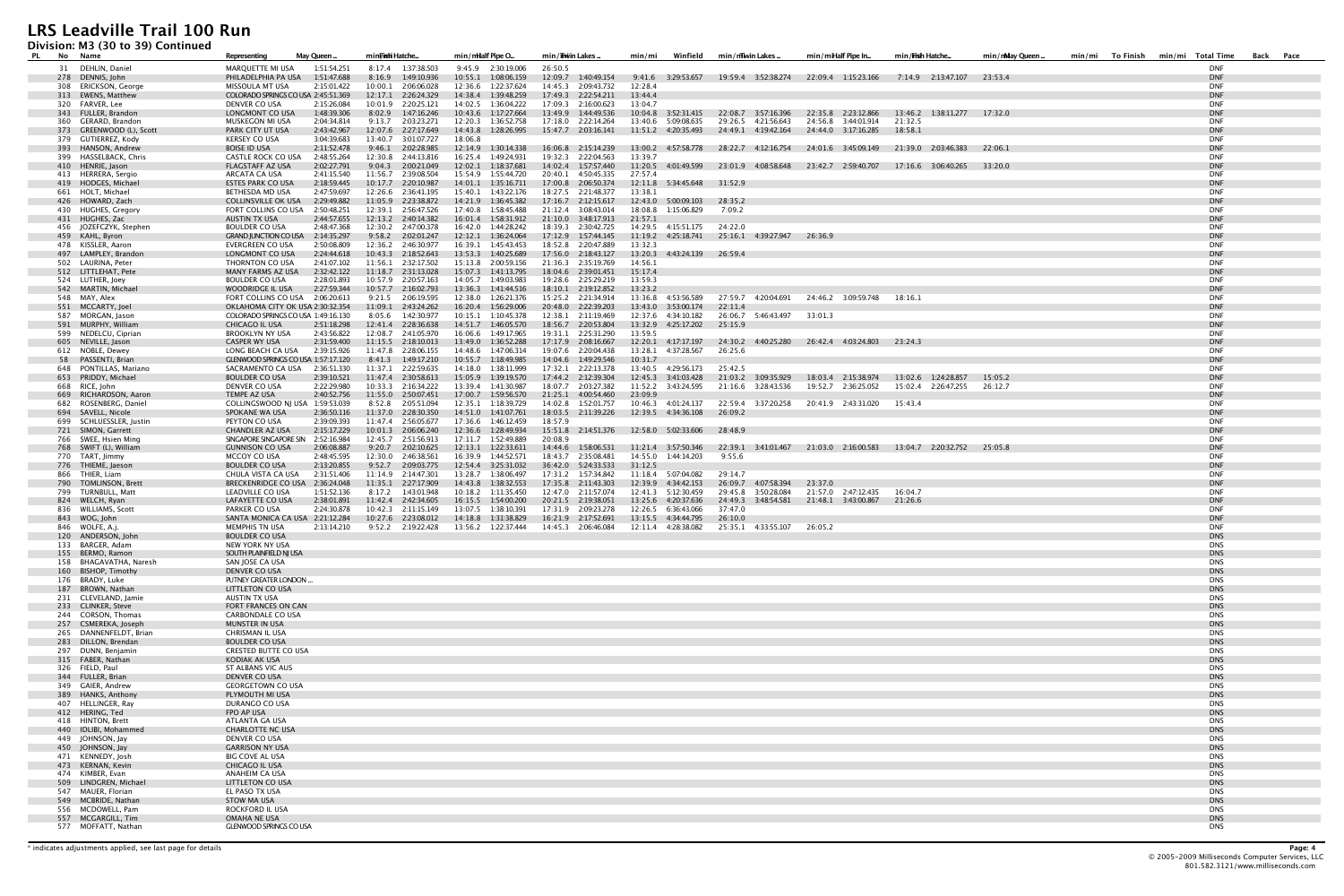**Division: M3 (30 to 39) Continued**

| <u>Presidim mp (90 to 99) continueu</u><br>PL.<br>No Name | May Queen.<br>Representing                                                     | min <b>Fish</b> i Hatche                                                             | min/mHalf Pipe O                             | min/Thwin Lakes                             | Winfield<br>min/mi                              | min/miwin Lakes                                                                                             | min/miHalf Pipe In                              | min/ <b>Fish Hatche</b>                         | min/mMay Queen. | To Finish<br>min/mi Total Time<br>Back Pace<br>min/mi |
|-----------------------------------------------------------|--------------------------------------------------------------------------------|--------------------------------------------------------------------------------------|----------------------------------------------|---------------------------------------------|-------------------------------------------------|-------------------------------------------------------------------------------------------------------------|-------------------------------------------------|-------------------------------------------------|-----------------|-------------------------------------------------------|
| 31 DEHLIN, Daniel                                         | MARQUETTE MI USA<br>1:51:54.251                                                | 8:17.4 1:37:38.503                                                                   | 9:45.9 2:30:19.006                           | 26:50.5                                     |                                                 |                                                                                                             |                                                 |                                                 |                 | <b>DNF</b>                                            |
| 278 DENNIS, John                                          | PHILADELPHIA PA USA 1:51:47.688                                                | 8:16.9 1:49:10.936                                                                   | 10:55.1  1:08:06.159                         | 12:09.7  1:40:49.154                        |                                                 | 9:41.6 3:29:53.657 19:59.4 3:52:38.274 22:09.4 1:15:23.166 7:14.9 2:13:47.107 23:53.4                       |                                                 |                                                 |                 | <b>DNF</b>                                            |
| 308 ERICKSON, George<br>313 EWENS, Matthew                | 2:15:01.422<br>MISSOULA MT USA<br>COLORADO SPRINGS CO USA 2:45:51.369          | 10:00.1 2:06:06.028<br>12:17.1 2:26:24.329                                           | 12:36.6 1:22:37.624<br>14:38.4  1:39:48.259  | 14:45.3 2:09:43.732<br>17:49.3 2:22:54.211  | 12:28.4<br>13:44.4                              |                                                                                                             |                                                 |                                                 |                 | <b>DNF</b><br><b>DNF</b>                              |
| 320 FARVER, Lee                                           | 2:15:26.084<br>DENVER CO USA                                                   | 10:01.9 2:20:25.121                                                                  | 14:02.5  1:36:04.222                         | 17:09.3 2:16:00.623                         | 13:04.7                                         |                                                                                                             |                                                 |                                                 |                 | <b>DNF</b>                                            |
| 343 FULLER, Brandon                                       | LONGMONT CO USA<br>1:48:39.306                                                 | 8:02.9 1:47:16.246                                                                   | 10:43.6 1:17:27.664                          | 13:49.9 1:44:49.536                         |                                                 | 10:04.8  3:52:31.415  22:08.7  3:57:16.396                                                                  |                                                 | 22:35.8 2:23:12.866 13:46.2 1:38:11.277 17:32.0 |                 | <b>DNF</b>                                            |
| 360 GERARD, Brandon                                       | MUSKEGON MI USA<br>2:04:34.814                                                 | 9:13.7 2:03:23.271                                                                   | 12:20.3 1:36:52.758                          | 17:18.0 2:22:14.264                         | 13:40.6 5:09:08.635                             | 29:26.5 4:21:56.643                                                                                         | 24:56.8 3:44:01.914                             | 21:32.5                                         |                 | DNF                                                   |
| 373 GREENWOOD (L), Scott<br>379 GUTIERREZ, Kody           | PARK CITY UT USA<br>2:43:42.967<br><b>KERSEY CO USA</b><br>3:04:39.683         | 12:07.6 2:27:17.649<br>13:40.7 3:01:07.727                                           | 14:43.8  1:28:26.995<br>18:06.8              | 15:47.7 2:03:16.141                         |                                                 | 11:51.2 4:20:35.493 24:49.1 4:19:42.164 24:44.0 3:17:16.285 18:58.1                                         |                                                 |                                                 |                 | <b>DNF</b><br><b>DNF</b>                              |
| 393 HANSON, Andrew                                        | <b>BOISE ID USA</b><br>2:11:52.478                                             | 9:46.1 2:02:28.985                                                                   | 12:14.9  1:30:14.338                         | 16:06.8 2:15:14.239                         |                                                 | 13:00.2 4:57:58.778 28:22.7 4:12:16.754 24:01.6 3:45:09.149                                                 |                                                 | 21:39.0 2:03:46.383 22:06.1                     |                 | <b>DNF</b>                                            |
| 399 HASSELBACK, Chris                                     | <b>CASTLE ROCK CO USA</b><br>2:48:55.264                                       | 12:30.8 2:44:13.816                                                                  | 16:25.4 1:49:24.931                          | 19:32.3 2:22:04.563                         | 13:39.7                                         |                                                                                                             |                                                 |                                                 |                 | <b>DNF</b>                                            |
| 410 HENRIE, Jason                                         | <b>FLAGSTAFF AZ USA</b><br>2:02:27.791                                         | 9:04.3 2:00:21.049                                                                   | 12:02.1 1:18:37.681                          | 14:02.4  1:57:57.440                        |                                                 | 11:20.5 4:01:49.599 23:01.9 4:08:58.648 23:42.7 2:59:40.707 17:16.6 3:06:40.265 33:20.0                     |                                                 |                                                 |                 | <b>DNF</b>                                            |
| 413 HERRERA, Sergio<br>419 HODGES, Michael                | 2:41:15.540<br>ARCATA CA USA<br>ESTES PARK CO USA<br>2:18:59.445               | 11:56.7 2:39:08.504<br>10:17.7 2:20:10.987                                           | 15:54.9  1:55:44.720<br>14:01.1  1:35:16.711 | 20:40.1 4:50:45.335<br>17:00.8 2:06:50.374  | 27:57.4<br>12:11.8 5:34:45.648 31:52.9          |                                                                                                             |                                                 |                                                 |                 | <b>DNF</b><br><b>DNF</b>                              |
| 661 HOLT, Michael                                         | 2:47:59.697<br>BETHESDA MD USA                                                 | 12:26.6 2:36:41.195                                                                  | 15:40.1  1:43:22.176                         | 18:27.5 2:21:48.377                         | 13:38.1                                         |                                                                                                             |                                                 |                                                 |                 | <b>DNF</b>                                            |
| 426 HOWARD, Zach                                          | 2:29:49.882<br>COLLINSVILLE OK USA                                             | 11:05.9 2:23:38.872                                                                  | 14:21.9  1:36:45.382                         | 17:16.7 2:12:15.617                         | 12:43.0 5:00:09.103 28:35.2                     |                                                                                                             |                                                 |                                                 |                 | <b>DNF</b>                                            |
| 430 HUGHES, Gregory                                       | FORT COLLINS CO USA<br>2:50:48.251                                             | 12:39.1 2:56:47.526                                                                  | 17:40.8  1:58:45.488                         | 21:12.4 3:08:43.014                         | 18:08.8 1:15:06.829                             | 7:09.2                                                                                                      |                                                 |                                                 |                 | DNF<br><b>DNF</b>                                     |
| 431 HUGHES, Zac<br>456 JOZEFCZYK, Stephen                 | AUSTIN TX USA<br>2:44:57.655<br><b>BOULDER CO USA</b><br>2:48:47.368           | 12:13.2  2:40:14.382<br>12:30.2 2:47:00.378                                          | 16:01.4  1:58:31.912<br>16:42.0  1:44:28.242 | 21:10.0 3:48:17.913<br>18:39.3 2:30:42.725  | 21:57.1<br>14:29.5 4:15:51.175 24:22.0          |                                                                                                             |                                                 |                                                 |                 | <b>DNF</b>                                            |
| 459 KAHL, Byron                                           | GRAND JUNCTION CO USA 2:14:35.297                                              | 9:58.2 2:02:01.247                                                                   | 12:12.1  1:36:24.064                         | 17:12.9  1:57:44.145                        |                                                 | 11:19.2  4:25:18.741  25:16.1  4:39:27.947  26:36.9                                                         |                                                 |                                                 |                 | <b>DNF</b>                                            |
| 478 KISSLER, Aaron                                        | EVERGREEN CO USA<br>2:50:08.809                                                | 12:36.2 2:46:30.977                                                                  | 16:39.1  1:45:43.453                         | 18:52.8 2:20:47.889                         | 13:32.3                                         |                                                                                                             |                                                 |                                                 |                 | <b>DNF</b>                                            |
| 497 LAMPLEY, Brandon                                      | LONGMONT CO USA<br>2:24:44.618                                                 | 10:43.3 2:18:52.643                                                                  | 13:53.3 1:40:25.689                          | 17:56.0 2:18:43.127                         | 13:20.3 4:43:24.139 26:59.4                     |                                                                                                             |                                                 |                                                 |                 | <b>DNF</b>                                            |
| 502 LAURINA, Peter<br>512 LITTLEHAT, Pete                 | THORNTON CO USA<br>2:41:07.102<br>MANY FARMS AZ USA<br>2:32:42.122             | 11:56.1 2:32:17.502<br>11:18.7 2:31:13.028                                           | 15:13.8 2:00:59.156<br>15:07.3  1:41:13.795  | 21:36.3 2:35:19.769<br>18:04.6 2:39:01.451  | 14:56.1<br>15:17.4                              |                                                                                                             |                                                 |                                                 |                 | DNF<br><b>DNF</b>                                     |
| 524 LUTHER, Joey                                          | <b>BOULDER CO USA</b><br>2:28:01.893                                           | 10:57.9 2:20:57.163                                                                  | 14:05.7 1:49:03.983                          | 19:28.6 2:25:29.219                         | 13:59.3                                         |                                                                                                             |                                                 |                                                 |                 | <b>DNF</b>                                            |
| 542 MARTIN, Michael                                       | 2:27:59.344<br>WOODRIDGE IL USA                                                | 10:57.7 2:16:02.793                                                                  | 13:36.3    1:41:44.516                       | 18:10.1 2:19:12.852                         | 13:23.2                                         |                                                                                                             |                                                 |                                                 |                 | <b>DNF</b>                                            |
| 548 MAY, Alex<br>551 MCCARTY, Joel                        | FORT COLLINS CO USA 2:06:20.613                                                | 9:21.5 2:06:19.595<br>11:09.1  2:43:24.262                                           | 12:38.0 1:26:21.376<br>16:20.4 1:56:29.006   | 15:25.2  2:21:34.914<br>20:48.0 2:22:39.203 | 13:36.8 4:53:56.589<br>13:43.0  3:53:00.174     | 22:11.4                                                                                                     | 27:59.7 4:20:04.691 24:46.2 3:09:59.748 18:16.1 |                                                 |                 | <b>DNF</b><br><b>DNF</b>                              |
| 587 MORGAN, Jason                                         | OKLAHOMA CITY OK USA 2:30:32.354<br>COLORADO SPRINGS CO USA 1:49:16.130        | 8:05.6 1:42:30.977                                                                   | 10:15.1 1:10:45.378                          | 12:38.1 2:11:19.469                         | 12:37.6 4:34:10.182                             | 26:06.7 5:46:43.497 33:01.3                                                                                 |                                                 |                                                 |                 | <b>DNF</b>                                            |
| 591 MURPHY, William                                       | CHICAGO IL USA<br>2:51:18.298                                                  | 12:41.4 2:28:36.638                                                                  | 14:51.7  1:46:05.570                         | 18:56.7 2:20:53.804                         | 13:32.9  4:25:17.202                            | 25:15.9                                                                                                     |                                                 |                                                 |                 | <b>DNF</b>                                            |
| 599 NEDELCU, Ciprian                                      | 2:43:56.822<br><b>BROOKLYN NY USA</b>                                          | 12:08.7 2:41:05.970                                                                  | 16:06.6 1:49:17.965                          | 19:31.1 2:25:31.290                         | 13:59.5                                         |                                                                                                             |                                                 |                                                 |                 | DNF                                                   |
| 605 NEVILLE, Jason                                        | 2:31:59.400<br><b>CASPER WY USA</b><br>2:39:15.926                             | 11:15.5 2:18:10.013<br>11:47.8 2:28:06.155                                           | 13:49.0 1:36:52.288                          | 17:17.9 2:08:16.667                         |                                                 | 12:20.1 4:17:17.197 24:30.2 4:40:25.280 26:42.4 4:03:24.803 23:24.3<br>26:25.6                              |                                                 |                                                 |                 | <b>DNF</b><br><b>DNF</b>                              |
| 612 NOBLE, Dewey<br>58 PASSENTI, Brian                    | LONG BEACH CA USA<br>GLENWOOD SPRINGS CO USA 1:57:17.120                       | 8:41.3 1:49:17.210                                                                   | 14:48.6 1:47:06.314<br>10:55.7   1:18:49.985 | 19:07.6 2:20:04.438<br>14:04.6  1:49:29.546 | 13:28.1 4:37:28.567<br>10:31.7                  |                                                                                                             |                                                 |                                                 |                 | <b>DNF</b>                                            |
| 648 PONTILLAS, Mariano                                    | SACRAMENTO CA USA 2:36:51.330                                                  | 11:37.1 2:22:59.635                                                                  | 14:18.0 1:38:11.999                          | 17:32.1 2:22:13.378                         | 13:40.5 4:29:56.173                             | 25:42.5                                                                                                     |                                                 |                                                 |                 | <b>DNF</b>                                            |
| 653 PRIDDY, Michael                                       | <b>BOULDER CO USA</b><br>2:39:10.521                                           | 11:47.4 2:30:58.613                                                                  | 15:05.9  1:39:19.570                         | 17:44.2 2:12:39.304                         | 12:45.3 3:41:03.428                             | 21:03.2 3:09:35.929                                                                                         | 18:03.4 2:15:38.974                             | 13:02.6 1:24:28.857                             | 15:05.2         | <b>DNF</b>                                            |
| 668 RICE, John<br>669 RICHARDSON, Aaron                   | DENVER CO USA<br>2:22:29.980<br>TEMPE AZ USA<br>2:40:52.756                    | 10:33.3 2:16:34.222<br>11:55.0 2:50:07.451                                           | 13:39.4 1:41:30.987                          | 18:07.7 2:03:27.382<br>21:25.1 4:00:54.460  | 23:09.9                                         | 21:16.6 3:28:43.536                                                                                         | 19:52.7 2:36:25.052                             | 15:02.4 2:26:47.255 26:12.7                     |                 | <b>DNF</b><br><b>DNF</b>                              |
| 682 ROSENBERG, Daniel                                     | COLLINGSWOOD NJ USA 1:59:53.039                                                | 8:52.8 2:05:51.094                                                                   | 12:35.1  1:18:39.729                         | 14:02.8  1:52:01.757                        | 10:46.3 4:01:24.137                             | 22:59.4 3:37:20.258                                                                                         | 20:41.9 2:43:31.020                             | 15:43.4                                         |                 | <b>DNF</b>                                            |
| 694 SAVELL, Nicole                                        | SPOKANE WA USA<br>2:36:50.116                                                  | 11:37.0 2:28:30.350                                                                  | 14:51.0  1:41:07.761                         | 18:03.5 2:11:39.226                         | 12:39.5  4:34:36.108                            | 26:09.2                                                                                                     |                                                 |                                                 |                 | <b>DNF</b>                                            |
| 699 SCHLUESSLER, Justin                                   | PEYTON CO USA<br>2:39:09.393                                                   | 11:47.4 2:56:05.677                                                                  | 17:36.6 1:46:12.459                          | 18:57.9                                     |                                                 |                                                                                                             |                                                 |                                                 |                 | DNF                                                   |
| 721 SIMON, Garrett<br>766 SWEE, Hsien Ming                | <b>CHANDLER AZ USA</b><br>2:15:17.229<br>SINGAPORE SINGAPORE SIN 2:52:16.984   | 10:01.3  2:06:06.240<br>12:45.7 2:51:56.913                                          | 12:36.6 1:28:49.934<br>17:11.7  1:52:49.889  | 20:08.9                                     | 15:51.8 2:14:51.376 12:58.0 5:02:33.606 28:48.9 |                                                                                                             |                                                 |                                                 |                 | <b>DNF</b><br><b>DNF</b>                              |
| 768 SWIFT (L), William                                    | <b>GUNNISON CO USA</b><br>2:06:08.887                                          | 9:20.7 2:02:10.625                                                                   | 12:13.1  1:22:33.611                         |                                             |                                                 | 14:44.6 1:58:06.531 11:21.4 3:57:50.346 22:39.1 3:41:01.467 21:03.0 2:16:00.583 13:04.7 2:20:32.752 25:05.8 |                                                 |                                                 |                 | <b>DNF</b>                                            |
| 770 TART, Jimmy                                           | 2:48:45.595<br>MCCOY CO USA                                                    | 12:30.0 2:46:38.561                                                                  | 16:39.9 1:44:52.571                          | 18:43.7 2:35:08.481                         | 14:55.0   1:44:14.203                           | 9:55.6                                                                                                      |                                                 |                                                 |                 | <b>DNF</b>                                            |
| 776 THIEME, Jaeson                                        | <b>BOULDER CO USA</b><br>2:13:20.855                                           | 9:52.7 2:09:03.775                                                                   | 12:54.4 3:25:31.032                          | 36:42.0  5:24:33.533                        | 31:12.5                                         |                                                                                                             |                                                 |                                                 |                 | <b>DNF</b>                                            |
| 866 THIER, Liam<br>790 TOMLINSON, Brett                   | CHULA VISTA CA USA<br>2:31:51.406<br><b>BRECKENRIDGE CO USA</b><br>2:36:24.048 | 11:14.9 2:14:47.301<br>11:35.1 2:27:17.909                                           | 13:28.7 1:38:06.497<br>14:43.8  1:38:32.553  | 17:31.2  1:57:34.842<br>17:35.8 2:11:43.303 | 11:18.4    5:07:04.082<br>12:39.9 4:34:42.153   | 29:14.7<br>26:09.7 4:07:58.394                                                                              | 23:37.0                                         |                                                 |                 | DNF<br><b>DNF</b>                                     |
| 799 TURNBULL, Matt                                        | LEADVILLE CO USA<br>1:51:52.136                                                | 8:17.2  1:43:01.948                                                                  | 10:18.2   1:11:35.450                        | 12:47.0 2:11:57.074                         | 12:41.3    5:12:30.459                          | 29:45.8 3:50:28.084                                                                                         | 21:57.0 2:47:12.435 16:04.7                     |                                                 |                 | DNF                                                   |
| 824 WELCH, Ryan                                           | LAFAYETTE CO USA<br>2:38:01.891                                                | 11:42.4 2:42:34.605                                                                  | 16:15.5   1:54:00.200                        | 20:21.5 2:19:38.051                         | 13:25.6 4:20:37.636                             | 24:49.3 3:48:54.581 21:48.1 3:43:00.867 21:26.6                                                             |                                                 |                                                 |                 | <b>DNF</b>                                            |
| 836 WILLIAMS, Scott                                       | PARKER CO USA<br>2:24:30.878                                                   | 10:42.3 2:11:15.149                                                                  | 13:07.5  1:38:10.391                         | 17:31.9 2:09:23.278                         | 12:26.5 6:36:43.066                             | 37:47.0                                                                                                     |                                                 |                                                 |                 | <b>DNF</b><br><b>DNF</b>                              |
| 843 WOG, John<br>846 WOLFE, A.j.                          | SANTA MONICA CA USA 2:21:12.284<br>MEMPHIS TN USA<br>2:13:14.210               | 10:27.6  2:23:08.012  14:18.8  1:31:38.829<br>9:52.2 2:19:22.428 13:56.2 1:22:37.444 |                                              | 16:21.9 2:17:52.691<br>14:45.3 2:06:46.084  | 13:15.5   4:34:44.795<br>12:11.4  4:28:38.082   | 26:10.0<br>25:35.1 4:33:55.107                                                                              | 26:05.2                                         |                                                 |                 | DNF                                                   |
| 120 ANDERSON, John                                        | <b>BOULDER CO USA</b>                                                          |                                                                                      |                                              |                                             |                                                 |                                                                                                             |                                                 |                                                 |                 | <b>DNS</b>                                            |
| 133 BARGER, Adam                                          | NEW YORK NY USA                                                                |                                                                                      |                                              |                                             |                                                 |                                                                                                             |                                                 |                                                 |                 | <b>DNS</b>                                            |
| 155 BERMO, Ramon<br>158 BHAGAVATHA, Naresh                | SOUTH PLAINFIELD NJ USA<br>SAN JOSE CA USA                                     |                                                                                      |                                              |                                             |                                                 |                                                                                                             |                                                 |                                                 |                 | <b>DNS</b><br><b>DNS</b>                              |
| 160 BISHOP, Timothy                                       | <b>DENVER CO USA</b>                                                           |                                                                                      |                                              |                                             |                                                 |                                                                                                             |                                                 |                                                 |                 | <b>DNS</b>                                            |
| 176 BRADY, Luke                                           | PUTNEY GREATER LONDON                                                          |                                                                                      |                                              |                                             |                                                 |                                                                                                             |                                                 |                                                 |                 | <b>DNS</b>                                            |
| 187 BROWN, Nathan                                         | LITTLETON CO USA                                                               |                                                                                      |                                              |                                             |                                                 |                                                                                                             |                                                 |                                                 |                 | <b>DNS</b>                                            |
| 231 CLEVELAND, Jamie<br>233 CLINKER, Steve                | AUSTIN TX USA<br>FORT FRANCES ON CAN                                           |                                                                                      |                                              |                                             |                                                 |                                                                                                             |                                                 |                                                 |                 | <b>DNS</b><br><b>DNS</b>                              |
| 244 CORSON, Thomas                                        | <b>CARBONDALE CO USA</b>                                                       |                                                                                      |                                              |                                             |                                                 |                                                                                                             |                                                 |                                                 |                 | <b>DNS</b>                                            |
| 257 CSMEREKA, Joseph                                      | <b>MUNSTER IN USA</b>                                                          |                                                                                      |                                              |                                             |                                                 |                                                                                                             |                                                 |                                                 |                 | <b>DNS</b>                                            |
| 265 DANNENFELDT, Brian<br>283 DILLON, Brendan             | CHRISMAN IL USA<br><b>BOULDER CO USA</b>                                       |                                                                                      |                                              |                                             |                                                 |                                                                                                             |                                                 |                                                 |                 | <b>DNS</b><br><b>DNS</b>                              |
| 297 DUNN, Benjamin                                        | <b>CRESTED BUTTE CO USA</b>                                                    |                                                                                      |                                              |                                             |                                                 |                                                                                                             |                                                 |                                                 |                 | <b>DNS</b>                                            |
| 315 FABER, Nathan                                         | KODIAK AK USA                                                                  |                                                                                      |                                              |                                             |                                                 |                                                                                                             |                                                 |                                                 |                 | <b>DNS</b>                                            |
| 326 FIELD, Paul                                           | ST ALBANS VIC AUS                                                              |                                                                                      |                                              |                                             |                                                 |                                                                                                             |                                                 |                                                 |                 | <b>DNS</b>                                            |
| 344 FULLER, Brian<br>349 GAIER, Andrew                    | <b>DENVER CO USA</b><br><b>GEORGETOWN CO USA</b>                               |                                                                                      |                                              |                                             |                                                 |                                                                                                             |                                                 |                                                 |                 | <b>DNS</b><br><b>DNS</b>                              |
| 389 HANKS, Anthony                                        | PLYMOUTH MI USA                                                                |                                                                                      |                                              |                                             |                                                 |                                                                                                             |                                                 |                                                 |                 | <b>DNS</b>                                            |
| 407 HELLINGER, Ray                                        | DURANGO CO USA                                                                 |                                                                                      |                                              |                                             |                                                 |                                                                                                             |                                                 |                                                 |                 | <b>DNS</b>                                            |
| 412 HERING, Ted                                           | FPO AP USA                                                                     |                                                                                      |                                              |                                             |                                                 |                                                                                                             |                                                 |                                                 |                 | <b>DNS</b>                                            |
| 418 HINTON, Brett<br>440 IDLIBI, Mohammed                 | ATLANTA GA USA<br><b>CHARLOTTE NC USA</b>                                      |                                                                                      |                                              |                                             |                                                 |                                                                                                             |                                                 |                                                 |                 | <b>DNS</b><br><b>DNS</b>                              |
| 449 JOHNSON, Jay                                          | DENVER CO USA                                                                  |                                                                                      |                                              |                                             |                                                 |                                                                                                             |                                                 |                                                 |                 | <b>DNS</b>                                            |
| 450 JOHNSON, Jay                                          | <b>GARRISON NY USA</b>                                                         |                                                                                      |                                              |                                             |                                                 |                                                                                                             |                                                 |                                                 |                 | <b>DNS</b>                                            |
| 471 KENNEDY, Josh                                         | <b>BIG COVE AL USA</b>                                                         |                                                                                      |                                              |                                             |                                                 |                                                                                                             |                                                 |                                                 |                 | <b>DNS</b>                                            |
| 473 KERNAN, Kevin<br>474 KIMBER, Evan                     | CHICAGO IL USA<br>ANAHEIM CA USA                                               |                                                                                      |                                              |                                             |                                                 |                                                                                                             |                                                 |                                                 |                 | <b>DNS</b><br><b>DNS</b>                              |
| 509 LINDGREN, Michael                                     | <b>LITTLETON CO USA</b>                                                        |                                                                                      |                                              |                                             |                                                 |                                                                                                             |                                                 |                                                 |                 | <b>DNS</b>                                            |
| 547 MAUER, Florian                                        | EL PASO TX USA                                                                 |                                                                                      |                                              |                                             |                                                 |                                                                                                             |                                                 |                                                 |                 | <b>DNS</b>                                            |
| 549 MCBRIDE, Nathan                                       | <b>STOW MA USA</b><br><b>ROCKFORD IL USA</b>                                   |                                                                                      |                                              |                                             |                                                 |                                                                                                             |                                                 |                                                 |                 | <b>DNS</b><br><b>DNS</b>                              |
| 556 MCDOWELL, Pam<br>557 MCGARGILL, Tim                   | OMAHA NE USA                                                                   |                                                                                      |                                              |                                             |                                                 |                                                                                                             |                                                 |                                                 |                 | <b>DNS</b>                                            |
| 577 MOFFATT, Nathan                                       | <b>GLENWOOD SPRINGS CO USA</b>                                                 |                                                                                      |                                              |                                             |                                                 |                                                                                                             |                                                 |                                                 |                 | <b>DNS</b>                                            |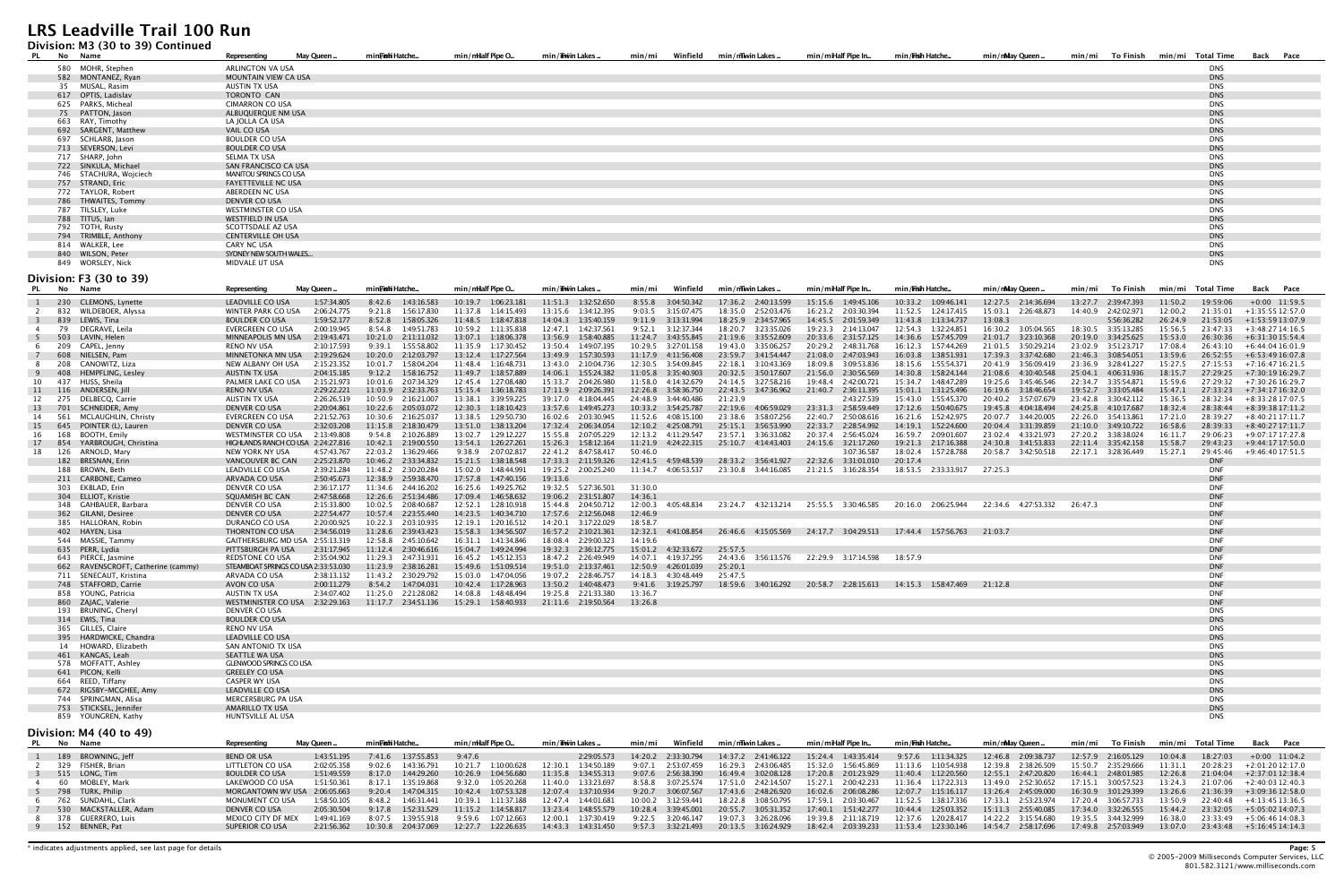#### **Division: M3 (30 to 39) Continued**

| PL                             | No Name                                                   | Representing                                                | May Queen.                                          | min <b>Fish</b> i Hatche.                                                                                            | min/mHalf Pipe O.                            | min/Thwin Lakes .                             | Winfield<br>min/mi                            | min/mwinLakes.                                              | min/miHalf Pipe In                               | min/ <b>Frish</b> Hatche                                                                | min/mMay Queen.                               | To Finish<br>min/mi                        | min/mi Total Time                          | Back Pace                             |
|--------------------------------|-----------------------------------------------------------|-------------------------------------------------------------|-----------------------------------------------------|----------------------------------------------------------------------------------------------------------------------|----------------------------------------------|-----------------------------------------------|-----------------------------------------------|-------------------------------------------------------------|--------------------------------------------------|-----------------------------------------------------------------------------------------|-----------------------------------------------|--------------------------------------------|--------------------------------------------|---------------------------------------|
|                                | 580 MOHR, Stephen                                         | ARLINGTON VA USA                                            |                                                     |                                                                                                                      |                                              |                                               |                                               |                                                             |                                                  |                                                                                         |                                               |                                            | DNS                                        |                                       |
|                                | 582 MONTANEZ, Ryan                                        | MOUNTAIN VIEW CA USA                                        |                                                     |                                                                                                                      |                                              |                                               |                                               |                                                             |                                                  |                                                                                         |                                               |                                            | <b>DNS</b>                                 |                                       |
|                                | 35 MUSAL, Rasim<br>617 OPTIS, Ladislav                    | AUSTIN TX USA<br><b>TORONTO CAN</b>                         |                                                     |                                                                                                                      |                                              |                                               |                                               |                                                             |                                                  |                                                                                         |                                               |                                            | <b>DNS</b><br><b>DNS</b>                   |                                       |
|                                | 625 PARKS, Micheal                                        | <b>CIMARRON CO USA</b>                                      |                                                     |                                                                                                                      |                                              |                                               |                                               |                                                             |                                                  |                                                                                         |                                               |                                            | <b>DNS</b>                                 |                                       |
|                                | 75 PATTON, Jason                                          | ALBUQUERQUE NM USA                                          |                                                     |                                                                                                                      |                                              |                                               |                                               |                                                             |                                                  |                                                                                         |                                               |                                            | <b>DNS</b>                                 |                                       |
|                                | 663 RAY, Timothy                                          | LA JOLLA CA USA                                             |                                                     |                                                                                                                      |                                              |                                               |                                               |                                                             |                                                  |                                                                                         |                                               |                                            | <b>DNS</b>                                 |                                       |
|                                | 692 SARGENT, Matthew<br>697 SCHLARB, Jason                | VAIL CO USA<br><b>BOULDER CO USA</b>                        |                                                     |                                                                                                                      |                                              |                                               |                                               |                                                             |                                                  |                                                                                         |                                               |                                            | <b>DNS</b><br><b>DNS</b>                   |                                       |
|                                | 713 SEVERSON, Levi                                        | <b>BOULDER CO USA</b>                                       |                                                     |                                                                                                                      |                                              |                                               |                                               |                                                             |                                                  |                                                                                         |                                               |                                            | <b>DNS</b>                                 |                                       |
|                                | 717 SHARP, John                                           | SELMA TX USA                                                |                                                     |                                                                                                                      |                                              |                                               |                                               |                                                             |                                                  |                                                                                         |                                               |                                            | <b>DNS</b>                                 |                                       |
|                                | 722 SINKULA, Michael                                      | SAN FRANCISCO CA USA                                        |                                                     |                                                                                                                      |                                              |                                               |                                               |                                                             |                                                  |                                                                                         |                                               |                                            | <b>DNS</b>                                 |                                       |
|                                | 746 STACHURA, Wojciech<br>757 STRAND, Eric                | <b>MANITOU SPRINGS CO USA</b><br><b>FAYETTEVILLE NC USA</b> |                                                     |                                                                                                                      |                                              |                                               |                                               |                                                             |                                                  |                                                                                         |                                               |                                            | <b>DNS</b><br><b>DNS</b>                   |                                       |
|                                | 772 TAYLOR, Robert                                        | ABERDEEN NC USA                                             |                                                     |                                                                                                                      |                                              |                                               |                                               |                                                             |                                                  |                                                                                         |                                               |                                            | <b>DNS</b>                                 |                                       |
|                                | 786 THWAITES, Tommy                                       | DENVER CO USA                                               |                                                     |                                                                                                                      |                                              |                                               |                                               |                                                             |                                                  |                                                                                         |                                               |                                            | <b>DNS</b>                                 |                                       |
|                                | 787 TILSLEY, Luke                                         | WESTMINSTER CO USA                                          |                                                     |                                                                                                                      |                                              |                                               |                                               |                                                             |                                                  |                                                                                         |                                               |                                            | <b>DNS</b>                                 |                                       |
|                                | 788 TITUS, Ian<br>792 TOTH, Rusty                         | WESTFIELD IN USA<br>SCOTTSDALE AZ USA                       |                                                     |                                                                                                                      |                                              |                                               |                                               |                                                             |                                                  |                                                                                         |                                               |                                            | <b>DNS</b><br><b>DNS</b>                   |                                       |
|                                | 794 TRIMBLE, Anthony                                      | <b>CENTERVILLE OH USA</b>                                   |                                                     |                                                                                                                      |                                              |                                               |                                               |                                                             |                                                  |                                                                                         |                                               |                                            | <b>DNS</b>                                 |                                       |
|                                | 814 WALKER, Lee                                           | CARY NC USA                                                 |                                                     |                                                                                                                      |                                              |                                               |                                               |                                                             |                                                  |                                                                                         |                                               |                                            | <b>DNS</b>                                 |                                       |
|                                | 840 WILSON, Peter                                         | SYDNEY NEW SOUTH WALES                                      |                                                     |                                                                                                                      |                                              |                                               |                                               |                                                             |                                                  |                                                                                         |                                               |                                            | <b>DNS</b>                                 |                                       |
|                                | 849 WORSLEY, Nick                                         | MIDVALE UT USA                                              |                                                     |                                                                                                                      |                                              |                                               |                                               |                                                             |                                                  |                                                                                         |                                               |                                            | DNS                                        |                                       |
|                                | Division: F3 (30 to 39)                                   |                                                             |                                                     |                                                                                                                      |                                              |                                               |                                               |                                                             |                                                  |                                                                                         |                                               |                                            |                                            |                                       |
| PL                             | No Name                                                   | Representing                                                | May Queen .                                         | minFishi Hatche                                                                                                      | min/milalf Pipe O                            | min/Trivin Lakes                              | min/min<br>Winfield                           | min/miwin Lakes .                                           | min/miHalf Pipe In                               | min / <b>Fish</b> Hatche                                                                | min/mMay Queen.                               | min/mi<br>To Finish                        | min/mi Total Time                          | Back Pace                             |
| $\mathbf{1}$                   | 230 CLEMONS, Lynette                                      | LEADVILLE CO USA                                            | 1:57:34.805                                         | 8:42.6 1:43:16.583                                                                                                   | 10:19.7 1:06:23.181                          | 11:51.3  1:32:52.650                          | 8:55.8 3:04:50.342                            | 17:36.2 2:40:13.599                                         | 15:15.6 1:49:45.106                              | 10:33.2  1:09:46.141                                                                    | 12:27.5 2:14:36.694                           | 13:27.7 2:39:47.393                        | 11:50.2<br>19:59:06                        | $+0.00$ 11:59.5                       |
|                                | 832 WILDEBOER, Alyssa                                     | WINTER PARK CO USA                                          | 2:06:24.775                                         | 9:21.8 1:56:17.830                                                                                                   | 11:37.8  1:14:15.493                         | 13:15.6 1:34:12.395                           | 9:03.5 3:15:07.475                            | 18:35.0 2:52:03.476                                         | 16:23.2 2:03:30.394                              | 11:52.5  1:24:17.415                                                                    | 15:03.1 2:26:48.873                           | 14:40.9 2:42:02.971                        | 12:00.2<br>21:35:01                        | +1:35:55 12:57.0                      |
| 839<br>$\overline{\mathbf{3}}$ | LEWIS, Tina                                               | <b>BOULDER CO USA</b>                                       | 1:59:52.177                                         |                                                                                                                      | 11:48.5 1:18:47.818                          | 14:04.3  1:35:40.159                          |                                               | 18:25.9 2:34:57.965                                         | 14:45.5 2:01:59.349                              | 11:43.8  1:13:34.737                                                                    | 13:08.3                                       | 5:56:36.282                                | 26:24.9<br>21:53:05                        | +1:53:59 13:07.9                      |
|                                | 79 DEGRAVE, Leila                                         | EVERGREEN CO USA                                            | 2:00:19.945                                         | 8:54.8<br>1:49:51.783<br>10:21.0 2:11:11.032                                                                         | 10:59.2 1:11:35.838                          | 12:47.1  1:42:37.561                          | 9:52.1<br>3:12:37.344<br>11:24.7              | 18:20.7 3:23:35.026                                         | 19:23.3 2:14:13.047<br>20:33.6 2:31:57.125       | 12:54.3  1:32:24.851                                                                    | 16:30.2 3:05:04.565                           | 18:30.5 3:35:13.285<br>20:19.0 3:34:25.625 | 15:56.5<br>23:47:33<br>26:30:36            | $+3:48:2714:16.5$<br>+6:31:30 15:54.4 |
| 5<br>503<br>209<br>6           | LAVIN, Helen<br>CAPEL, Jenny                              | MINNEAPOLIS MN USA<br>RENO NV USA                           | 2:19:43.471<br>2:10:17.593                          | 9:39.1 1:55:58.802                                                                                                   | 13:07.1  1:18:06.378<br>11:35.9 1:17:30.452  | 13:56.9   1:58:40.885<br>13:50.4 1:49:07.195  | 3:43:55.845<br>10:29.5 3:27:01.158            | 21:19.6 3:35:52.609<br>19:43.0 3:35:06.257                  | 20:29.2 2:48:31.768                              | 14:36.6 1:57:45.709<br>16:12.3  1:57:44.269                                             | 21:01.7 3:23:10.368<br>21:01.5 3:50:29.214    | 23:02.9 3:51:23.717                        | 15:53.0<br>17:08.4<br>26:43:10             | $+6:44:0416:01.9$                     |
| 608                            | NIELSEN, Pam                                              | MINNETONKA MN USA                                           | 2:19:29.624                                         | 10:20.0 2:12:03.797                                                                                                  | 13:12.4  1:17:27.564                         | 13:49.9 1:57:30.593                           | 11:17.9<br>4:11:56.408                        | 23:59.7 3:41:54.447                                         | 21:08.0 2:47:03.943                              | 16:03.8 1:38:51.931                                                                     | 17:39.3 3:37:42.680                           | 21:46.3 3:08:54.051                        | 13:59.6<br>26:52:55                        | +6:53:49 16:07.8                      |
| 208                            | CANOWITZ, Liza                                            | NEW ALBANY OH USA                                           | 2:15:23.352                                         | 10:01.7<br>1:58:04.204                                                                                               | 11:48.4 1:16:48.731                          | 13:43.0 2:10:04.736                           | 12:30.5 3:54:09.845                           | 22:18.1 3:10:43.369                                         | 18:09.8 3:09:53.836                              | 18:15.6 1:55:54.371                                                                     | 20:41.9 3:56:09.419                           | 23:36.9 3:28:41.227                        | 15:27.5<br>27:15:53                        | +7:16:47 16:21.5                      |
| 408                            | HEMPFLING, Lesley                                         | <b>AUSTIN TX USA</b>                                        | 2:04:15.185                                         | 9:12.2<br>1:58:16.752                                                                                                | 11:49.7  1:18:57.889                         | 14:06.1  1:55:24.382                          | 11:05.8  3:35:40.903                          | 20:32.5 3:50:17.607                                         | 21:56.0 2:30:56.569                              | 14:30.8  1:58:24.144                                                                    | 21:08.6 4:10:40.548                           | 25:04.1 4:06:31.936                        | 18:15.7                                    | 27:29:25 +7:30:19 16:29.7             |
| 437<br>10<br>11<br>116         | HUSS, Sheila<br>ANDERSEN, Jill                            | PALMER LAKE CO USA<br><b>RENO NV USA</b>                    | 2:15:21.973<br>2:29:22.221                          | 10:01.6 2:07:34.329<br>11:03.9 2:32:33.763                                                                           | 12:45.4 1:27:08.480<br>15:15.4  1:36:18.783  | 15:33.7 2:04:26.980<br>17:11.9<br>2:09:26.391 | 11:58.0 4:14:32.679<br>12:26.8<br>3:58:36.750 | 24:14.5 3:27:58.216<br>22:43.5 3:47:36.962                  | 19:48.4<br>2:42:00.721<br>21:40.7<br>2:36:11.395 | 15:34.7 1:48:47.289<br>15:01.1  1:31:25.496                                             | 19:25.6 3:45:46.546<br>16:19.6<br>3:18:46.654 | 22:34.7 3:35:54.871<br>19:52.7 3:33:05.484 | 15:59.6<br>27:29:32<br>15:47.1<br>27:33:23 | +7:30:26 16:29.7<br>+7:34:17 16:32.0  |
| 275<br>12                      | DELBECQ, Carrie                                           | AUSTIN TX USA                                               | 2:26:26.519                                         | 10:50.9 2:16:21.007                                                                                                  | 13:38.1 3:39:59.225                          | 39:17.0 4:18:04.445                           | 24:48.9 3:44:40.486                           | 21:23.9                                                     | 2:43:27.539                                      | 15:43.0 1:55:45.370                                                                     | 20:40.2 3:57:07.679                           | 23:42.8 3:30:42.112                        | 15:36.5<br>28:32:34                        | +8:33:28 17:07.5                      |
| 701<br>- 13                    | SCHNEIDER, Amy                                            | DENVER CO USA                                               | 2:20:04.861                                         | 10:22.6 2:05:03.072                                                                                                  | 12:30.3  1:18:10.423                         | 13:57.6 1:49:45.273                           |                                               | 22:19.6<br>4:06:59.029                                      | 2:58:59.449<br>23:31.3                           | 17:12.6  1:50:40.675                                                                    | 19:45.8 4:04:18.494                           | 24:25.8 4:10:17.687                        | 18:32.4<br>28:38:44                        | $+8:39:3817:11.2$                     |
| 561<br>14                      | MCLAUGHLIN, Christy                                       | EVERGREEN CO USA                                            | 2:21:52.763                                         | 10:30.6 2:16:25.037                                                                                                  | 13:38.5 1:29:50.730                          | 16:02.6 2:03:30.945                           | 11:52.6 4:08:15.100                           | 23:38.6 3:58:07.256                                         | 22:40.7 2:50:08.616                              | 16:21.6 1:52:42.975                                                                     | 20:07.7 3:44:20.005                           | 22:26.0 3:54:13.861                        | 17:21.0                                    | 28:39:27 +8:40:2117:11.7              |
| 15 645<br>16<br>168            | POINTER (L), Lauren<br>BOOTH, Emily                       | DENVER CO USA<br>WESTMINSTER CO USA                         | 2:32:03.208<br>2:13:49.808                          | 11:15.8 2:18:30.479<br>9:54.8 2:10:26.889                                                                            | 13:51.0  1:38:13.204<br>13:02.7 1:29:12.227  | 17:32.4 2:06:34.054<br>15:55.8 2:07:05.229    | 12:10.2  4:25:08.791<br>12:13.2  4:11:29.547  | 25:15.1 3:56:53.990<br>23:57.1 3:36:33.082                  | 22:33.7 2:28:54.992<br>20:37.4 2:56:45.024       | 14:19.1  1:52:24.600<br>16:59.7 2:09:01.607                                             | 20:04.4 3:31:39.859<br>23:02.4 4:33:21.973    | 21:10.0 3:49:10.722<br>27:20.2 3:38:38.024 | 16:58.6<br>28:39:33<br>16:11.7<br>29:06:23 | $+8:40:2717:11.7$<br>+9:07:17 17:27.8 |
| 17 854                         | YARBROUGH, Christina                                      |                                                             | HIGHLANDS RANCH CO USA 2:24:27.816                  | 10:42.1  2:19:00.550                                                                                                 | 13:54.1  1:26:27.261                         | 15:26.3   1:58:12.164                         | 11:21.9  4:24:22.315                          | 25:10.7 4:14:43.403                                         | 24:15.6 3:21:17.260                              | 19:21.3 2:17:16.388                                                                     | 24:30.8 3:41:53.833                           | 22:11.4 3:35:42.158                        | 15:58.7<br>29:43:23                        | $+9:44:1717:50.0$                     |
| 18                             | 126 ARNOLD, Mary                                          | NEW YORK NY USA                                             | 4:57:43.767                                         | 22:03.2 1:36:29.466                                                                                                  | 9:38.9<br>2:07:02.817                        | 22:41.2 8:47:58.417                           | 50:46.0                                       |                                                             | 3:07:36.587                                      | 18:02.4 1:57:28.788                                                                     | 20:58.7 3:42:50.518                           | 22:17.1 3:28:36.449                        | 15:27.1<br>29:45:46                        | $+9:46:4017:51.5$                     |
|                                | 182 BRESNAN, Erin                                         | VANCOUVER BC CAN                                            | 2:25:23.870                                         | 10:46.2 2:33:34.832                                                                                                  | 15:21.5   1:38:18.548                        | 17:33.3 2:11:59.326                           | 12:41.5 4:59:48.539                           | 28:33.2 3:56:41.927                                         | 22:32.6 3:31:01.010                              | 20:17.4                                                                                 |                                               |                                            | <b>DNF</b>                                 |                                       |
|                                | 188 BROWN, Beth<br>211 CARBONE, Cameo                     | LEADVILLE CO USA<br>ARVADA CO USA                           | 2:39:21.284<br>2:50:45.673                          | 11:48.2 2:30:20.284<br>12:38.9 2:59:38.470                                                                           | 15:02.0  1:48:44.991<br>17:57.8  1:47:40.156 | 19:25.2 2:00:25.240<br>19:13.6                | 11:34.7 4:06:53.537                           | 23:30.8 3:44:16.085                                         | 21:21.5 3:16:28.354                              | 18:53.5 2:33:33.917                                                                     | 27:25.3                                       |                                            | <b>DNF</b><br><b>DNF</b>                   |                                       |
|                                | 303 EKBLAD, Erin                                          | DENVER CO USA                                               | 2:36:17.177                                         | 11:34.6 2:44:16.202                                                                                                  | 16:25.6 1:49:25.762                          | 19:32.5   5:27:36.501                         | 31:30.0                                       |                                                             |                                                  |                                                                                         |                                               |                                            | <b>DNF</b>                                 |                                       |
|                                | 304 ELLIOT, Kristie                                       | <b>SQUAMISH BC CAN</b>                                      | 2:47:58.668                                         | 12:26.6 2:51:34.486                                                                                                  | 17:09.4  1:46:58.632                         | 19:06.2  2:31:51.807                          | 14:36.1                                       |                                                             |                                                  |                                                                                         |                                               |                                            | <b>DNF</b>                                 |                                       |
|                                | 348 GAHBAUER, Barbara                                     | DENVER CO USA                                               | 2:15:33.800                                         | 10:02.5 2:08:40.687                                                                                                  | 12:52.1 1:28:10.918                          | 15:44.8 2:04:50.712                           |                                               | 12:00.3 4:05:48.834 23:24.7 4:32:13.214 25:55.5 3:30:46.585 |                                                  | 20:16.0 2:06:25.944                                                                     | 22:34.6 4:27:53.332                           | 26:47.3                                    | <b>DNF</b>                                 |                                       |
|                                | 362 GILANI, Desiree<br>385 HALLORAN, Robin                | DENVER CO USA<br>DURANGO CO USA                             | 2:20:00.925                                         | 2:27:54.477   10:57.4   2:23:55.440   14:23.5   1:40:34.710   17:57.6   2:12:56.048   12:46.9<br>10:22.3 2:03:10.935 | 12:19.1  1:20:16.512                         | 14:20.1 3:17:22.029                           | 18:58.7                                       |                                                             |                                                  |                                                                                         |                                               |                                            | <b>DNF</b><br><b>DNF</b>                   |                                       |
|                                | 402 HAYEN, Lisa                                           | THORNTON CO USA                                             | 2:34:56.019                                         | 11:28.6 2:39:43.423                                                                                                  | 15:58.3 1:34:56.507                          | 16:57.2  2:10:21.361                          |                                               |                                                             |                                                  | 12:32.1 4:41:08.854 26:46.6 4:15:05.569 24:17.7 3:04:29.513 17:44.4 1:57:56.763 21:03.7 |                                               |                                            | <b>DNF</b>                                 |                                       |
|                                | 544 MASSIE, Tammy                                         |                                                             | GAITHERSBURG MD USA 2:55:13.319                     | 12:58.8 2:45:10.642                                                                                                  | 16:31.1  1:41:34.846                         | 18:08.4 2:29:00.323                           | 14:19.6                                       |                                                             |                                                  |                                                                                         |                                               |                                            | <b>DNF</b>                                 |                                       |
|                                | 635 PERR, Lydia                                           | PITTSBURGH PA USA                                           | 2:31:17.945                                         | 11:12.4  2:30:46.616                                                                                                 | 15:04.7  1:49:24.994                         | 19:32.3 2:36:12.775                           | 15:01.2  4:32:33.672                          | 25:57.5                                                     |                                                  |                                                                                         |                                               |                                            | <b>DNF</b>                                 |                                       |
|                                | 643 PIERCE, Jasmine<br>662 RAVENSCROFT, Catherine (cammy) | REDSTONE CO USA                                             | 2:35:04.902<br>STEAMBOAT SPRINGS CO USA 2:33:53.030 | 11:29.3 2:47:31.931<br>11:23.9 2:38:16.281                                                                           | 16:45.2  1:45:12.353<br>15:49.6  1:51:09.514 | 18:47.2 2:26:49.949<br>19:51.0 2:13:37.461    | 14:07.1 4:19:37.295<br>12:50.9  4:26:01.039   | 25:20.1                                                     | 24:43.6 3:56:13.576 22:29.9 3:17:14.598 18:57.9  |                                                                                         |                                               |                                            | <b>DNF</b><br><b>DNF</b>                   |                                       |
|                                | 711 SENECAUT, Kristina                                    | ARVADA CO USA                                               | 2:38:13.132                                         | 11:43.2 2:30:29.792                                                                                                  | 15:03.0  1:47:04.056                         | 19:07.2 2:28:46.757                           | 14:18.3  4:30:48.449                          | 25:47.5                                                     |                                                  |                                                                                         |                                               |                                            | <b>DNF</b>                                 |                                       |
|                                | 748 STAFFORD, Carrie                                      | AVON CO USA                                                 | 2:00:11.279                                         | 8:54.2  1:47:04.031                                                                                                  | 10:42.4 1:17:28.963                          | 13:50.2  1:40:48.473                          | 9:41.6 3:19:25.797                            |                                                             |                                                  | 18:59.6 3:40:16.292 20:58.7 2:28:15.613 14:15.3 1:58:47.469 21:12.8                     |                                               |                                            | <b>DNF</b>                                 |                                       |
|                                | 858 YOUNG, Patricia                                       | <b>AUSTIN TX USA</b>                                        | 2:34:07.402                                         | 11:25.0 2:21:28.082                                                                                                  | 14:08.8  1:48:48.494                         | 19:25.8 2:21:33.380                           | 13:36.7                                       |                                                             |                                                  |                                                                                         |                                               |                                            | <b>DNF</b>                                 |                                       |
|                                | 860 ZAJAC, Valerie<br>193 BRUNING, Cheryl                 | DENVER CO USA                                               | WESTMINISTER CO USA 2:32:29.163                     | 11:17.7  2:34:51.136                                                                                                 | 15:29.1  1:58:40.933                         | 21:11.6 2:19:50.564                           | 13:26.8                                       |                                                             |                                                  |                                                                                         |                                               |                                            | <b>DNF</b><br>DNS                          |                                       |
|                                | 314 EWIS, Tina                                            | <b>BOULDER CO USA</b>                                       |                                                     |                                                                                                                      |                                              |                                               |                                               |                                                             |                                                  |                                                                                         |                                               |                                            | <b>DNS</b>                                 |                                       |
|                                | 365 GILLES, Claire                                        | RENO NV USA                                                 |                                                     |                                                                                                                      |                                              |                                               |                                               |                                                             |                                                  |                                                                                         |                                               |                                            | DNS                                        |                                       |
|                                | 395 HARDWICKE, Chandra                                    | LEADVILLE CO USA                                            |                                                     |                                                                                                                      |                                              |                                               |                                               |                                                             |                                                  |                                                                                         |                                               |                                            | <b>DNS</b>                                 |                                       |
|                                | 14 HOWARD, Elizabeth<br>461 KANGAS, Leah                  | SAN ANTONIO TX USA<br>SEATTLE WA USA                        |                                                     |                                                                                                                      |                                              |                                               |                                               |                                                             |                                                  |                                                                                         |                                               |                                            | <b>DNS</b><br><b>DNS</b>                   |                                       |
|                                | 578 MOFFATT, Ashley                                       | <b>GLENWOOD SPRINGS CO USA</b>                              |                                                     |                                                                                                                      |                                              |                                               |                                               |                                                             |                                                  |                                                                                         |                                               |                                            | DNS                                        |                                       |
|                                | 641 PICON, Kelli                                          | <b>GREELEY CO USA</b>                                       |                                                     |                                                                                                                      |                                              |                                               |                                               |                                                             |                                                  |                                                                                         |                                               |                                            | <b>DNS</b>                                 |                                       |
|                                | 664 REED, Tiffany                                         | CASPER WY USA                                               |                                                     |                                                                                                                      |                                              |                                               |                                               |                                                             |                                                  |                                                                                         |                                               |                                            | DNS                                        |                                       |
|                                | 672 RIGSBY-MCGHEE, Amy                                    | LEADVILLE CO USA                                            |                                                     |                                                                                                                      |                                              |                                               |                                               |                                                             |                                                  |                                                                                         |                                               |                                            | <b>DNS</b>                                 |                                       |
|                                | 744 SPRINGMAN, Alisa<br>753 STICKSEL, Jennifer            | MERCERSBURG PA USA<br><b>AMARILLO TX USA</b>                |                                                     |                                                                                                                      |                                              |                                               |                                               |                                                             |                                                  |                                                                                         |                                               |                                            | <b>DNS</b><br><b>DNS</b>                   |                                       |
|                                | 859 YOUNGREN, Kathy                                       | HUNTSVILLE AL USA                                           |                                                     |                                                                                                                      |                                              |                                               |                                               |                                                             |                                                  |                                                                                         |                                               |                                            | <b>DNS</b>                                 |                                       |
|                                |                                                           |                                                             |                                                     |                                                                                                                      |                                              |                                               |                                               |                                                             |                                                  |                                                                                         |                                               |                                            |                                            |                                       |
|                                | Division: M4 (40 to 49)                                   |                                                             |                                                     | minFishi Hatche                                                                                                      |                                              |                                               |                                               |                                                             |                                                  |                                                                                         |                                               |                                            |                                            |                                       |
| PL No Name                     |                                                           | <b>Representing</b>                                         | May Queen                                           |                                                                                                                      | min/milalf Pipe O                            | min/Trwin Lakes                               | Winfield<br>min/min                           | min/miwin Lakes                                             | min/miHalf Pipe In                               | min/Fish Hatche                                                                         | min/mMay Queen                                | min/mi To Finish                           | min/mi Total Time                          | Back Pace                             |

| PL No Name            | May Queen.                    | min <b>Fishi</b> Hatche…             | min/mHalt Pipe O.      | min/iliwin Lakes    | min/mi<br>Winfield    | min/miwin Lakes     | min/miHalt Pipe In                                                                                                             | min/ <b>Fish</b> Hatche | min/mMay Oueen      | min/mi                      | To Finish min/mi Total Time<br>Back Pace |
|-----------------------|-------------------------------|--------------------------------------|------------------------|---------------------|-----------------------|---------------------|--------------------------------------------------------------------------------------------------------------------------------|-------------------------|---------------------|-----------------------------|------------------------------------------|
| 189 BROWNING, Jeff    | <b>BEND OR USA</b>            | 1:43:51.195<br>7:41.6<br>1:37:55.853 |                        | 2.2905.573          | 14:20.2 2:33:30.794   |                     |                                                                                                                                | 9:57.6 1:11:34.325      | 12:46.8 2:09:38.737 | 12:57.9 2:16:05.129         | 18:27:03<br>$+0.00$ 11:04.2<br>10:04.8   |
| 329 FISHER. Brian     | LITTLETON CO USA              | 2:02:05.358<br>9:02.6 1:43:36.791    | 10:21.7<br>1:10:00.628 | 12:30.1 1:34:50.189 | 9:07.1 2:53:07.459    | 16:29.3 2:43:06.485 | 15:32.0 1:56:45.869                                                                                                            | 11:13.6 1:10:54.938     | 12:39.8 2:38:26.509 | 15:50.7 2:35:29.666         | 11:31.1<br>$20:28:23 + 2:01:2012:17.0$   |
| 515 LONG. Tim         | <b>BOULDER CO USA</b>         | 1:51:49.559<br>8:17.0 1:44:29.260    | 10:26.9<br>1:04:56.680 | 11:35.8 1:34:55.313 |                       |                     | 9:07.6 2:56:38.390 16:49.4 3:02:08.128 17:20.8 2:01:23.929 11:40.4 1:12:20.560 12:55.1 2:47:20.820 16:44.1 2:48:01.985 12:26.8 |                         |                     |                             | 21:04:04<br>$+2:37:0112:38.4$            |
| 60 MOBLEY. Mark       | LAKEWOOD CO USA               | 1.51.50.361                          | 9:32.0<br>1:05:20.268  | 11:40.0 1:33:23.697 | 8:58.8 3:07:25.574    | 17:51.0 2:42:14.507 | 15:27.1 2:00:42.233 11:36.4 1:17:22.313 13:49.0 2:52:30.652                                                                    |                         |                     | 17:15.1 3:00:57.523         | 21:07:06<br>13:24.3<br>$+2:40:0312:40.3$ |
| 798 TURK. Philip      | MORGANTOWN WV USA 2:06:05.663 | 1:47:04.315<br>9:20.4                | 10:42.4<br>1:07:53.328 | 12:07.4 1:37:10.934 | 9:20.7 3:06:07.567    |                     | 17:43.6 2:48:26.920 16:02.6 2:06:08.286                                                                                        |                         |                     |                             | $21:36:39$ $+3:09:3612:58.0$<br>13:26.6  |
| 762 SUNDAHL. Clark    | MONUMENT CO USA               | 1:58:50.105<br>8:48.2 1:46:31.441    | 1:11:37.188<br>10:39.1 |                     | 10:00.2 3:12:59.441   |                     | 18:22.8 3:08:50.795 17:59.1 2:03:30.467 11:52.5 1:38:17.336                                                                    |                         | 17:33.1 2:53:23.974 | 17:20.4 3:06:57.733         | 22:40:48 +4:13:45 13:36.5<br>13:50.9     |
| 530 MACKSTALLER. Adam | DENVER CO USA                 | 9:17.8 1:52:31.529                   | 11:15.2 1:14:58.817    | 13:23.4 1:48:55.579 | 10:28.4 3:39:45.001   |                     | 20:55.7 3:05:31.352 17:40.1 1:51:42.277 10:44.4 1:25:03.352                                                                    |                         | 15:11.3 2:55:40.085 | 17:34.0 3:32:26.555 15:44.2 | 23:32:05<br>$+5:05:0214:07.3$            |
| 378 GUERRERO. Luis    | MEXICO CITY DF MEX            | 1:49:41.169<br>1:39:55.918<br>8:07.5 | 9:59.6<br>1:07:12.663  | 12:00.1 1:37:30.419 | 9:22.5<br>3:20:46.147 | 19:07.3 3:26:28.096 | 19:39.8 2:11:18.719                                                                                                            | 12:37.6 1:20:28.417     | 14:22.2 3:15:54.680 | 19:35.5<br>3:44:32.999      | 23:33:49<br>16:38.0                      |
| 152 BENNER. Pat       |                               | 10:30.8 2:04:37.069<br>2:21:56.362   | 12:27.7 1:22:26.635    |                     |                       |                     | 9:57.3 3:32:21.493 20:13.5 3:16:24.929 18:42.4 2:03:39.233 11:53.4 1:23:30.146                                                 |                         | 14:54.7 2:58:17.696 | 17:49.8 2:57:03.949 13:07.0 | $+5:16:4514:14.3$<br>23:43:48            |
|                       |                               |                                      |                        |                     |                       |                     |                                                                                                                                |                         |                     |                             |                                          |

\* indicates adjustments applied, see last page for details **Page: 5**

© 2005-2009 Milliseconds Computer Services, LLC 801.582.3121/www.milliseconds.com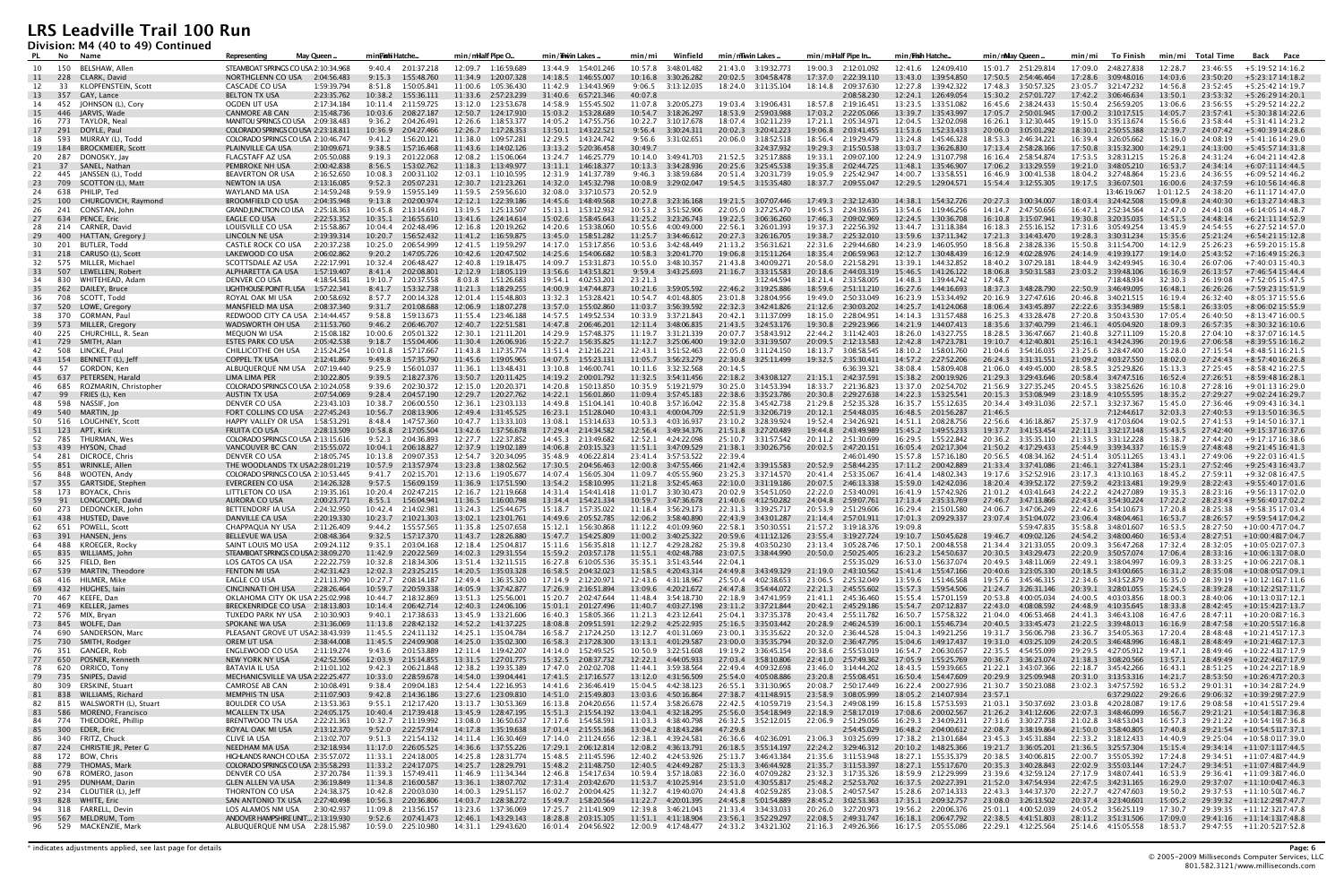**Division: M4 (40 to 49) Continued**

| PL           | No Name    |                                          | Representing                                                         | May Queen                  | min <b>Fishi</b> Hatche                         | min/milalf Pipe O                                | min/iiwin Lakes                                  | Winfield<br>min/mi                               | min/mTwin Lakes                                  | min/miHalf Pipe In                               | min/ <b>Fish</b> Hatche                        | min/nMay Queen                                   | To Finish<br>min/mi                          | min/mi Total Time                          | Back Pace                                                 |
|--------------|------------|------------------------------------------|----------------------------------------------------------------------|----------------------------|-------------------------------------------------|--------------------------------------------------|--------------------------------------------------|--------------------------------------------------|--------------------------------------------------|--------------------------------------------------|------------------------------------------------|--------------------------------------------------|----------------------------------------------|--------------------------------------------|-----------------------------------------------------------|
| 10           |            | 150 BELSHAW. Allen                       | STEAMBOAT SPRINGS CO USA 2:10:34.968                                 |                            | 9:40.4 2:01:37.218                              | 12:09.7 1:16:59.689                              | 13:44.9 1:54:01.246                              | 10:57.8 3:48:01.482                              | 21:43.0 3:19:32.773                              | 19:00.3 2:12:01.092                              | 12:41.6 1:24:09.410                            | 15:01.7 2:51:29.814                              | 17:09.0 2:48:27.838                          | 12:28.7<br>23:46:55                        | +5:19:52 14:16.2                                          |
| 11           | 228        | CLARK, David                             | NORTHGLENN CO USA                                                    | 2:04:56.483                | 9:15.3<br>1:55:48.760                           | 11:34.9<br>1:20:07.328                           | 14:18.5<br>1:46:55.007                           | 10:16.8<br>3:30:26.282                           | 20:02.5 3:04:58.478                              | 17:37.0<br>2:22:39.110                           | 13:43.0<br>1:39:54.850                         | 17:50.5 2:54:46.464                              | 17:28.6<br>3:09:48.016                       | 14:03.6<br>23:50:20                        | $+5:23:1714:18.2$                                         |
| 12           | 33         | KLOPFENSTEIN, Scott                      | CASCADE CO USA                                                       | 1:59:39.794                | 8:51.8<br>1:50:05.841                           | 11:00.6<br>1:05:36.430                           | 11:42.9<br>1:34:43.969                           | 9:06.5<br>3:13:12.035                            | 18:24.0  3:11:35.104                             | 18:14.8<br>2:09:37.630                           | 12:27.8<br>1:39:42.322                         | 17:48.3<br>3:50:57.325                           | 23:05.7 3:21:47.232                          | 14:56.8<br>23:52:45                        | $+5:25:4214:19.7$                                         |
| 13           | 357        | GAY, Lance                               | <b>BELTON TX USA</b>                                                 | 2:23:35.762                | 10:38.2<br>1:55:36.111                          | 2:57:23.239<br>11:33.6                           | 31:40.6<br>6:57:21.346                           | 40:07.8                                          |                                                  | 2:08:58.230                                      | 12:24.1<br>1:26:49.054                         | 15:30.2<br>2:57:01.727                           | 17:42.2 3:06:46.634                          | 13:50.1<br>23:53:32                        | +5:26:29 14:20.1                                          |
| 14<br>15     | 452<br>446 | JOHNSON (L), Cory<br>JARVIS, Wade        | OGDEN UT USA<br><b>CANMORE AB CAN</b>                                | 2:17:34.184<br>2:15:48.736 | 10:11.4 2:11:59.725<br>10:03.6<br>2:08:27.187   | 13:12.0<br>1:23:53.678<br>12:50.7  1:24:17.910   | 14:58.9<br>1:55:45.502<br>15:03.2<br>1:53:28.689 | 11:07.8 3:20:05.273<br>10:54.7 3:18:26.297       | 19:03.4 3:19:06.431<br>18:53.9 2:59:03.988       | 18:57.8 2:19:16.451<br>17:03.2<br>2:22:05.066    | 13:23.5<br>1:33:51.082<br>13:39.7 1:35:43.997  | 16:45.6<br>2:38:24.433<br>17:05.7 2:50:01.945    | 15:50.4 2:56:59.205                          | 13:06.6<br>23:56:55<br>14:05.7<br>23:57:41 | +5:29:52 14:22.2<br>+5:30:38 14:22.6                      |
| 16           | 773        | TAYLOR, Neal                             | MANITOU SPRINGS CO USA 2:09:38.483                                   |                            | 9:36.2<br>2:04:26.491                           | 12:26.6<br>1:18:53.377                           | 14:05.2<br>1:47:55.756                           | 10:22.7<br>3:10:17.678                           | 18:07.4<br>3:02:11.239                           | 17:21.1<br>2:05:34.971                           | 12:04.5  1:32:02.098                           | 16:26.1<br>3:12:30.445                           |                                              | 15:56.6<br>23:58:44                        | +5:31:41 14:23.2                                          |
| 17           | 291        | DOYLE, Paul                              | COLORADO SPRINGS CO USA 2:23:18.811                                  |                            | 10:36.9<br>2:04:27.466                          | 12:26.7<br>1:17:28.353                           | 13:50.1<br>1:43:22.521                           | 9:56.4<br>3:30:24.311                            | 20:02.3<br>3:20:41.223                           | 19:06.8<br>2:03:41.455                           | 11:53.6<br>1:52:33.433                         | 20:06.0<br>3:05:01.292                           | 18:30.1 2:50:55.388                          | 12:39.7<br>24:07:42                        | +5:40:39 14:28.6                                          |
| 18           | 593        | MURRAY (L), Todd                         | COLORADO SPRINGS CO USA 2:10:46.747                                  |                            | 1:56:20.121<br>9:41.2                           | 11:38.0<br>1:09:57.281                           | 1:43:24.742<br>12:29.5                           | 9:56.6<br>3:31:02.651                            | 20:06.0<br>3:18:52.518                           | 18:56.4 2:19:29.479                              | 13:24.8<br>1:45:46.328                         | 2:46:34.221<br>18:53.3                           | 16:39.4 3:26:05.662                          | 15:16.0<br>24:08:19                        | +5:41:16 14:29.0                                          |
| 19           | 184        | <b>BROCKMEIER, Scott</b>                 | PLAINVILLE GA USA                                                    | 2:10:09.671                | 9:38.5<br>1:57:16.468                           | 1:14:02.126<br>11:43.6                           | 13:13.2<br>5:20:36.458                           | 30:49.7                                          | 3:24:37.932                                      | 19:29.3<br>2:15:50.538                           | 13:03.7<br>1:36:26.830                         | 17:13.4<br>2:58:28.166                           | 17:50.8  3:15:32.300                         | 14:29.1<br>24:13:00                        | $+5:45:5714:31.8$                                         |
| 20           | 287        | DONOSKY, Jay                             | <b>FLAGSTAFF AZ USA</b>                                              | 2:05:50.088                | 9:19.3<br>2:01:22.068                           | 12:08.2<br>1:15:06.064                           | 13:24.7 1:46:25.779                              | 10:14.0 3:49:41.703                              | 21:52.5 3:25:17.888                              | 19:33.1 2:09:07.100                              | 12:24.9 1:31:07.798<br>11:48.1                 | 16:16.4 2:58:54.874                              | 17:53.5 3:28:31.215                          | 15:26.8<br>24:31:24                        | +6:04:21 14:42.8                                          |
| 21<br>22     | 37<br>445  | SANEL, Nathan<br>JANSSEN (L), Todd       | PEMBROKE NH USA<br><b>BEAVERTON OR USA</b>                           | 2:00:42.838<br>2:16:52.650 | 8:56.5<br>1:53:02.762<br>10:08.3<br>2:00:31.102 | 11:18.3<br>1:13:49.977<br>12:03.1<br>1:10:10.595 | 1:46:18.377<br>13:11.1<br>1:41:37.789<br>12:31.9 | 10:13.3<br>3:34:28.936<br>9:46.3<br>3:38:59.684  | 20:25.6<br>3:25:45.538<br>20:51.4 3:20:31.739    | 19:35.8<br>2:02:44.725<br>19:05.9 2:25:42.947    | 1:35:46.907<br>14:00.7  1:33:58.551            | 17:06.2<br>3:13:29.559<br>16:46.9<br>3:00:41.538 | 19:21.0 3:48:05.210<br>18:04.2   3:27:48.864 | 16:53.7<br>24:34:14<br>15:23.6<br>24:36:55 | +6:07:11 14:44.5<br>+6:09:52 14:46.2                      |
| 23           | 709        | SCOTTON (L), Matt                        | NEWTON IA USA                                                        | 2:13:16.085                | 9:52.3<br>2:05:07.231                           | 12:30.7<br>1:21:23.261                           | 14:32.0<br>1:45:32.798                           | 10:08.9<br>3:29:02.047                           |                                                  | 18:37.7 2:09:55.047                              | 12:29.5 1:29:04.571                            | 15:54.4 3:12:55.305                              |                                              | 16:00.6<br>24:37:59                        | $+6:10:5614:46.8$                                         |
| 24           | 638        | PHILIP, Ted                              | WAYLAND MA USA                                                       | 2:14:59.248                | 9:59.9<br>1:59:55.149                           | 11:59.5<br>2:59:56.610                           | 32:08.0<br>3:37:10.573                           | 20:52.9                                          |                                                  |                                                  |                                                |                                                  | 13:46:19.067                                 | 1:01:12.5<br>24:38:20                      | +6:11:17 14:47.0                                          |
| 25           | 100        | CHURGOVICH, Raymond                      | <b>BROOMFIELD CO USA</b>                                             | 2:04:35.948                | 9:13.8<br>2:02:00.974                           | 12:12.1<br>1:22:39.186                           | 14:45.6<br>1:48:49.568                           | 10:27.8  3:23:16.168                             | 19:21.5 3:07:07.446                              | 17:49.3<br>2:32:12.430                           | 14:38.1<br>1:54:32.726                         | 20:27.3 3:00:34.007                              | 18:03.4  3:24:42.508                         | 15:09.8<br>24:40:30                        | +6:13:27 14:48.3                                          |
| 26           | 241        | CONSTAN, John                            | <b>GRAND JUNCTION CO USA</b>                                         | 2:25:18.363                | 10:45.8<br>2:13:14.691                          | 1:25:13.507<br>13:19.5                           | 15:13.1<br>1:53:12.932                           |                                                  | 22:05.0<br>3:27:25.470                           | 19:45.3 2:24:39.635                              | 13:54.6 1:19:46.256                            | 2:47:50.656<br>14:14.7                           | 16:47.1<br>2:52:34.564                       | 12:47.0<br>24:41:08                        | +6:14:05 14:48.7                                          |
| 27<br>28     | 634<br>214 | PENCE, Eric<br>CARNER, David             | EAGLE CO USA<br>LOUISVILLE CO USA                                    | 2:22:53.352<br>2:15:58.867 | 10:35.1  2:16:55.610<br>10:04.4 2:02:48.496     | 13:41.6  1:24:14.614<br>12:16.8<br>1:20:19.262   | 15:02.6  1:58:45.643<br>14:20.6<br>1:53:38.060   | 10:55.6<br>4:00:49.000                           | 19:22.5 3:06:36.260<br>22:56.1<br>3:26:01.393    | 17:46.3<br>2:09:02.969<br>19:37.3<br>2:22:56.392 | 12:24.5  1:30:36.708<br>13:44.7  1:31:18.384   | 16:18.3<br>2:55:16.152                           | 19:30.8 3:20:35.035<br>17:31.6 3:05:49.254   | 14:51.5<br>24:48:14<br>13:45.9<br>24:54:55 | +6:21:11 14:52.9<br>+6:27:52 14:57.0                      |
| 29           | 400        | HATTAN, Gregory                          | LINCOLN NE USA                                                       | 2:19:39.314                | 10:20.7<br>1:56:52.432                          | 11:41.2<br>1:16:59.875                           | 13:45.0<br>1:58:51.282                           | 11:25.7<br>3:34:46.612                           | 20:27.3<br>3:26:16.705                           | 19:38.7<br>2:25:32.010                           | 13:59.6<br>1:37:11.342                         | 17:21.3<br>3:14:43.470                           | 19:28.3<br>3:30:31.234                       | 15:35.6<br>25:21:24                        | $+6:54:2115:12.8$                                         |
| 30           | 201        | BUTLER, Todd                             | CASTLE ROCK CO USA                                                   | 2:20:37.238                | 10:25.0<br>2:06:54.999                          | 1:19:59.297<br>12:41.5                           | 14:17.0<br>1:53:17.856                           | 10:53.6  3:42:48.449                             | 3:56:31.621<br>21:13.2                           | 22:31.6<br>2:29:44.680                           | 14:23.9<br>1:46:05.950                         | 18:56.8<br>2:38:28.336                           | 15:50.8 3:11:54.700                          | 14:12.9<br>25:26:23                        | $+6:59:2015:15.8$                                         |
| 31           | 218        | CARUSO (L), Scott                        | LAKEWOOD CO USA                                                      | 2:06:02.862                | 9:20.2<br>1:47:05.726                           | 10:42.6<br>1:20:47.502                           | 14:25.6<br>1:54:06.682                           | 10:58.3<br>3:20:41.770                           | 19:06.8<br>3:15:11.264                           | 18:35.4<br>2:06:59.963                           | 12:12.7<br>1:30:48.439                         | 16:12.9<br>4:02:28.976                           | 24:14.9 4:19:39.177                          | 19:14.0<br>25:43:52                        | $+7:16:4915:26.3$                                         |
| 32           | 575        | MILLER, Michael                          | SCOTTSDALE AZ USA                                                    | 2:22:17.991                | 10:32.4 2:06:48.427                             | 12:40.8<br>1:19:18.475                           | 14:09.7<br>1:53:31.873                           | 10:55.0  3:48:10.357                             | 21:43.8<br>3:40:09.271                           | 20:58.0<br>2:21:58.291                           | 13:39.1<br>1:44:32.852                         | 18:40.2<br>3:07:29.181                           | 18:44.9 3:42:49.945                          | 16:30.4<br>26:07:06                        | +7:40:03 15:40.3                                          |
| 33<br>34     | 507<br>830 | LEWELLEN, Robert<br>WHITEHEAD, Adam      | ALPHARETTA GA USA<br>DENVER CO USA                                   | 1:57:19.407<br>4:18:54.581 | 8:41.4<br>2:02:08.801<br>19:10.7<br>1:20:37.558 | 12:12.9<br>1:18:05.119<br>8:03.8<br>1:51:26.683  | 13:56.6<br>1:43:53.821<br>19:54.1<br>4:02:53.201 | 9:59.4 3:43:25.693<br>23:21.3                    | 21:16.7<br>3:33:15.583<br>3:12:44.594            | 20:18.6<br>2:44:03.319<br>18:21.4 2:33:58.005    | 15:46.5  1:41:26.122<br>14:48.3 1:39:44.742    | 18:06.8 3:50:31.583<br>17:48.7                   | 23:03.2 3:39:48.106<br>7:18:48.934           | 16:16.9<br>26:13:57<br>32:30.3<br>26:19:08 | +7:46:54 15:44.4<br>+7:52:05 15:47.5                      |
| 35           | 262        | DAILEY, Bruce                            | LIGHTHOUSE POINT FL USA                                              | 1:57:22.341                | 1:53:32.738<br>8:41.7                           | 1:18:29.255<br>11:21.3                           | 14:00.9<br>1:47:44.873                           | 10:21.6<br>3:59:05.592                           | 22:46.2 3:19:25.886                              | 18:59.6<br>2:51:11.210                           | 16:27.6 1:44:16.693                            | 18:37.3 3:48:28.790                              | 22:50.9 3:46:49.095                          | 16:48.1<br>26:26:26                        | +7:59:23 15:51.9                                          |
| 36           | 708        | SCOTT, Todd                              | ROYAL OAK MI USA                                                     | 2:00:58.692                | 8:57.7<br>2:00:14.328                           | 12:01.4<br>1:15:48.803                           | 13:32.3<br>1:53:28.421                           | 10:54.7<br>4:01:48.805                           | 3:28:04.956<br>23:01.8                           | 19:49.0<br>2:50:33.049                           | 16:23.9<br>1:53:34.492                         | 20:16.9<br>3:27:47.616                           | 20:46.8<br>3:40:21.515                       | 16:19.4<br>26:32:40                        | $+8:05:3715:55.6$                                         |
| 37           | 520        | LOWE, Gregory                            | MANSFIELD MA USA                                                     | 2:08:37.340                | 2:01:08.688<br>9:31.7                           | 12:06.9<br>1:18:07.278                           | 13:57.0<br>1:55:02.860                           | 11:03.7<br>3:56:39.592                           | 22:32.3<br>3:42:41.826                           | 21:12.6<br>2:30:03.202                           | 14:25.7<br>1:41:24.068                         | 18:06.4<br>3:43:45.897                           | 22:22.6 3:35:34.989                          | 15:58.1<br>26:33:05                        | $+8:06:0215:55.9$                                         |
| 38           | 370        | GORMAN, Paul                             | REDWOOD CITY CA USA 2:14:44.457                                      |                            | 9:58.8<br>1:59:13.673                           | 11:55.4<br>1:23:46.188                           | 14:57.5<br>1:49:52.534                           | 10:33.9 3:37:21.843                              | 20:42.1<br>3:11:37.099                           | 18:15.0<br>2:28:04.951                           | 14:14.3  1:31:57.488                           | 16:25.3<br>4:33:28.478                           | 27:20.8 3:50:43.530                          | 17:05.4<br>26:40:50                        | $+8:13:4716:00.5$                                         |
| 39 573<br>40 | 225        | MILLER, Gregory<br>CHURCHILL, R. Sean    | WADSWORTH OH USA<br>MEQUON WI USA                                    | 2:11:53.760<br>2:15:08.182 | 9:46.2<br>2:06:46.707<br>10:00.6<br>2:05:01.322 | 12:40.7  1:22:51.581<br>12:30.1<br>1:21:11.201   | 14:47.8 2:06:46.201<br>14:29.9<br>1:57:48.375    |                                                  | 21:43.5 3:24:53.176<br>20:07.7<br>3:58:43.912    | 19:30.8<br>2:29:23.966<br>22:44.2 3:11:42.403    | 14:21.9  1:44:07.413<br>18:26.0<br>1:43:27.755 | 18:35.6 3:37:40.799<br>18:28.5<br>3:36:47.667    | 21:46.1 4:05:04.920<br>21:40.8 3:27:11.109   | 18:09.3<br>26:57:35<br>15:20.8<br>27:04:10 | +8:30:32 16:10.6<br>+8:37:07 16:14.5                      |
| 41           | 729        | SMITH, Alan                              | <b>ESTES PARK CO USA</b>                                             | 2:05:42.538                | 9:18.7<br>1:55:04.406                           | 11:30.4<br>1:26:06.916                           | 15:22.7<br>1:56:35.825                           | 11:12.7<br>3:25:06.400                           | 19:32.0<br>3:31:39.507                           | 20:09.5<br>2:12:13.583                           | 12:42.8  1:47:23.781                           | 19:10.7<br>4:12:40.801                           | 25:16.1 4:34:24.396                          | 20:19.6<br>27:06:58                        | +8:39:55 16:16.2                                          |
| 42           | 508        | LINCKE, Paul                             | CHILLICOTHE OH USA                                                   | 2:15:24.254                | 10:01.8<br>1:57:17.667                          | 1:17:35.774<br>11:43.8                           | 13:51.4 2:12:16.221                              | 12:43.1<br>3:51:52.463                           | 22:05.0 3:11:24.150                              | 18:13.7<br>3:08:58.545                           | 18:10.2  1:58:01.760                           | 21:04.6<br>3:54:16.035                           | 23:25.6 3:28:47.400                          | 15:28.0<br>27:15:54                        | $+8:48:5116:21.5$                                         |
| 43           | 154        | BENNETT (L), Jeff                        | <b>COPPEL TX USA</b>                                                 | 2:12:41.867                | 9:49.8<br>1:57:35.790                           | 1:19:05.965<br>11:45.6                           | 14:07.5<br>1:55:23.131                           | 11:05.7<br>3:56:23.279                           | 22:30.8<br>3:25:11.499                           | 19:32.5<br>2:35:30.411                           | 14:57.2<br>2:27:52.206                         | 26:24.3<br>3:31:31.551                           | 21:09.2<br>4:03:27.550                       | 18:02.0<br>27:24:43                        | +8:57:40 16:26.8                                          |
| -44<br>45    | 57<br>637  | GORDON, Ken<br>PETERSEN, Harald          | ALBUQUERQUE NM USA 2:07:19.440<br>LIMA LIMA PER                      | 2:10:22.805                | 9:25.9<br>1:56:01.037<br>9:39.5<br>2:18:27.376  | 11:36.1<br>1:13:48.431<br>13:50.7<br>1:20:11.425 | 13:10.8<br>1:46:00.741<br>14:19.2<br>2:00:01.792 | 10:11.6  3:32:32.568                             | 20:14.5<br>3:43:08.127                           | 6:36:39.321<br>2:42:37.591                       | 38:08.4 1:58:09.408<br>15:38.2<br>2:00:19.926  | 21:06.0<br>4:49:45.000<br>21:29.3<br>3:29:43.646 | 28:58.5 3:25:29.826<br>20:58.4 3:47:47.516   | 15:13.3<br>27:25:45<br>16:52.4<br>27:26:51 | $+8:58:4216:27.5$                                         |
| 46           | 685        | ROZMARIN, Christopher                    | COLORADO SPRINGS CO USA 2:10:24.058                                  |                            | 9:39.6<br>2:02:30.372                           | 1:20:20.371<br>12:15.0                           | 14:20.8<br>1:50:13.850                           | 10:35.9   5:19:21.979                            | 22:18.2<br>30:25.0<br>3:14:53.394                | 21:15.1<br>18:33.7 2:21:36.823                   | 13:37.0<br>2:02:54.702                         | 21:56.9 3:27:35.245                              | 20:45.5 3:38:25.626                          | 16:10.8<br>27:28:16                        | +8:59:48 16:28.1<br>$+9:01:1316:29.0$                     |
| 47           | 99         | FRIES (L), Ken                           | AUSTIN TX USA                                                        | 2:07:54.069                | 9:28.4<br>2:04:57.190                           | 12:29.7<br>1:20:27.762                           | 14:22.1<br>1:56:01.860                           | 11:09.4<br>3:57:45.183                           | 22:38.6<br>3:35:23.786                           | 20:30.8<br>2:29:27.638                           | 14:22.3<br>1:53:25.541                         | 20:15.3<br>3:53:08.949                           | 23:18.9<br>4:10:55.595                       | 18:35.2<br>27:29:27                        | +9:02:24 16:29.7                                          |
| 48           | 598        | NASSIF, Jon                              | DENVER CO USA                                                        | 2:23:43.103                | 10:38.7<br>2:06:00.550                          | 1:23:03.133<br>12:36.1                           | 14:49.8<br>1:51:04.141                           | 10:40.8<br>3:57:16.042                           | 3:45:42.738<br>22:35.8                           | 21:29.8<br>2:52:35.328                           | 16:35.7<br>1:55:12.635                         | 20:34.4<br>3:49:31.036                           | 3:32:37.367<br>22:57.1                       | 15:45.0<br>27:36:46                        | +9:09:43 16:34.1                                          |
| 49           | 540        | MARTIN, Jp                               | FORT COLLINS CO USA                                                  | 2:27:45.243                | 2:08:13.906<br>10:56.7                          | 12:49.4<br>1:31:45.525                           | 16:23.1<br>1:51:28.040                           | 10:43.1<br>4:00:04.709                           | 3:32:06.719<br>22:51.9                           | 20:12.1<br>2:54:48.035                           | 16:48.5<br>2:01:56.287                         | 21:46.5                                          | 7:12:44.617                                  | 32:03.3<br>27:40:53                        | $+9:13:5016:36.5$                                         |
| 50           | 516        | LOUGHNEY, Scott<br>APT, Kirk             | HAPPY VALLEY OR USA<br><b>FRUITA CO USA</b>                          | 1:58:53.291<br>2:28:13.509 | 1:47:57.360<br>8:48.4<br>10:58.8 2:17:05.504    | 10:47.7<br>1:13:33.103<br>13:42.6 1:37:56.678    | 1:53:14.633<br>13:08.1                           | 10:53.3<br>4:03:16.937<br>12:56.4 3:49:34.376    | 23:10.2<br>3:28:39.924                           | 19:52.4 2:34:26.921<br>19:44.8 2:43:49.989       | 14:51.1<br>2:08:28.756<br>15:45.2  1:49:55.233 | 22:56.6<br>4:16:18.867<br>19:37.7 3:41:53.454    | 25:37.9 4:17:03.604<br>22:11.3 3:32:17.148   | 19:02.5<br>27:41:53<br>15:43.5             | $+9:14:5016:37.1$<br>+9:15:37 16:37.6                     |
| 51<br>52     | 123<br>785 | THURMAN, Wes                             | COLORADO SPRINGS CO USA 2:13:15.616                                  |                            | 9:52.3<br>2:04:36.893                           | 12:27.7<br>1:22:37.852                           | 17:29.4 2:14:34.582<br>14:45.3 2:13:49.682       | 12:52.1<br>4:24:22.098                           | 21:51.8 3:27:20.489<br>3:31:57.542<br>25:10.7    | 20:11.2 2:51:30.699                              | 16:29.5 1:55:22.842                            | 20:36.2<br>3:35:35.110                           |                                              | 27:42:40<br>15:38.7<br>27:44:20            | +9:17:17 16:38.6                                          |
| 53           | - 439      | HYSON, Chad                              | <b>VANCOUVER BC CAN</b>                                              | 2:15:55.072                | 10:04.1<br>2:06:18.827                          | 12:37.9<br>1:19:02.189                           | 14:06.8<br>2:03:15.323                           | 11:51.1<br>3:47:09.529                           | 21:38.1<br>3:30:26.756                           | 20:02.5 2:47:20.151                              | 16:05.4<br>2:02:17.304                         | 21:50.2<br>4:17:29.433                           | 25:44.9 3:39:34.337                          | 16:15.9<br>27:48:48                        | +9:21:45 16:41.3                                          |
| 54           | 281        | DICROCE, Chris                           | DENVER CO USA                                                        | 2:18:05.745                | 10:13.8 2:09:07.353                             | 12:54.7 3:20:34.095                              | 35:48.9<br>4:06:22.814                           | 23:41.4 3:57:53.522                              | 22:39.4                                          | 2:46:01.490                                      | 15:57.8  1:57:16.180                           | 20:56.5<br>4:08:34.162                           | 24:51.4 3:05:11.265                          | 13:43.1<br>27:49:06                        | $+9:22:0316:41.5$                                         |
| 55           | 851        | WRINKLE, Allen                           | THE WOODLANDS TX USA2:28:01.219                                      |                            | 10:57.9 2:13:57.974                             | 13:23.8<br>1:38:02.562                           | 17:30.5<br>2:04:56.463                           | 12:00.8<br>3:47:55.466                           | 21:42.4<br>3:39:15.583                           | 20:52.9<br>2:58:44.235                           | 17:11.2<br>2:00:42.889                         | 21:33.4<br>3:37:41.086                           | 21:46.1<br>3:27:41.384                       | 15:23.1<br>27:52:46                        | +9:25:43 16:43.7                                          |
| 56<br>57     | 848<br>355 | WOOTEN, Andy<br><b>GARTSIDE, Stephen</b> | COLORADO SPRINGS CO USA 2:10:53.445<br>EVERGREEN CO USA              | 2:14:26.328                | 9:41.7 2:02:15.701<br>9:57.5<br>1:56:09.159     | 12:13.6<br>1:19:05.677<br>11:36.9<br>1:17:51.590 | 14:07.4 1:56:05.304<br>13:54.2<br>1:58:10.995    | 11:09.7<br>4:05:55.960<br>11:21.8<br>3:52:45.463 | 23:25.3<br>3:37:14.570<br>22:10.0<br>3:31:19.186 | 20:41.4 2:53:35.067<br>20:07.5<br>2:46:13.338    | 16:41.4 1:48:02.343<br>15:59.0 1:42:42.036     | 19:17.6 3:52:52.916<br>18:20.4<br>4:39:52.172    | 23:17.3 4:13:10.163<br>27:59.2 4:23:13.481   | 18:45.2<br>27:59:11<br>19:29.9<br>28:22:43 | +9:32:08 16:47.5<br>+9:55:40 17:01.6                      |
| 58           |            | 173 BOYACK, Chris                        | LITTLETON CO USA                                                     | 2:19:35.161                | 10:20.4<br>2:02:47.215                          | 12:16.7<br>1:21:19.668                           | 1:54:41.418<br>14:31.4                           | 11:01.7<br>3:30:30.473                           | 20:02.9<br>3:54:51.050                           | 22:22.0<br>2:53:40.091                           | 16:41.9 1:57:42.926                            | 21:01.2<br>4:03:41.643                           | 24:22.2 4:24:27.089                          | 19:35.3<br>28:23:16                        | +9:56:13 17:02.0                                          |
| 59           | 91         | LONGCOPE, David                          | <b>AURORA CO USA</b>                                                 | 2:00:23.771                | 8:55.1<br>1:56:04.941                           | 1:16:00.798<br>11:36.5                           | 1:54:21.334<br>13:34.4                           | 10:59.7<br>3:47:36.678                           | 21:40.6<br>4:12:50.282                           | 24:04.8<br>2:59:07.761                           | 17:13.4<br>2:35:33.769                         | 27:46.7<br>3:47:13.866                           | 22:43.4<br>3:54:30.224                       | 17:22.2<br>28:23:43                        | +9:56:40 17:02.2                                          |
| 60           |            | 273 DEDONCKER, Johr                      | BETTENDORF IA USA                                                    | 2:24:32.950                | 10:42.4 2:14:02.981                             | 13:24.3<br>1:25:44.675                           | 15:18.7  1:57:35.022                             | 11:18.4 3:56:29.173                              | 22:31.3 3:39:25.717                              | 20:53.9 2:51:29.606                              | 16:29.4 2:15:01.580                            | 24:06.7<br>3:47:06.249                           | 22:42.6 3:54:10.673                          | 17:20.8<br>28:25:38                        | +9:58:35 17:03.4                                          |
| 61<br>62     | 438        | HUSTED, Dave<br>651 POWELL, Scott        | DANVILLE CA USA<br>CHAPPAQUA NY USA                                  | 2:20:19.330<br>2:11:26.409 | 2:10:21.303<br>10:23.7<br>1:55:57.565<br>9:44.2 | 1:23:01.761<br>13:02.1<br>1:25:07.658<br>11:35.8 | 14:49.6<br>2:05:52.785<br>1:56:30.868<br>15:12.1 | 3:58:40.890<br>12:06.2<br>11:12.2  4:01:09.960   | 3:43:01.287<br>22:43.9<br>22:58.1<br>3:50:30.551 | 21:14.4<br>2:57:01.911<br>21:57.2 3:19:18.376    | 2:09:29.337<br>17:01.3<br>19:09.8              | 23:07.4<br>3:51:04.072<br>5:59:47.835            | 23:06.4 3:48:04.461<br>35:58.8 3:48:01.607   | 16:53.7<br>16:53.5                         | $28:26:57$ $+9:59:5417:04.2$<br>28:27:50 +10:00:4717:04.7 |
| 63           |            | 391 HANSEN, Jens                         | BELLEVUE WA USA                                                      | 2:08:48.364                | 9:32.5 1:57:17.370                              |                                                  | 15:47.7  1:54:25.809                             | 11:00.2  3:40:25.322                             | 20:59.6 4:11:12.126                              | 23:55.4 3:19:27.724                              | 19:10.7  1:50:45.628                           | 19:46.7 4:09:02.126                              | 24:54.2 3:48:00.460                          | 16:53.4                                    | 28:27:51 +10:00:4817:04.7                                 |
| 64           |            | 488 KROEGER, Rocky                       | SAINT LOUIS MO USA                                                   | 2:09:24.112                | 9:35.1 2:03:04.168                              | 12:18.4   1:25:04.817                            | 15:11.6 1:56:35.818                              | 11:12.7 4:29:28.282                              | 25:39.8 4:03:50.230                              | 23:13.4 3:05:28.746                              | 17:50.1 2:00:48.558                            | 21:34.4 3:21:33.055                              | 20:09.3 3:56:47.268                          | 17:32.4                                    | 28:32:05 +10:05:0217:07.3                                 |
| 65           |            | 835 WILLIAMS, John                       | STEAMBOAT SPRINGS CO USA 2:38:09.270                                 |                            | 11:42.9<br>2:20:22.569                          | 14:02.3  1:29:31.554                             | 15:59.2<br>2:03:57.178                           | 11:55.1 4:02:48.788                              | 23:07.5 3:38:44.990                              | 20:50.0 2:50:25.405                              | 16:23.2  1:54:50.637                           | 20:30.5 3:43:29.473                              | 22:20.9 3:50:57.074                          | 17:06.4                                    | $28:33:16 + 10:06:1317:08.0$                              |
| 66           |            | 325 FIELD, Ben<br>539 MARTIN, Theodore   | LOS GATOS CA USA                                                     | 2:22:22.759                | 10:32.8 2:18:34.306<br>12:02.3 2:23:25.215      | 13:51.4   1:32:11.515<br>14:20.5  1:35:03.328    | 16:27.8 6:10:05.536                              | 11:58.5 4:20:43.314                              | 22:04.1<br>24:49.8                               | 2:55:35.029                                      | 16:53.0 1:56:37.074                            | 20:49.5 3:48:11.069<br>20:40.6 3:23:05.330       | 22:49.1 3:38:04.997                          | 16:09.3<br>16:31.2                         | 28:33:25 +10:06:2217:08.1<br>28:35:08 +10:08:0517:09.1    |
| 67<br>68     |            | 416 HILMER, Mike                         | FENTON MI USA<br>EAGLE CO USA                                        | 2:42:31.423<br>2:21:13.790 | 10:27.7 2:08:14.187                             | 12:49.4  1:36:35.320                             | 16:58.5 2:04:32.023<br>17:14.9 2:12:20.971       | 12:43.6 4:31:18.967                              | 3:43:49.329<br>25:50.4 4:02:38.653               | 21:19.0 2:43:10.562<br>23:06.5 2:25:32.049       | 15:41.4  1:55:47.166<br>13:59.6 1:51:46.568    | 19:57.6 3:45:46.315                              | 20:18.5 3:43:00.665<br>22:34.6 3:43:52.879   | 16:35.0                                    | $28:39:19$ $+10:12:1617:11.6$                             |
| 69           | 432        | HUGHES, Iain                             | <b>CINCINNATI OH USA</b>                                             | 2:28:26.464                | 2:20:59.338<br>10:59.7                          | 14:05.9  1:37:42.877                             | 17:26.9 2:16:51.894                              | 13:09.6 4:20:21.672                              | 24:47.8 3:54:44.072                              | 22:21.3 2:45:55.602                              | 15:57.3   1:59:54.506                          | 21:24.7 3:26:31.146                              | 20:39.1 3:28:01.055                          | 15:24.5                                    | 28:39:28 +10:12:2517:11.7                                 |
| 70           |            | 467 KEEFE, Dan                           | OKLAHOMA CITY OK USA 2:25:02.998                                     |                            | 10:44.7 2:18:32.869                             | 13:51.3  1:25:56.001                             | 15:20.7 2:02:47.644                              | 11:48.4 3:54:18.730                              | 22:18.9 3:47:41.959                              | 21:41.1 2:45:36.460                              | 15:55.4 1:57:01.159                            | 20:53.8 4:00:05.034                              | 24:00.5 4:03:03.856                          | 18:00.3                                    | 28:40:06 +10:13:0317:12.1                                 |
| 71           | 469        | KELLER, James                            | BRECKENRIDGE CO USA 2:18:13.803                                      |                            | 10:14.4 2:06:42.714                             | 12:40.3  1:24:06.106                             | 15:01.1<br>2:01:27.496                           | 11:40.7 4:03:27.198                              |                                                  | 20:42.1 2:45:29.186                              | 15:54.7 2:07:12.837                            | 22:43.0 4:08:08.592                              | 24:48.9 4:10:35.645                          | 18:33.8                                    | 28:42:45 +10:15:4217:13.7                                 |
| 72<br>73     |            | 576 MIX, Bryan<br>845 WOLFE, Dan         | TUXEDO PARK NY USA 2:10:30.903<br>SPOKANE WA USA                     | 2:31:36.069                | 9:40.1<br>2:17:38.633<br>11:13.8  2:28:42.132   | 13:45.9 1:33:21.606<br>14:52.2  1:41:37.225      | 16:40.3<br>1:58:05.366<br>18:08.8<br>2:09:51.591 | 11:21.3  4:23:12.641<br>12:29.2 4:25:22.935      | 25:04.1 3:37:35.378<br>25:16.5 3:35:03.442       | 20:43.4 2:55:11.782<br>20:28.9 2:46:24.539       | 16:50.7 1:57:58.322<br>16:00.1  1:55:46.734    | 21:04.0 4:06:53.468<br>20:40.5 3:33:45.473       | 24:41.3 3:46:43.108<br>21:22.5 3:39:48.013   | 16:47.6<br>16:16.9                         | 28:47:11 +10:20:0817:16.3<br>28:47:58 +10:20:5517:16.8    |
| 74           | 690        | SANDERSON, Marc                          | PLEASANT GROVE UT USA2:38:43.939                                     |                            | 11:45.5 2:24:11.132                             | 14:25.1  1:35:04.784                             | 16:58.7 2:17:24.250                              | 13:12.7  4:01:31.069                             | 23:00.1<br>3:35:35.622                           | 20:32.0 2:36:44.528                              | 15:04.3  1:49:21.256                           | 19:31.7 3:56:06.798                              | 23:36.7 3:54:05.363                          | 17:20.4<br>28:48:48                        | +10:21:4517:17.3                                          |
|              |            | 75 730 SMITH, Rodger                     | OREM UT USA                                                          | 2:38:44.008                | 11:45.5 2:24:09.908                             | 14:25.0  1:35:02.300                             | 16:58.3 2:17:28.300                              | 13:13.1  4:01:29.587                             | 23:00.0 3:35:35.794                              | 20:32.0 2:36:47.795                              | 15:04.6  1:49:17.437                           | 19:31.0 4:03:25.109                              | 24:20.5 3:46:48.996                          | 16:48.1                                    | $28:48:49$ $+10:21:4617:17.3$                             |
| 76           | 351        | GANGER, Rob                              | ENGLEWOOD CO USA                                                     | 2:11:19.274                | 9:43.6<br>2:01:53.889                           | 12:11.4 1:19:42.207                              | 14:14.0 1:52:49.525                              | 10:50.9 3:22:51.608                              |                                                  | 20:38.6 2:55:53.019                              | 16:54.7 2:06:30.657                            | 22:35.5 4:54:55.099                              | 29:29.5 4:27:05.912                          | 19:47.1                                    | 28:49:46 +10:22:4317:17.9                                 |
| 77           |            | 650 POSNER, Kenneth                      | NEW YORK NY USA                                                      | 2:42:52.566                | 12:03.9<br>2:15:14.855                          | 13:31.5 1:27:01.775                              | 15:32.5<br>2:08:37.732                           | 12:22.1<br>4:44:05.933                           | 27:03.4 3:58:10.806                              | 22:41.0 2:57:49.362                              | 17:05.9  1:55:25.769                           | 20:36.7 3:36:23.074                              | 21:38.3 3:08:20.566                          | 13:57.1                                    | $28:49:49$ $+10:22:4617:17.9$                             |
| 78<br>79     | 620        | ORRICO, Tony<br>735 SNIPES, David        | <b>BATAVIA IL USA</b><br>MECHANICSVILLE VA USA 2:22:25.477           | 2:11:01.102                | 9:42.3 2:06:21.848<br>10:33.0 2:28:59.678       | 12:38.2  1:39:35.389<br>14:54.0  1:39:04.441     | 17:47.0 2:02:02.708<br>17:41.5 2:17:16.577       | 11:44.1  3:59:38.564<br>13:12.0  4:31:56.509     | 22:49.4 4:09:32.698<br>4:05:08.886<br>25:54.0    | 23:46.0 3:14:44.202<br>23:20.8 2:55:08.451       | 18:43.5 1:59:39.665<br>16:50.4   1:54:47.609   | 21:22.1 3:43:07.366<br>20:29.9 3:25:09.948       | 22:18.7 3:45:42.266<br>20:31.0 3:13:53.316   | 16:43.1<br>14:21.7                         | 28:51:25 +10:24:2217:18.9<br>28:53:50 +10:26:4717:20.3    |
| 80           |            | 309 ERSKINE, Stuart                      | <b>CAMROSE AB CAN</b>                                                | 2:10:08.491                | 9:38.4<br>2:09:04.183                           | 12:54.4 1:22:16.953                              | 14:41.6 2:36:46.419                              | 15:04.5  4:42:38.123                             | 26:55.1 3:31:30.965                              | 20:08.7 2:50:17.449                              | 16:22.4 2:00:27.936                            | 21:30.7 3:50:23.088                              | 23:02.3 3:47:57.592                          | 16:53.2                                    | 29:01:31 +10:34:2817:24.9                                 |
| 81           | 838        | WILLIAMS, Richard                        | MEMPHIS TN USA                                                       | 2:11:07.903                | 9:42.8<br>2:14:36.186                           | 13:27.6 1:23:09.810                              | 14:51.0 2:15:49.803                              | 13:03.6 4:50:16.864                              | 27:38.7 4:11:48.915                              | 23:58.9 3:08:05.999                              | 18:05.2  2:14:07.934                           | 23:57.1                                          | 6:37:29.022                                  | 29:26.6                                    | 29:06:32 +10:39:2917:27.9                                 |
| 82           |            | 815 WALSWORTH (L), Stuart                | <b>BOULDER CO USA</b>                                                | 2:13:53.363                | 9:55.1 2:12:17.420                              | 13:13.7 1:30:53.369                              | 16:13.8 2:04:20.656                              | 11:57.4 3:58:26.678                              | 22:42.5 4:10:59.719                              | 23:54.3 2:49:08.199                              | 16:15.8 1:57:53.593                            | 21:03.1 3:50:37.692                              | 23:03.8 4:20:28.087                          | 19:17.6                                    | 29:08:58 +10:41:5517:29.4                                 |
| 83           | 586        | <b>MORENO, Francisco</b>                 | <b>MCALLEN TX USA</b>                                                | 2:24:05.175                | 10:40.4 2:17:39.418                             | 13:45.9  1:28:47.195                             | 15:51.3  2:15:54.192                             | 13:04.1 4:32:18.295                              | 25:56.0 3:54:18.949                              | 22:18.9 2:58:17.019                              | 17:08.6 2:00:02.567                            | 21:26.2 3:41:12.606                              | 22:07.3 3:48:46.099                          | 16:56.7                                    | 29:21:21 +10:54:1817:36.8                                 |
| 84<br>85     |            | 774 THEODORE, Phillip<br>300 EDER, Eric  | BRENTWOOD TN USA<br>ROYAL OAK MI USA                                 | 2:22:21.363<br>2:13:12.370 | 10:32.7 2:11:19.992<br>9:52.0 2:22:57.914       | 13:08.0 1:36:50.637<br>14:17.8  1:35:19.638      | 17:17.6  1:54:58.591<br>17:01.4  2:15:55.168     | 11:03.3 4:38:40.798<br>13:04.2  8:18:43.284      | 26:32.5 3:52:12.015<br>47:29.8                   | 22:06.9 2:51:29.056<br>2:54:45.029               | 16:29.3 2:34:09.231<br>16:48.2  2:04:00.612    | 27:31.6 3:30:27.738<br>22:08.7 3:38:19.864       | 21:02.8 3:48:53.043<br>21:50.0 3:58:40.805   | 16:57.3<br>17:40.8                         | 29:21:22 +10:54:1917:36.8<br>29:21:54 +10:54:5117:37.1    |
| 86           | 340        | FRITZ, Chuck                             | CLIVE IA USA                                                         | 2:13:02.707                | 9:51.3 2:21:54.132                              | 14:11.4  1:36:30.469                             | 17:14.0 2:11:24.656                              | 12:38.1 4:39:24.581                              | 26:36.6<br>4:02:36.091                           | 23:06.3 3:03:25.699                              | 17:38.2  2:13:01.684                           | 23:45.3 3:45:31.884                              | 22:33.2 3:18:12.433                          | 14:40.9<br>29:25:04                        | +10:58:0117:39.0                                          |
| 87           |            | 224 CHRISTIE JR, Peter G                 | NEEDHAM MA USA                                                       | 2:32:18.934                | 11:17.0 2:26:05.525                             |                                                  | 17:29.1 2:06:12.814                              | 12:08.2 4:36:13.791                              | 26:18.5 3:55:14.197                              | 22:24.2 3:29:46.312                              | 20:10.2 1:48:25.366                            | 19:21.7 3:36:05.201                              | 21:36.5 3:25:57.304                          | 15:15.4                                    | 29:34:14 +11:07:1117:44.5                                 |
| 88           |            | 172 BOW, Chris                           | HIGHLANDS RANCH CO USA 2:35:57.072                                   |                            | 11:33.1 2:24:18.005                             | 14:25.8  1:28:31.774                             | 15:48.5 2:11:45.596                              | 12:40.2 4:24:53.926                              | 25:13.7 3:46:43.384                              | 21:35.6 3:11:53.948                              | 18:27.1  1:55:35.379                           | 20:38.5 3:40:06.815                              | 22:00.7 3:55:05.392                          | 17:24.8                                    | 29:34:51 +11:07:4817:44.9                                 |
| 88<br>90     | 779        | THOMAS, Mark<br>678 ROMERO, Jason        | COLORADO SPRINGS CO USA 2:35:58.293<br>DENVER CO USA                 | 2:37:20.784                | 11:33.2  2:24:17.075<br>11:39.3 1:57:49.411     | 14:25.7<br>1:28:29.791<br>11:46.9 1:11:34.344    | 15:48.2<br>2:11:48.750<br>12:46.8 1:54:17.634    | 12:40.5 4:24:49.287<br>10:59.4 3:57:18.083       | 25:13.3<br>3:46:44.928<br>22:36.0 4:07:09.282    | 21:35.7 3:11:53.397<br>23:32.3 3:17:35.326       | 18:27.1  1:55:17.670<br>18:59.9 2:12:29.999    | 20:35.3 3:40:28.843<br>23:39.6 4:32:59.124       | 22:02.9 3:55:03.144<br>27:17.9 3:48:07.441   | 17:24.7<br>16:53.9                         | 29:34:51 +11:07:4817:44.9<br>29:36:41 +11:09:3817:46.0    |
| 91           |            | 295 DUNHAM, Darin                        | <b>GLEN ALLEN VA USA</b>                                             | 2:36:19.849                | 11:34.8<br>2:16:00.587                          | 13:36.1 1:38:07.702                              | 17:31.4  2:03:42.670                             | 11:53.7 4:10:25.914                              | 23:51.0<br>4:30:55.817                           | 25:48.2 2:52:53.702                              | 16:37.5 2:02:27.391                            | 21:52.0 3:47:54.934                              | 22:47.5 3:42:31.165                          | 16:29.0                                    | 29:37:07 +11:10:0417:46.3                                 |
| 92           |            | 234 CLOUTIER (L), Jeff                   | THORNTON CO USA                                                      | 2:24:38.375                | 10:42.8 2:20:03.030                             | 14:00.3  1:29:51.157                             | 16:02.7 2:00:04.425                              | 11:32.7 4:19:40.070                              | 24:43.8 4:02:59.285                              | 23:08.5 2:40:57.547                              | 15:28.6 2:07:14.333                            | 22:43.3 3:44:37.370                              | 22:27.7 4:27:47.603                          | 19:50.2                                    | 29:37:53 +11:10:5017:46.7                                 |
| 93           |            | 828 WHITE, Eric                          | SAN ANTONIO TX USA 2:27:40.498                                       |                            | 10:56.3 2:20:36.806                             | 14:03.7  1:28:38.272                             | 1:58:20.564<br>15:49.7                           | 11:22.7  4:20:01.395                             | 24:45.8 5:01:54.889                              | 28:45.2 3:02:53.363                              | 17:35.1 2:09:32.757                            | 23:08.0 3:26:13.502                              | 20:37.4 3:23:40.601                          | 15:05.2                                    | 29:39:32 +11:12:2917:47.7                                 |
| 94           |            | 318 FARRELL, Devin                       | LOS ALAMOS NM USA 2:30:42.937                                        |                            | 11:09.8 2:13:56.157                             | 13:23.6 1:37:36.069                              | 17:25.7 2:11:41.909                              | 12:39.8 3:46:21.043                              | 21:33.4 3:34:33.033                              | 20:26.0 3:27:20.973                              | 19:56.2 2:20:06.376                            | 25:01.1 4:00:52.039                              | 24:05.2 3:56:25.119                          | 17:30.7                                    | 29:39:35 +11:12:3217:47.8                                 |
| 95<br>96     | 567<br>529 | MELDRUM, Tom<br>MACKENZIE, Mark          | ANDOVER HAMPSHIRE UNIT 2:13:19.930<br>ALBUQUERQUE NM USA 2:28:15.987 |                            | 9:52.6 2:07:41.473<br>10:59.0 2:25:10.980       | 12:46.1  1:43:29.143<br>14:31.1  1:29:43.620     | 18:28.8<br>2:03:15.105<br>16:01.4  2:04:56.922   | 11:51.1  4:11:18.904<br>12:00.9 4:17:48.477      | 23:56.1 3:52:29.297<br>24:33.2 3:43:21.302       | 22:08.5 2:49:31.747<br>21:16.3 2:49:26.366       | 16:18.1 2:06:47.792<br>16:17.5 2:05:55.086     | 22:38.5 4:41:51.803<br>22:29.1 4:12:25.564       | 25:14.6 4:15:05.558                          | 17:09.0<br>18:53.7                         | 29:41:16 +11:14:1317:48.8<br>29:47:55 +11:20:5217:52.8    |
|              |            |                                          |                                                                      |                            |                                                 |                                                  |                                                  |                                                  |                                                  |                                                  |                                                |                                                  |                                              |                                            |                                                           |

\* indicates adjustments applied, see last page for details **Page: 6**

© 2005-2009 Milliseconds Computer Services, LLC

801.582.3121/www.milliseconds.com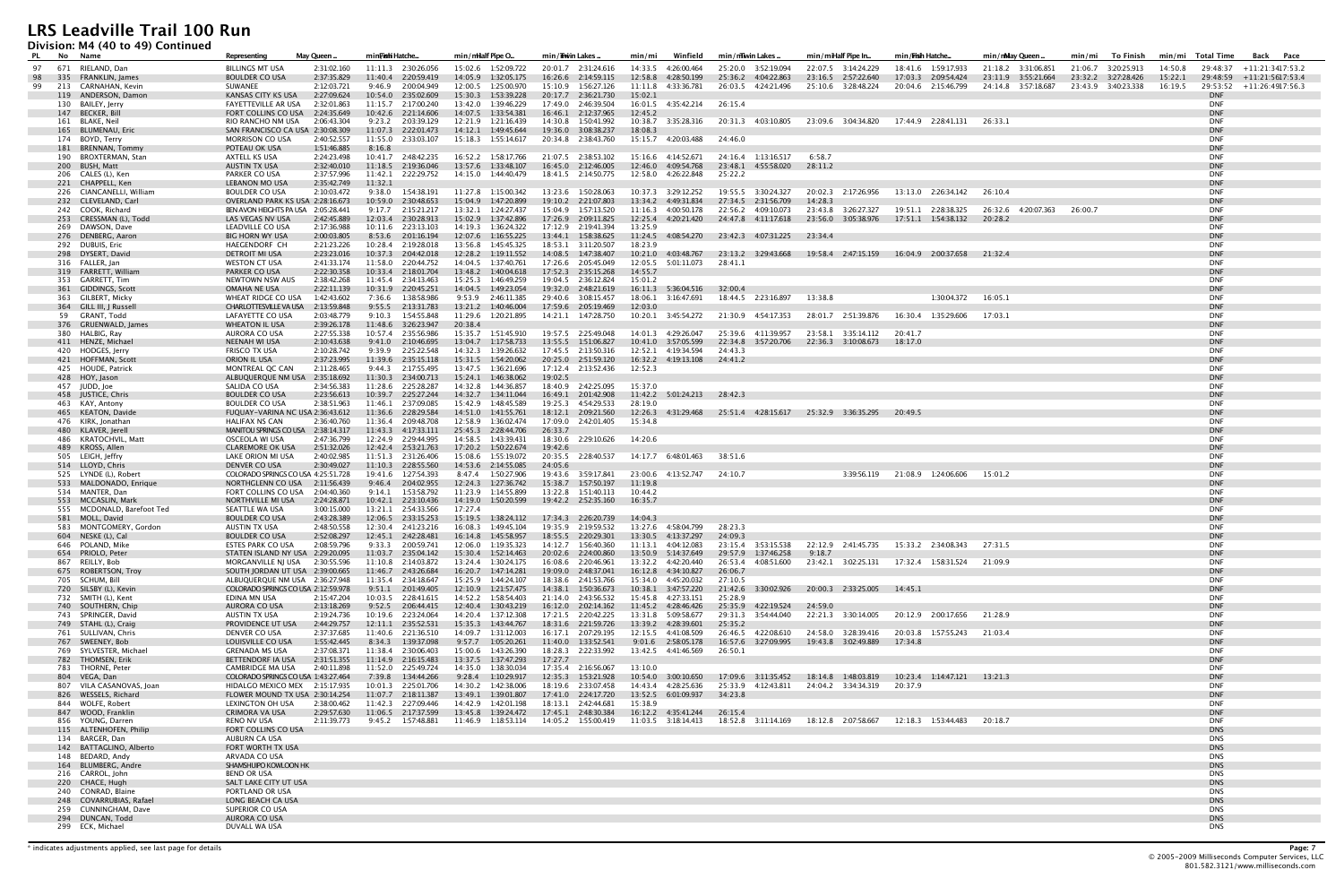**Division: M4 (40 to 49) Continued**

| <b>DIVISION:</b> MT (TO to TD) Continued<br>PL No Name | Representing                                                      | May Queen.                 | min <b>Fish</b> i Hatche                    | min/mHalf Pipe O                                                   | min/Thwin Lakes                              | min/mi<br>Winfield                                    | min/mwin Lakes                             | min/miHalf Pipe In                                                  | min/ <b>Fish Hatche.</b>                                                                | min/mMay Queen.             | To Finish<br>min/mi | min/mi Total Time<br>Back Pace                  |  |
|--------------------------------------------------------|-------------------------------------------------------------------|----------------------------|---------------------------------------------|--------------------------------------------------------------------|----------------------------------------------|-------------------------------------------------------|--------------------------------------------|---------------------------------------------------------------------|-----------------------------------------------------------------------------------------|-----------------------------|---------------------|-------------------------------------------------|--|
| 97 671 RIELAND, Dan                                    | <b>BILLINGS MT USA</b>                                            | 2:31:02.160                | 11:11.3 2:30:26.056                         | 15:02.6 1:52:09.722                                                | 20:01.7 2:31:24.616                          | 14:33.5 4:26:00.464                                   | 25:20.0 3:52:19.094                        | 22:07.5 3:14:24.229                                                 | 18:41.6 1:59:17.933                                                                     | 21:18.2 3:31:06.851         | 21:06.7 3:20:25.913 | 14:50.8<br>29:48:37 +11:21:3417:53.2            |  |
| 335 FRANKLIN, James<br>98                              | <b>BOULDER CO USA</b>                                             | 2:37:35.829                | 11:40.4 2:20:59.419                         | 14:05.9   1:32:05.175                                              | 16:26.6 2:14:59.115                          | 12:58.8<br>4:28:50.199                                | 25:36.2 4:04:22.863                        | 23:16.5 2:57:22.640                                                 | 17:03.3 2:09:54.424                                                                     | 23:11.9 3:55:21.664         | 23:32.2 3:27:28.426 | $15:22.1$ $29:48:59$ $+11:21:5617:53.4$         |  |
| 213 CARNAHAN, Kevin<br>99<br>119 ANDERSON, Damon       | SUWANEE<br>KANSAS CITY KS USA                                     | 2:12:03.721<br>2:27:09.624 | 9:46.9 2:00:04.949<br>10:54.0 2:35:02.609   | 12:00.5  1:25:00.970                                               | 15:10.9  1:56:27.126<br>20:17.7 2:36:21.730  | 11:11.8  4:33:36.781<br>15:02.1                       |                                            | 26:03.5 4:24:21.496 25:10.6 3:28:48.224                             | 20:04.6 2:15:46.799                                                                     | 24:14.8 3:57:18.687         | 23:43.9 3:40:23.338 | 16:19.5 29:53:52 +11:26:4917:56.3<br><b>DNF</b> |  |
| 130 BAILEY, Jerry                                      | FAYETTEVILLE AR USA                                               | 2:32:01.863                | 11:15.7  2:17:00.240                        | 13:42.0 1:39:46.229                                                | 17:49.0 2:46:39.504                          | 16:01.5  4:35:42.214                                  | 26:15.4                                    |                                                                     |                                                                                         |                             |                     | <b>DNF</b>                                      |  |
| 147 BECKER, Bill                                       | FORT COLLINS CO USA                                               | 2:24:35.649                | 10:42.6 2:21:14.606                         | 14:07.5  1:33:54.381                                               | 16:46.1 2:12:37.965                          | 12:45.2                                               |                                            |                                                                     |                                                                                         |                             |                     | <b>DNF</b>                                      |  |
| 161 BLAKE, Neil<br>165 BLUMENAU, Eric                  | RIO RANCHO NM USA<br>SAN FRANCISCO CA USA 2:30:08.309             | 2:06:43.304                | 9:23.2 2:03:39.129<br>11:07.3 2:22:01.473   | 12:21.9 1:21:16.439<br>14:12.1  1:49:45.644                        | 14:30.8  1:50:41.992<br>19:36.0 3:08:38.237  | 10:38.7 3:35:28.316<br>18:08.3                        |                                            | 20:31.3 4:03:10.805 23:09.6 3:04:34.820 17:44.9 2:28:41.131         |                                                                                         | 26:33.1                     |                     | <b>DNF</b><br><b>DNF</b>                        |  |
| 174 BOYD, Terry                                        | <b>MORRISON CO USA</b>                                            | 2:40:52.557                | 11:55.0 2:33:03.107                         | 15:18.3   1:55:14.617                                              | 20:34.8 2:38:43.760                          | 15:15.7 4:20:03.488                                   | 24:46.0                                    |                                                                     |                                                                                         |                             |                     | <b>DNF</b>                                      |  |
| 181 BRENNAN, Tommy                                     | POTEAU OK USA                                                     | 1:51:46.885                | 8:16.8                                      |                                                                    |                                              |                                                       |                                            |                                                                     |                                                                                         |                             |                     | <b>DNF</b>                                      |  |
| 190 BROXTERMAN, Stan<br>200 BUSH, Matt                 | AXTELL KS USA<br><b>AUSTIN TX USA</b>                             | 2:24:23.498<br>2:32:40.010 | 10:41.7 2:48:42.235<br>11:18.5 2:19:36.046  | 13:57.6 1:33:48.107                                                | 21:07.5 2:38:53.102<br>16:45.0 2:12:46.005   | 15:16.6  4:14:52.671<br>12:46.0 4:09:54.768           | 24:16.4 1:13:16.517<br>23:48.1 4:55:58.020 | 6:58.7<br>28:11.2                                                   |                                                                                         |                             |                     | <b>DNF</b><br><b>DNF</b>                        |  |
| 206 CALES (L), Ken                                     | PARKER CO USA                                                     | 2:37:57.996                | 11:42.1 2:22:29.752                         | 14:15.0  1:44:40.479                                               | 18:41.5 2:14:50.775                          | 12:58.0 4:26:22.848                                   | 25:22.2                                    |                                                                     |                                                                                         |                             |                     | <b>DNF</b>                                      |  |
| 221 CHAPPELL, Ken                                      | <b>LEBANON MO USA</b>                                             | 2:35:42.749 11:32.1        |                                             |                                                                    |                                              |                                                       |                                            |                                                                     |                                                                                         |                             |                     | <b>DNF</b>                                      |  |
| 226 CIANCANELLI, William<br>232 CLEVELAND, Carl        | <b>BOULDER CO USA</b><br>OVERLAND PARK KS USA 2:28:16.673         | 2:10:03.472                | 10:59.0 2:30:48.653                         | 9:38.0  1:54:38.191  11:27.8  1:15:00.342<br>15:04.9   1:47:20.899 | 13:23.6 1:50:28.063<br>19:10.2  2:21:07.803  | 10:37.3 3:29:12.252<br>13:34.2 4:49:31.834            | 27:34.5 2:31:56.709                        | 14:28.3                                                             | 20:02.3 2:17:26.956 13:13.0 2:26:34.142 26:10.4                                         |                             |                     | DNF<br><b>DNF</b>                               |  |
| 242 COOK, Richard                                      | BEN AVON HEIGHTS PA USA 2:05:28.441                               |                            | 9:17.7 2:15:21.217                          | 13:32.1  1:24:27.437                                               | 15:04.9  1:57:13.520                         | 11:16.3 4:00:50.178                                   | 22:56.2 4:09:10.073                        | 23:43.8 3:26:27.327                                                 | 19:51.1 2:28:38.325                                                                     | 26:32.6 4:20:07.363 26:00.7 |                     | <b>DNF</b>                                      |  |
| 253 CRESSMAN (L), Todd                                 | LAS VEGAS NV USA                                                  | 2:42:45.889                | 12:03.4 2:30:28.913                         |                                                                    | 17:26.9 2:09:11.825                          | 12:25.4  4:20:21.420                                  | 24:47.8 4:11:17.618                        | 23:56.0 3:05:38.976                                                 |                                                                                         | 20:28.2                     |                     | <b>DNF</b>                                      |  |
| 269 DAWSON, Dave<br>276 DENBERG, Aaron                 | LEADVILLE CO USA<br><b>BIG HORN WY USA</b>                        | 2:17:36.988<br>2:00:03.805 | 10:11.6 2:23:13.103<br>8:53.6 2:01:16.194   | 14:19.3  1:36:24.322<br>12:07.6 1:16:55.225                        | 17:12.9 2:19:41.394<br>13:44.1  1:58:38.625  | 13:25.9                                               | 11:24.5 4:08:54.270 23:42.3 4:07:31.225    | 23:34.4                                                             |                                                                                         |                             |                     | DNF<br><b>DNF</b>                               |  |
| 292 DUBUIS, Eric                                       | HAEGENDORF CH                                                     | 2:21:23.226                | 10:28.4 2:19:28.018                         | 13:56.8 1:45:45.325                                                | 18:53.1 3:11:20.507                          | 18:23.9                                               |                                            |                                                                     |                                                                                         |                             |                     | <b>DNF</b>                                      |  |
| 298 DYSERT, David                                      | DETROIT MI USA                                                    | 2:23:23.016                | 10:37.3 2:04:42.018                         | 12:28.2    1:19:11.552                                             | 14:08.5  1:47:38.407                         |                                                       |                                            |                                                                     | 10:21.0 4:03:48.767 23:13.2 3:29:43.668 19:58.4 2:47:15.159 16:04.9 2:00:37.658 21:32.4 |                             |                     | <b>DNF</b><br><b>DNF</b>                        |  |
| 316 FALLER, Jan<br>319 FARRETT, William                | <b>WESTON CT USA</b><br>PARKER CO USA                             | 2:41:33.174<br>2:22:30.358 | 11:58.0 2:20:44.752<br>10:33.4 2:18:01.704  | 14:04.5  1:37:40.761<br>13:48.2  1:40:04.618                       | 17:26.6 2:05:45.049<br>17:52.3  2:35:15.268  | 12:05.5    5:01:11.073<br>14:55.7                     | 28:41.1                                    |                                                                     |                                                                                         |                             |                     | <b>DNF</b>                                      |  |
| 353 GARRETT, Tim                                       | <b>NEWTOWN NSW AUS</b>                                            | 2:38:42.268                | 11:45.4 2:34:13.463                         | 15:25.3 1:46:49.259                                                | 19:04.5 2:36:12.824                          | 15:01.2                                               |                                            |                                                                     |                                                                                         |                             |                     | <b>DNF</b>                                      |  |
| 361 GIDDINGS, Scott                                    | OMAHA NE USA<br>WHEAT RIDGE CO USA                                | 2:22:11.139<br>1:42:43.602 | 10:31.9 2:20:45.251                         | 14:04.5  1:49:23.054<br>9:53.9 2:46:11.385                         | 19:32.0 2:48:21.619                          | 16:11.3  5:36:04.516  32:00.4<br>18:06.1  3:16:47.691 |                                            | 13:38.8                                                             | 1:30:04.372                                                                             | 16:05.1                     |                     | <b>DNF</b><br><b>DNF</b>                        |  |
| 363 GILBERT, Micky<br>364 GILL III, J Russell          | <b>CHARLOTTESVILLE VA USA</b>                                     | 2:13:59.848                | 7:36.6 1:38:58.986<br>9:55.5 2:13:31.783    | 13:21.2  1:40:46.004                                               | 29:40.6 3:08:15.457<br>17:59.6 2:05:19.469   | 12:03.0                                               | 18:44.5 2:23:16.897                        |                                                                     |                                                                                         |                             |                     | <b>DNF</b>                                      |  |
| 59 GRANT, Todd                                         | LAFAYETTE CO USA                                                  | 2:03:48.779                | 9:10.3 1:54:55.848                          |                                                                    | 14:21.1 1:47:28.750                          |                                                       | 10:20.1  3:45:54.272  21:30.9  4:54:17.353 | 28:01.7 2:51:39.876                                                 | 16:30.4 1:35:29.606                                                                     | 17:03.1                     |                     | DNF                                             |  |
| 376 GRUENWALD, James                                   | <b>WHEATON IL USA</b>                                             | 2:39:26.178                | 11:48.6 3:26:23.947<br>10:57.4 2:35:56.986  | 20:38.4<br>15:35.7    1:51:45.910                                  |                                              | 14:01.3  4:29:26.047                                  |                                            | 23:58.1 3:35:14.112                                                 | 20:41.7                                                                                 |                             |                     | <b>DNF</b><br>DNF                               |  |
| 380 HALBIG, Ray<br>411 HENZE, Michael                  | AURORA CO USA<br>NEENAH WI USA                                    | 2:27:55.338<br>2:10:43.638 | 9:41.0 2:10:46.695                          | 13:04.7   1:17:58.733                                              | 19:57.5 2:25:49.048<br>13:55.5   1:51:06.827 | 10:41.0 3:57:05.599                                   | 25:39.6 4:11:39.957                        | 22:34.8 3:57:20.706 22:36.3 3:10:08.673                             | 18:17.0                                                                                 |                             |                     | <b>DNF</b>                                      |  |
| 420 HODGES, Jerry                                      | FRISCO TX USA                                                     | 2:10:28.742                | 9:39.9 2:25:22.548                          | 14:32.3  1:39:26.632                                               | 17:45.5 2:13:50.316                          | 12:52.1 4:19:34.594                                   | 24:43.3                                    |                                                                     |                                                                                         |                             |                     | DNF                                             |  |
| 421 HOFFMAN, Scott<br>425 HOUDE, Patrick               | ORION IL USA<br>MONTREAL QC CAN                                   | 2:37:23.995<br>2:11:28.465 | 11:39.6 2:35:15.118<br>9:44.3 2:17:55.495   | 13:47.5  1:36:21.696                                               | 20:25.0 2:51:59.120<br>17:12.4  2:13:52.436  | 16:32.2 4:19:13.108 24:41.2<br>12:52.3                |                                            |                                                                     |                                                                                         |                             |                     | <b>DNF</b><br><b>DNF</b>                        |  |
| 428 HOY, Jason                                         | ALBUQUERQUE NM USA 2:35:18.692                                    |                            | 11:30.3 2:34:00.713                         | 15:24.1  1:46:38.062                                               | 19:02.5                                      |                                                       |                                            |                                                                     |                                                                                         |                             |                     | <b>DNF</b>                                      |  |
| 457 JUDD, Joe                                          | SALIDA CO USA                                                     | 2:34:56.383                | 11:28.6 2:25:28.287                         | 14:32.8 1:44:36.857                                                | 18:40.9 2:42:25.095                          | 15:37.0                                               |                                            |                                                                     |                                                                                         |                             |                     | <b>DNF</b>                                      |  |
| 458 JUSTICE, Chris<br>463 KAY, Antony                  | <b>BOULDER CO USA</b><br><b>BOULDER CO USA</b>                    | 2:23:56.613<br>2:38:51.963 | 10:39.7 2:25:27.244<br>11:46.1 2:37:09.085  | 15:42.9    1:48:45.589                                             | 16:49.1 2:01:42.908<br>19:25.3 4:54:29.533   | 11:42.2 5:01:24.213 28:42.3<br>28:19.0                |                                            |                                                                     |                                                                                         |                             |                     | <b>DNF</b><br><b>DNF</b>                        |  |
| 465 KEATON, Davide                                     | FUQUAY-VARINA NC USA 2:36:43.612                                  |                            | 11:36.6 2:28:29.584                         |                                                                    | 18:12.1 2:09:21.560                          |                                                       |                                            | 12:26.3 4:31:29.468 25:51.4 4:28:15.617 25:32.9 3:36:35.295 20:49.5 |                                                                                         |                             |                     | <b>DNF</b>                                      |  |
| 476 KIRK, Jonathan                                     | <b>HALIFAX NS CAN</b>                                             | 2:36:40.760                | 11:36.4 2:09:48.708                         | 12:58.9  1:36:02.474                                               | 17:09.0 2:42:01.405                          | 15:34.8                                               |                                            |                                                                     |                                                                                         |                             |                     | <b>DNF</b>                                      |  |
| 480 KLAVER, Jerell<br>486 KRATOCHVIL, Matt             | MANITOU SPRINGS CO USA 2:38:14.317<br>OSCEOLA WI USA              | 2:47:36.799                | 11:43.3  4:17:33.111<br>12:24.9 2:29:44.995 | 25:45.3 2:28:44.706<br>14:58.5 1:43:39.431                         | 26:33.7<br>18:30.6 2:29:10.626               | 14:20.6                                               |                                            |                                                                     |                                                                                         |                             |                     | <b>DNF</b><br>DNF                               |  |
| 489 KROSS, Allen                                       | <b>CLAREMORE OK USA</b>                                           | 2:51:32.026                | 12:42.4 2:53:21.763                         |                                                                    | 19:42.6                                      |                                                       |                                            |                                                                     |                                                                                         |                             |                     | <b>DNF</b>                                      |  |
| 505 LEIGH, Jeffry                                      | LAKE ORION MI USA                                                 | 2:40:02.985                | 11:51.3 2:31:26.406                         | 15:08.6 1:55:19.072                                                | 20:35.5 2:28:40.537                          | 14:17.7 6:48:01.463                                   | 38:51.6                                    |                                                                     |                                                                                         |                             |                     | <b>DNF</b>                                      |  |
| 514 LLOYD, Chris<br>525 LYNDE (L), Robert              | DENVER CO USA<br>COLORADO SPRINGS CO USA 4:25:51.728              | 2:30:49.027                | 11:10.3  2:28:55.560<br>19:41.6 1:27:54.393 | 14:53.6 2:14:55.085<br>8:47.4 1:50:27.906                          | 24:05.6<br>19:43.6 3:59:17.841               | 23:00.6 4:13:52.747 24:10.7                           |                                            |                                                                     | 3:39:56.119 21:08.9 1:24:06.606                                                         | 15:01.2                     |                     | <b>DNF</b><br><b>DNF</b>                        |  |
| 533 MALDONADO, Enrique                                 | NORTHGLENN CO USA                                                 | 2:11:56.439                | 9:46.4 2:04:02.955                          | 12:24.3   1:27:36.742                                              | 15:38.7   1:57:50.197                        | 11:19.8                                               |                                            |                                                                     |                                                                                         |                             |                     | <b>DNF</b>                                      |  |
| 534 MANTER, Dan                                        | FORT COLLINS CO USA                                               | 2:04:40.360                | 9:14.1 1:53:58.792                          | 11:23.9 1:14:55.899                                                | 13:22.8 1:51:40.113                          | 10:44.2                                               |                                            |                                                                     |                                                                                         |                             |                     | DNF                                             |  |
| 553 MCCASLIN, Mark<br>555 MCDONALD, Barefoot Ted       | NORTHVILLE MI USA<br>SEATTLE WA USA                               | 2:24:28.871<br>3:00:15.000 | 10:42.1 2:23:10.436<br>13:21.1 2:54:33.566  | 14:19.0  1:50:20.599<br>17:27.4                                    | 19:42.2 2:52:35.160                          | 16:35.7                                               |                                            |                                                                     |                                                                                         |                             |                     | <b>DNF</b><br><b>DNF</b>                        |  |
| 581 MOLL, David                                        | <b>BOULDER CO USA</b>                                             | 2:43:28.389                | 12:06.5 2:33:15.253                         | 15:19.5  1:38:24.112                                               | 17:34.3 2:26:20.739                          | 14:04.3                                               |                                            |                                                                     |                                                                                         |                             |                     | <b>DNF</b>                                      |  |
| 583 MONTGOMERY, Gordon                                 | AUSTIN TX USA                                                     | 2:48:50.558                | 12:30.4 2:41:23.216                         | 16:08.3 1:49:45.104                                                | 19:35.9 2:19:59.532                          | 13:27.6 4:58:04.799                                   | 28:23.3                                    |                                                                     |                                                                                         |                             |                     | <b>DNF</b>                                      |  |
| 604 NESKE (L), Cal<br>646 POLAND, Mike                 | <b>BOULDER CO USA</b><br><b>ESTES PARK CO USA</b>                 | 2:52:08.297<br>2:08:59.796 | 12:45.1  2:42:28.481<br>9:33.3 2:00:59.741  | 16:14.8  1:45:58.957<br>12:06.0 1:19:35.323                        | 18:55.5 2:20:29.301<br>14:12.7  1:56:40.360  | 13:30.5 4:13:37.297<br>11:13.1  4:04:12.083           | 24:09.3<br>23:15.4 3:53:15.538             | 22:12.9 2:41:45.735                                                 | 15:33.2  2:34:08.343                                                                    | 27:31.5                     |                     | <b>DNF</b><br><b>DNF</b>                        |  |
| 654 PRIOLO, Peter                                      | STATEN ISLAND NY USA 2:29:20.095                                  |                            | 11:03.7 2:35:04.142                         | 15:30.4   1:52:14.463                                              | 20:02.6 2:24:00.860                          | 13:50.9    5:14:37.649                                | 29:57.9 1:37:46.258                        | 9:18.7                                                              |                                                                                         |                             |                     | <b>DNF</b>                                      |  |
| 867 REILLY, Bob                                        | MORGANVILLE NJ USA 2:30:55.596<br>SOUTH JORDAN UT USA 2:39:00.665 |                            | 11:10.8 2:14:03.872                         | 13:24.4 1:30:24.175                                                | 16:08.6 2:20:46.961<br>19:09.0 2:48:37.041   | 13:32.2  4:42:20.440                                  | 26:53.4 4:08:51.600                        |                                                                     | 23:42.1 3:02:25.131 17:32.4 1:58:31.524                                                 | 21:09.9                     |                     | <b>DNF</b><br><b>DNF</b>                        |  |
| 675 ROBERTSON, Troy<br>705 SCHUM, Bill                 | ALBUQUERQUE NM USA 2:36:27.948                                    |                            | 11:46.7 2:43:26.684<br>11:35.4 2:34:18.647  | 16:20.7 1:47:14.281<br>15:25.9  1:44:24.107                        | 18:38.6 2:41:53.766                          | 16:12.8  4:34:10.827<br>15:34.0 4:45:20.032           | 26:06.7<br>27:10.5                         |                                                                     |                                                                                         |                             |                     | <b>DNF</b>                                      |  |
| 720 SILSBY (L), Kevin                                  | COLORADO SPRINGS CO USA 2:12:59.978                               |                            | 9:51.1 2:01:49.405                          | 12:10.9  1:21:57.475                                               | 14:38.1  1:50:36.673                         | 10:38.1 3:47:57.220                                   | 21:42.6 3:30:02.926                        | 20:00.3 2:33:25.005                                                 | 14:45.1                                                                                 |                             |                     | <b>DNF</b>                                      |  |
| 732 SMITH (L), Kent<br>740 SOUTHERN, Chip              | EDINA MN USA<br>AURORA CO USA                                     | 2:15:47.204<br>2:13:18.269 | 10:03.5 2:28:41.615<br>9:52.5 2:06:44.415   | 14:52.2   1:58:54.403<br>12:40.4  1:30:43.219                      | 21:14.0 2:43:56.532<br>16:12.0  2:02:14.162  | 15:45.8 4:27:33.151<br>11:45.2  4:28:46.426           | 25:28.9<br>25:35.9 4:22:19.524 24:59.0     |                                                                     |                                                                                         |                             |                     | DNF<br><b>DNF</b>                               |  |
| 743 SPRINGER, David                                    | AUSTIN TX USA                                                     | 2:19:24.736                | 10:19.6 2:23:24.064                         | 14:20.4   1:37:12.308                                              | 17:21.5 2:20:42.225                          | 13:31.8    5:09:58.677                                | 29:31.3 3:54:44.040                        | 22:21.3 3:30:14.005                                                 | 20:12.9 2:00:17.656                                                                     | 21:28.9                     |                     | DNF                                             |  |
| 749 STAHL (L), Craig                                   | PROVIDENCE UT USA                                                 | 2:44:29.757                | 12:11.1  2:35:52.531                        | 15:35.3    1:43:44.767                                             | 18:31.6 2:21:59.726                          | 13:39.2 4:28:39.601                                   | 25:35.2                                    |                                                                     |                                                                                         |                             |                     | <b>DNF</b>                                      |  |
| 761 SULLIVAN, Chris<br>767 SWEENEY, Bob                | DENVER CO USA<br>LOUISVILLE CO USA                                | 2:37:37.685<br>1:55:42.445 | 11:40.6 2:21:36.510<br>8:34.3 1:39:37.098   | 14:09.7  1:31:12.003<br>9:57.7 1:05:20.261                         | 16:17.1 2:07:29.195<br>11:40.0  1:33:52.541  | 12:15.5  4:41:08.509<br>9:01.6 2:58:05.178            | 26:46.5 4:22:08.610<br>16:57.6 3:27:09.995 | 24:58.0 3:28:39.416<br>19:43.8 3:02:49.889                          | 20:03.8 1:57:55.243 21:03.4<br>17:34.8                                                  |                             |                     | DNF<br><b>DNF</b>                               |  |
| 769 SYLVESTER, Michael                                 | <b>GRENADA MS USA</b>                                             | 2:37:08.371                | 11:38.4 2:30:06.403                         | 15:00.6  1:43:26.390                                               | 18:28.3 2:22:33.992                          | 13:42.5 4:41:46.569                                   | 26:50.1                                    |                                                                     |                                                                                         |                             |                     | <b>DNF</b>                                      |  |
| 782 THOMSEN, Erik                                      | BETTENDORF IA USA                                                 | 2:31:51.355                | 11:14.9 2:16:15.483                         | 13:37.5 1:37:47.293                                                | 17:27.7                                      |                                                       |                                            |                                                                     |                                                                                         |                             |                     | <b>DNF</b>                                      |  |
| 783 THORNE, Peter<br>804 VEGA, Dan                     | <b>CAMBRIDGE MA USA</b><br>COLORADO SPRINGS CO USA 1:43:27.464    | 2:40:11.898                | 11:52.0 2:25:49.724<br>7:39.8 1:34:44.266   | 14:35.0  1:38:30.034<br>9:28.4 1:10:29.917                         | 17:35.4 2:16:56.067<br>12:35.3   1:53:21.928 | 13:10.0<br>10:54.0 3:00:10.650                        |                                            | 18:14.8  1:48:03.819                                                | 10:23.4 1:14:47.121 13:21.3                                                             |                             |                     | DNF<br><b>DNF</b>                               |  |
| 807 VILA CASANOVAS, Joan                               | HIDALGO MEXICO MEX 2:15:17.935                                    |                            | 10:01.3  2:25:01.706                        | 14:30.2  1:42:38.006                                               | 18:19.6 2:33:07.458                          | 14:43.4 4:28:25.636                                   | 25:33.9 4:12:43.811                        | 24:04.2  3:34:34.319                                                | 20:37.9                                                                                 |                             |                     | <b>DNF</b>                                      |  |
| 826 WESSELS, Richard                                   | FLOWER MOUND TX USA 2:30:14.254                                   |                            | 11:07.7 2:18:11.387                         | 13:49.1  1:39:01.807                                               | 17:41.0  2:24:17.720                         | 13:52.5 6:01:09.937                                   | 34:23.8                                    |                                                                     |                                                                                         |                             |                     | <b>DNF</b>                                      |  |
| 844 WOLFE, Robert<br>847 WOOD, Franklin                | LEXINGTON OH USA<br><b>CRIMORA VA USA</b>                         | 2:38:00.462<br>2:29:57.630 | 11:42.3 2:27:09.446<br>11:06.5 2:17:37.599  | 14:42.9  1:42:01.198                                               | 18:13.1  2:42:44.681<br>17:45.1 2:48:30.384  | 15:38.9<br>16:12.2  4:35:41.244                       | 26:15.4                                    |                                                                     |                                                                                         |                             |                     | <b>DNF</b><br><b>DNF</b>                        |  |
| 856 YOUNG, Darren                                      | RENO NV USA                                                       | 2:11:39.773                | 9:45.2    1:57:48.881                       | 11:46.9 1:18:53.114                                                | 14:05.2   1:55:00.419                        |                                                       |                                            | 18:52.8 3:11:14.169 18:12.8 2:07:58.667                             | 12:18.3    1:53:44.483                                                                  | 20:18.7                     |                     | DNF                                             |  |
| 115 ALTENHOFEN, Philip                                 | FORT COLLINS CO USA                                               |                            |                                             |                                                                    |                                              |                                                       |                                            |                                                                     |                                                                                         |                             |                     | <b>DNS</b>                                      |  |
| 134 BARGER, Dan<br>142 BATTAGLINO, Alberto             | AUBURN CA USA<br>FORT WORTH TX USA                                |                            |                                             |                                                                    |                                              |                                                       |                                            |                                                                     |                                                                                         |                             |                     | <b>DNS</b><br><b>DNS</b>                        |  |
| 148 BEDARD, Andy                                       | ARVADA CO USA                                                     |                            |                                             |                                                                    |                                              |                                                       |                                            |                                                                     |                                                                                         |                             |                     | <b>DNS</b>                                      |  |
| 164 BLUMBERG, Andre                                    | SHAMSHUIPO KOWLOON HK                                             |                            |                                             |                                                                    |                                              |                                                       |                                            |                                                                     |                                                                                         |                             |                     | <b>DNS</b>                                      |  |
| 216 CARROL, John<br>220 CHACE, Hugh                    | <b>BEND OR USA</b><br>SALT LAKE CITY UT USA                       |                            |                                             |                                                                    |                                              |                                                       |                                            |                                                                     |                                                                                         |                             |                     | <b>DNS</b><br><b>DNS</b>                        |  |
| 240 CONRAD, Blaine                                     | PORTLAND OR USA                                                   |                            |                                             |                                                                    |                                              |                                                       |                                            |                                                                     |                                                                                         |                             |                     | <b>DNS</b>                                      |  |
| 248 COVARRUBIAS, Rafael                                | LONG BEACH CA USA                                                 |                            |                                             |                                                                    |                                              |                                                       |                                            |                                                                     |                                                                                         |                             |                     | <b>DNS</b>                                      |  |
| 259 CUNNINGHAM, Dave<br>294 DUNCAN, Todd               | SUPERIOR CO USA<br>AURORA CO USA                                  |                            |                                             |                                                                    |                                              |                                                       |                                            |                                                                     |                                                                                         |                             |                     | <b>DNS</b><br><b>DNS</b>                        |  |
| 299 ECK, Michael                                       | DUVALL WA USA                                                     |                            |                                             |                                                                    |                                              |                                                       |                                            |                                                                     |                                                                                         |                             |                     | <b>DNS</b>                                      |  |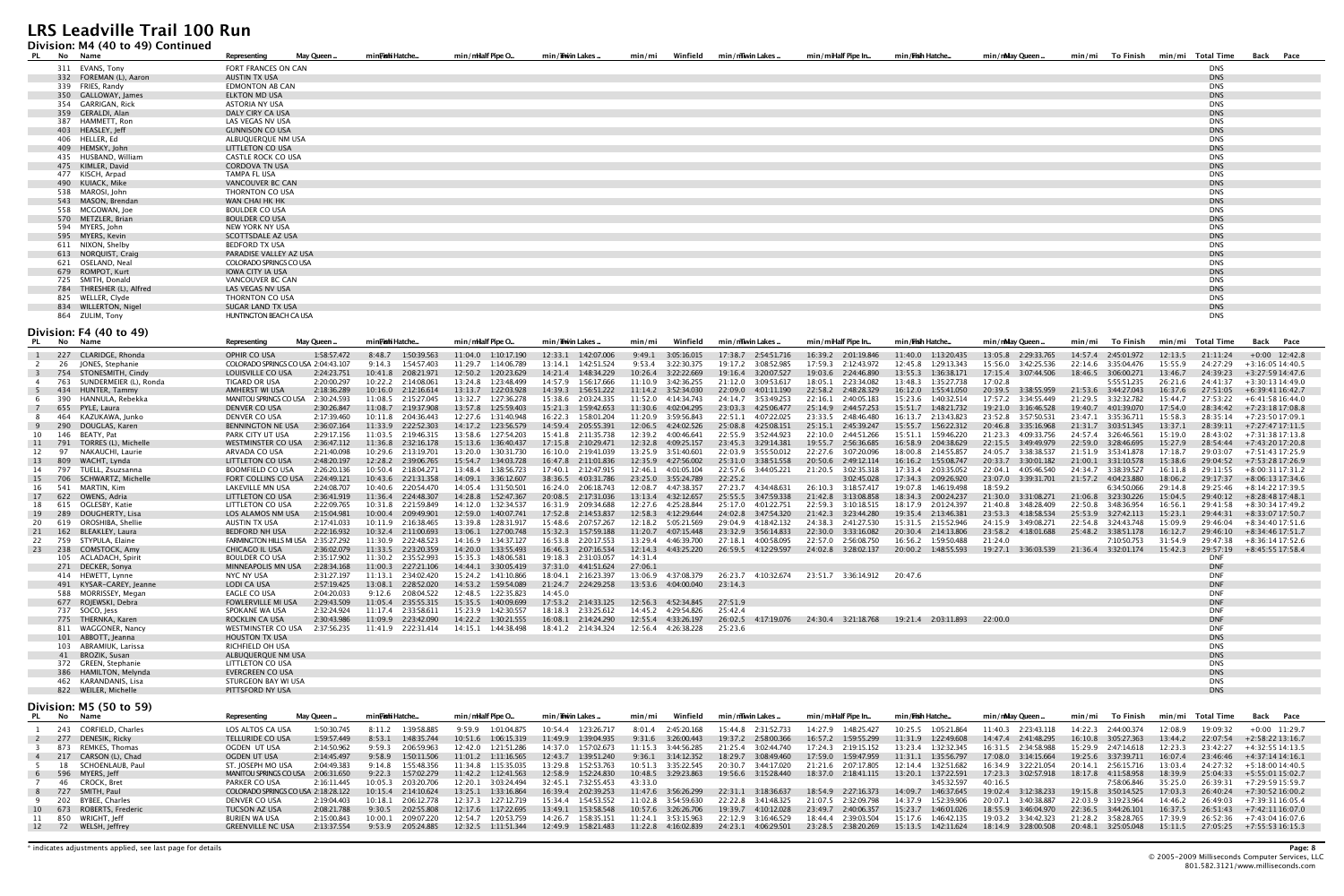#### **Division: M4 (40 to 49) Continued**

| PL No Name |                          | Representing                   | May Queen | min <b>Fish</b> i Hatche | min/milalf Pipe O. | min/Tiwin Lakes | min/mi | Winfield min/mwin Lakes | min/miHalf Pipe In | min/ <b>Fish</b> Hatche | min/nMay Queen | min/mi To Finish min/mi | Total Time | Back Pace |
|------------|--------------------------|--------------------------------|-----------|--------------------------|--------------------|-----------------|--------|-------------------------|--------------------|-------------------------|----------------|-------------------------|------------|-----------|
|            | 311 EVANS, Tony          | FORT FRANCES ON CAN            |           |                          |                    |                 |        |                         |                    |                         |                |                         | <b>DNS</b> |           |
|            | 332 FOREMAN (L), Aaron   | AUSTIN TX USA                  |           |                          |                    |                 |        |                         |                    |                         |                |                         | <b>DNS</b> |           |
|            | 339 FRIES, Randy         | <b>EDMONTON AB CAN</b>         |           |                          |                    |                 |        |                         |                    |                         |                |                         | <b>DNS</b> |           |
|            | 350 GALLOWAY, James      | ELKTON MD USA                  |           |                          |                    |                 |        |                         |                    |                         |                |                         | <b>DNS</b> |           |
|            | 354 GARRIGAN, Rick       | ASTORIA NY USA                 |           |                          |                    |                 |        |                         |                    |                         |                |                         | <b>DNS</b> |           |
|            | 359 GERALDI, Alan        | DALY CIRY CA USA               |           |                          |                    |                 |        |                         |                    |                         |                |                         | <b>DNS</b> |           |
|            | 387 HAMMETT, Ron         | LAS VEGAS NV USA               |           |                          |                    |                 |        |                         |                    |                         |                |                         | <b>DNS</b> |           |
|            | 403 HEASLEY, Jeff        | <b>GUNNISON CO USA</b>         |           |                          |                    |                 |        |                         |                    |                         |                |                         | <b>DNS</b> |           |
|            | 406 HELLER, Ed           | ALBUQUERQUE NM USA             |           |                          |                    |                 |        |                         |                    |                         |                |                         | <b>DNS</b> |           |
|            | 409 HEMSKY, John         | <b>LITTLETON CO USA</b>        |           |                          |                    |                 |        |                         |                    |                         |                |                         | <b>DNS</b> |           |
|            | 435 HUSBAND, William     | <b>CASTLE ROCK CO USA</b>      |           |                          |                    |                 |        |                         |                    |                         |                |                         | <b>DNS</b> |           |
|            | 475 KIMLER, David        | <b>CORDOVA TN USA</b>          |           |                          |                    |                 |        |                         |                    |                         |                |                         | <b>DNS</b> |           |
|            | 477 KISCH, Arpad         | TAMPA FL USA                   |           |                          |                    |                 |        |                         |                    |                         |                |                         | <b>DNS</b> |           |
|            | 490 KUIACK, Mike         | VANCOUVER BC CAN               |           |                          |                    |                 |        |                         |                    |                         |                |                         | <b>DNS</b> |           |
|            | 538 MAROSI, John         | THORNTON CO USA                |           |                          |                    |                 |        |                         |                    |                         |                |                         | <b>DNS</b> |           |
|            | 543 MASON, Brendan       | WAN CHAI HK HK                 |           |                          |                    |                 |        |                         |                    |                         |                |                         | <b>DNS</b> |           |
|            | 558 MCGOWAN, Joe         | <b>BOULDER CO USA</b>          |           |                          |                    |                 |        |                         |                    |                         |                |                         | <b>DNS</b> |           |
|            | 570 METZLER, Brian       | <b>BOULDER CO USA</b>          |           |                          |                    |                 |        |                         |                    |                         |                |                         | <b>DNS</b> |           |
|            | 594 MYERS, John          | NEW YORK NY USA                |           |                          |                    |                 |        |                         |                    |                         |                |                         | <b>DNS</b> |           |
|            | 595 MYERS, Kevin         | SCOTTSDALE AZ USA              |           |                          |                    |                 |        |                         |                    |                         |                |                         | <b>DNS</b> |           |
|            | 611 NIXON, Shelby        | <b>BEDFORD TX USA</b>          |           |                          |                    |                 |        |                         |                    |                         |                |                         | <b>DNS</b> |           |
|            | 613 NORQUIST, Craig      | PARADISE VALLEY AZ USA         |           |                          |                    |                 |        |                         |                    |                         |                |                         | <b>DNS</b> |           |
|            | 621 OSELAND, Neal        | COLORADO SPRINGS CO USA        |           |                          |                    |                 |        |                         |                    |                         |                |                         | <b>DNS</b> |           |
|            | 679 ROMPOT, Kurt         | <b>IOWA CITY IA USA</b>        |           |                          |                    |                 |        |                         |                    |                         |                |                         | <b>DNS</b> |           |
|            | 725 SMITH, Donald        | <b>VANCOUVER BC CAN</b>        |           |                          |                    |                 |        |                         |                    |                         |                |                         | <b>DNS</b> |           |
|            | 784 THRESHER (L), Alfred | LAS VEGAS NV USA               |           |                          |                    |                 |        |                         |                    |                         |                |                         | <b>DNS</b> |           |
|            | 825 WELLER, Clyde        | THORNTON CO USA                |           |                          |                    |                 |        |                         |                    |                         |                |                         | <b>DNS</b> |           |
|            | 834 WILLERTON, Nigel     | SUGAR LAND TX USA              |           |                          |                    |                 |        |                         |                    |                         |                |                         | <b>DNS</b> |           |
|            | 864 ZULIM, Tony          | <b>HUNTINGTON BEACH CA USA</b> |           |                          |                    |                 |        |                         |                    |                         |                |                         | <b>DNS</b> |           |

#### **Division: F4 (40 to 49)**

|                         |     | No Name                                       | Representina                                | May Queen   | minFishi Hatche        | min/milalf Pipe O                              | min/ <b>iiw</b> in Lakes . | min/mi                                     | Winfield    | min/mwin Lakes.        | min/miHalf Pipe In.    | min/Fish Hatche        | min/mMay Queen.        | To Finish<br>min/mi    | min/mi  | Total Time               | Back Pace                   |
|-------------------------|-----|-----------------------------------------------|---------------------------------------------|-------------|------------------------|------------------------------------------------|----------------------------|--------------------------------------------|-------------|------------------------|------------------------|------------------------|------------------------|------------------------|---------|--------------------------|-----------------------------|
|                         |     | 227 CLARIDGE, Rhonda                          | OPHIR CO USA                                | 1:58:57.472 | 8:48.7<br>1:50:39.563  | 11:04.0 1:10:17.190                            | 12:33.1  1:42:07.006       | 9:49.1                                     | 3:05:16.015 | 17:38.7 2:54:51.716    | 16:39.2 2:01:19.846    | 11:40.0 1:13:20.435    | 13:05.8 2:29:33.765    | 14:57.4 2:45:01.972    | 12:13.5 | 21:11:24                 | $+0:00$ 12:42.8             |
|                         |     | 26 JONES, Stephanie                           | COLORADO SPRINGS CO USA 2:04:43.107         |             | $9:14.3$ $1:54:57.403$ | 11:29.7 1:14:06.789                            | 13:14.1  1:42:51.524       | 9:53.4                                     | 3:22:30.375 | 19:17.2<br>3:08:52.985 | 17:59.3 2:12:43.972    | 12:45.8  1:29:13.343   | 15:56.0 3:42:25.536    | 22:14.6 3:35:04.476    | 15:55.9 | 24:27:29                 | $+3:16:0514:40.5$           |
| $\overline{\mathbf{3}}$ |     | 754 STONESMITH, Cindy                         | LOUISVILLE CO USA                           | 2:24:23.751 | 10:41.8 2:08:21.971    | 12:50.2<br>1:20:23.629                         | 14:21.4 1:48:34.229        | 10:26.4 3:22:22.669                        |             | 3:20:07.527<br>19:16.4 | 19:03.6 2:24:46.890    | 13:55.3 1:36:38.171    | 17:15.4 3:07:44.506    | 18:46.5 3:06:00.271    | 13:46.7 | 24:39:23                 | $+3:27:5914:47.6$           |
|                         |     | 763 SUNDERMEIER (L), Ronda                    | TIGARD OR USA                               | 2:20:00.297 | 10:22.2 2:14:08.061    | 13:24.8 1:23:48.499                            | 14:57.9  1:56:17.666       | 11:10.9 3:42:36.255                        |             | 21:12.0 3:09:53.617    | 18:05.1 2:23:34.082    | 13:48.3 1:35:27.738    | 17:02.8                | 5:55:51.235            | 26:21.6 | 24:41:37                 | $+3:30:1314:49.0$           |
|                         |     | 434 HUNTER, Tammy                             | <b>AMHERST WI USA</b>                       | 2:18:36.289 | 10:16.0 2:12:16.614    | 13:13.7 1:22:03.928                            | 14:39.3  1:56:51.222       |                                            |             | 22:09.0 4:01:11.190    | 22:58.2 2:48:28.329    | 16:12.0  1:55:41.050   | 20:39.5 3:38:55.959    | 21:53.6 3:44:27.043    | 16:37.6 |                          | 27:51:05 +6:39:41 16:42.7   |
| - 6                     | 390 | HANNULA, Rebekka                              | MANITOU SPRINGS CO USA 2:30:24.593          |             | 11:08.5 2:15:27.045    | 13:32.7   1:27:36.278                          | 15:38.6 2:03:24.335        | 11:52.0 4:14:34.743                        |             | 24:14.7 3:53:49.253    | 22:16.1 2:40:05.183    | 15:23.6 1:40:32.514    |                        | 21:29.5 3:32:32.782    | 15:44.7 | 27:53:22                 | +6:41:58 16:44.0            |
|                         |     | 655 PYLE, Laura                               | DENVER CO USA                               | 2:30:26.847 | 11:08.7 2:19:37.908    | 13:57.8 1:25:59.403                            | 15:21.3 1:59:42.653        | 11:30.6                                    | 4:02:04.295 | 23:03.3 4:25:06.477    | 25:14.9 2:44:57.253    | 15:51.7 1:48:21.732    | 19:21.0 3:16:46.528    | 19:40.7 4:01:39.070    | 17:54.0 |                          | $28:34:42 + 7:23:1817:08.8$ |
| -8                      |     | 464 KAZUKAWA, Junko                           | DENVER CO USA                               | 2:17:39.460 | 10:11.8  2:04:36.443   | 12:27.6 1:31:40.948                            | 16:22.3<br>1:58:01.204     | 11:20.9                                    | 3:59:56.843 | 4:07:22.025<br>22:51.1 | 23:33.5 2:48:46.480    | 16:13.7 2:13:43.823    | 23:52.8 3:57:50.531    | 23:47.1 3:35:36.711    | 15:58.3 | 28:35:14                 | $+7:23:5017:09.1$           |
|                         |     | 290 DOUGLAS, Karen                            | BENNINGTON NE USA                           | 2:36:07.164 | 11:33.9<br>2:22:52.303 | 14:17.2  1:23:56.579                           | 14:59.4 2:05:55.391        | 12:06.5 4:24:02.526                        |             | 25:08.8 4:25:08.151    | 25:15.1 2:45:39.247    | 15:55.7   1:56:22.312  | 20:46.8 3:35:16.968    | 21:31.7 3:03:51.345    | 13:37.1 | 28:39:11                 | +7:27:47 17:11.5            |
| 10                      |     | 146 BEATY, Pat                                | PARK CITY UT USA                            | 2:29:17.156 | 11:03.5 2:19:46.315    | 13:58.6 1:27:54.203                            | 15:41.8 2:11:35.738        | 12:39.2 4:00:46.641                        |             | 22:55.9 3:52:44.923    | 22:10.0 2:44:51.266    | 15:51.1 1:59:46.220    | 21:23.3 4:09:33.756    | 24:57.4 3:26:46.561    | 15:19.0 | 28:43:02                 | $+7:31:3817:13.8$           |
| 11                      | 791 | TORRES (L). Michelle                          | <b>WESTMINSTER CO USA</b>                   | 2:36:47.112 | 11:36.8 2:32:16.178    | 15:13.6 1:36:40.437                            | 17:15.8 2:10:29.471        | 12:32.8                                    | 4:09:25.157 | 23:45.3 3:29:14.381    | 19:55.7 2:56:36.685    | 16:58.9 2:04:38.629    | 22:15.5 3:49:49.979    | 22:59.0 3:28:46.695    | 15:27.9 | 28:54:44                 | +7:43:2017:20.8             |
| 12                      | 97  | NAKAUCHI, Laurie                              | ARVADA CO USA                               | 2:21:40.098 | 10:29.6 2:13:19.701    | 13:20.0 1:30:31.730                            | 16:10.0 2:19:41.039        | 13:25.9 3:51:40.601                        |             | 22:03.9 3:55:50.012    | 22:27.6 3:07:20.096    | 18:00.8 2:14:55.857    | 24:05.7 3:38:38.537    | 21:51.9 3:53:41.878    | 17:18.7 | 29:03:07                 | +7:51:43 17:25.9            |
| 13                      | 809 | WACHT, Lynda                                  | <b>LITTLETON CO USA</b>                     | 2:48:20.197 | 12:28.2 2:39:06.765    | 15:54.7<br>1:34:03.728                         | 16:47.8<br>2:11:01.836     | 12:35.9                                    | 4:27:56.002 | 25:31.0<br>3:38:51.558 | 20:50.6<br>2:49:12.114 | 16:16.2<br>1:55:08.747 | 20:33.7<br>3:30:01.182 | 21:00.1<br>3:31:10.578 | 15:38.6 | 29:04:52                 | +7:53:28 17:26.9            |
| 14                      | 797 | TUELL, Zsuzsanna                              | <b>BOOMFIELD CO USA</b>                     | 2:26:20.136 | 10:50.4  2:18:04.271   | 13:48.4<br>1:38:56.723                         | 2:12:47.915<br>17:40.1     | 12:46.1                                    | 4:01:05.104 | 22:57.6 3:44:05.221    | 21:20.5<br>3:02:35.318 | 17:33.4 2:03:35.052    | 22:04.1 4:05:46.540    | 24:34.7 3:38:39.527    | 16:11.8 | 29:11:55                 | $+8:00:3117:31.2$           |
| 15                      |     | 706 SCHWARTZ, Michelle                        | FORT COLLINS CO USA                         | 2:24:49.121 | 10:43.6 2:21:31.358    | 14:09.1<br>3:36:12.607                         | 38:36.5 4:03:31.786        | 23:25.0 3:55:24.789                        |             | 22:25.2                | 3:02:45.028            | 17:34.3 2:09:26.920    | 23:07.0 3:39:31.701    | 21:57.2 4:04:23.880    | 18:06.2 | 29:17:37                 | $+8:06:1317:34.6$           |
| 16                      |     | 541 MARTIN, Kim                               | LAKEVILLE MN USA                            | 2:24:08.707 | 10:40.6 2:20:54.470    | 14:05.4 1:31:50.501                            | 16:24.0 2:06:18.743        | 12:08.7 4:47:38.357                        |             | 27:23.7 4:34:48.631    | 26:10.3 3:18:57.417    | 19:07.8 1:46:19.498    | 18:59.2                | 6:34:50.066            | 29:14.8 | 29:25:46                 | $+8:14:2217:39.5$           |
| 17                      |     | 622 OWENS, Adria                              | LITTLETON CO USA                            | 2:36:41.919 | 11:36.4 2:24:48.307    | 14:28.8 1:52:47.367                            | 20:08.5 2:17:31.036        | 13:13.4 4:32:12.657                        |             | 25:55.5 3:47:59.338    | 21:42.8<br>3:13:08.858 | 18:34.3 2:00:24.237    | 21:30.0 3:31:08.271    | 21:06.8 3:23:30.226    | 15:04.5 |                          | $29:40:12 + 8:28:4817:48.1$ |
| 18                      |     | 615 OGLESBY, Katie                            | LITTLETON CO USA                            | 2:22:09.765 | 10:31.8 2:21:59.849    | 14:12.0 1:32:34.537                            | 16:31.9 2:09:34.688        | 12:27.6 4:25:28.844                        |             | 25:17.0 4:01:22.751    | 22:59.3 3:10:18.515    | 18:17.9 2:01:24.397    | 21:40.8 3:48:28.409    | 22:50.8 3:48:36.954    | 16:56.1 | 29:41:58                 | +8:30:34 17:49.2            |
| 19                      | 289 | DOUGHERTY, Lisa                               | LOS ALAMOS NM USA                           | 2:15:04.981 | 10:00.4 2:09:49.901    | 12:59.0<br>1:40:07.741                         | 17:52.8 2:14:53.837        | 12:58.3                                    | 4:12:29.644 | 24:02.8 3:47:54.320    | 21:42.3<br>3:23:44.280 | 19:35.4  2:13:46.381   | 23:53.3 4:18:58.534    | 25:53.9 3:27:42.113    | 15:23.1 | 29:44:31                 | +8:33:07 17:50.7            |
| 20                      | 619 | OROSHIBA, Shellie                             | AUSTIN TX USA                               | 2:17:41.033 | 10:11.9 2:16:38.465    | 13:39.8<br>1:28:31.917                         | 15:48.6 2:07:57.267        | 12:18.2                                    | 5:05:21.569 | 29:04.9 4:18:42.132    | 24:38.3 2:41:27.530    | 15:31.5 2:15:52.946    | 24:15.9 3:49:08.271    | 22:54.8 3:24:43.748    | 15:09.9 | 29:46:04                 | $+8:34:4017:51.6$           |
| 21                      |     | 162 BLEAKLEY, Laura                           | <b>BEDFORD NH USA</b>                       | 2:22:16.932 | 10:32.4 2:11:00.693    | 13:06.1 1:27:00.748                            | 15:32.3  1:57:59.188       | 11:20.7                                    | 4:07:15.448 | 23:32.9 3:56:14.833    | 22:30.0 3:33:16.082    | 20:30.4 2:14:13.806    | 23:58.2 4:18:01.688    | 25:48.2 3:38:51.178    | 16:12.7 |                          | 29:46:10 +8:34:46 17:51.7   |
| 22                      |     | 759 STYPULA, Elaine                           | FARMINGTON HILLS MI USA 2:35:27.292         |             | 11:30.9 2:22:48.523    | 14:16.9 1:34:37.127                            | 16:53.8 2:20:17.553        | 13:29.4 4:46:39.700                        |             | 27:18.1 4:00:58.095    | 22:57.0 2:56:08.750    | 16:56.2 1:59:50.488    | 21:24.0                | 7:10:50.753            | 31:54.9 | 29:47:38                 | $+8:36:1417:52.6$           |
|                         |     | 23 238 COMSTOCK, Amy                          | <b>CHICAGO IL USA</b>                       | 2:36:02.079 | 11:33.5 2:23:20.359    | 14:20.0  1:33:55.493                           | 16:46.3 2:07:16.534        | 12:14.3  4:43:25.220                       |             | 26:59.5 4:12:29.597    | 24:02.8 3:28:02.137    | 20:00.2 1:48:55.593    | 19:27.1 3:36:03.539    | 21:36.4 3:32:01.174    | 15:42.3 | 29:57:19                 | +8:45:55 17:58.4            |
|                         |     | 105 ACLADACH, Spirit                          | <b>BOULDER CO USA</b>                       | 2:35:17.902 | 11:30.2 2:35:52.993    | 15:35.3 1:48:06.581                            | 19:18.3 2:31:03.057        | 14:31.4                                    |             |                        |                        |                        |                        |                        |         | <b>DNF</b>               |                             |
|                         |     | 271 DECKER, Sonya                             | MINNEAPOLIS MN USA                          | 2:28:34.168 | 11:00.3 2:27:21.106    | 14:44.1<br>3:30:05.419                         | 37:31.0 4:41:51.624        | 27:06.1                                    |             |                        |                        |                        |                        |                        |         | <b>DNF</b>               |                             |
|                         |     | 414 HEWETT, Lynne                             | NYC NY USA                                  | 2:31:27.197 | 11:13.1 2:34:02.420    | 15:24.2 1:41:10.866                            | 18:04.1 2:16:23.397        | 13:06.9 4:37:08.379                        |             | 26:23.7 4:10:32.674    | 23:51.7 3:36:14.912    | 20:47.6                |                        |                        |         | <b>DNF</b>               |                             |
|                         |     | 491 KYSAR-CAREY, Jeanne                       | <b>LODI CA USA</b>                          | 2:57:19.425 | 2:28:52.020<br>13:08.1 | 14:53.2   1:59:54.089                          | 21:24.7 2:24:29.258        | 13:53.6 4:04:00.040                        |             | 23:14.3                |                        |                        |                        |                        |         | <b>DNF</b>               |                             |
|                         |     | 588 MORRISSEY, Megan                          | EAGLE CO USA                                | 2:04:20.033 | 9:12.6<br>2:08:04.522  | 12:48.5 1:22:35.823                            | 14:45.0                    |                                            |             |                        |                        |                        |                        |                        |         | <b>DNF</b>               |                             |
|                         |     | 677 ROJEWSKI, Debra                           | <b>FOWLERVILLE MI USA</b>                   | 2:29:43.509 | 11:05.4 2:35:55.315    | 15:35.5 1:40:09.699                            | 17:53.2  2:14:33.125       | 12:56.3 4:52:34.845                        |             | 27:51.9                |                        |                        |                        |                        |         | <b>DNF</b>               |                             |
|                         |     | 737 SOCO, Jess                                | SPOKANE WA USA                              | 2:32:24.924 | 11:17.4 2:33:58.611    | 15:23.9 1:42:30.557                            | 18:18.3 2:33:25.612        | 14:45.2 4:29:54.826                        |             | 25:42.4                |                        |                        |                        |                        |         | <b>DNF</b>               |                             |
|                         |     | 775 THERNKA, Karen                            | <b>ROCKLIN CA USA</b><br>WESTMINSTER CO USA | 2:30:43.986 | 11:09.9<br>2:23:42.090 | 14:22.2<br>1:30:21.555<br>14:15.1  1:44:38.498 | 16:08.1<br>2:14:24.290     | 12:55.4 4:33:26.197<br>12:56.4 4:26:38.228 |             | 26:02.5 4:17:19.076    | 24:30.4 3:21:18.768    | 19:21.4 2:03:11.893    | 22:00.0                |                        |         | <b>DNF</b><br><b>DNF</b> |                             |
|                         |     | 811 WAGGONER, Nancy                           |                                             | 2:37:56.235 | 11:41.9 2:22:31.414    |                                                | 18:41.2  2:14:34.324       |                                            |             | 25:23.6                |                        |                        |                        |                        |         |                          |                             |
|                         |     | 101 ABBOTT, Jeanna                            | <b>HOUSTON TX USA</b>                       |             |                        |                                                |                            |                                            |             |                        |                        |                        |                        |                        |         | <b>DNS</b><br><b>DNS</b> |                             |
|                         |     | 103 ABRAMIUK, Larissa                         | RICHFIELD OH USA                            |             |                        |                                                |                            |                                            |             |                        |                        |                        |                        |                        |         | <b>DNS</b>               |                             |
|                         |     | 41 BROZIK, Susan                              | ALBUQUERQUE NM USA<br>LITTLETON CO USA      |             |                        |                                                |                            |                                            |             |                        |                        |                        |                        |                        |         | <b>DNS</b>               |                             |
|                         |     | 372 GREEN, Stephanie<br>386 HAMILTON, Melynda | <b>EVERGREEN CO USA</b>                     |             |                        |                                                |                            |                                            |             |                        |                        |                        |                        |                        |         | <b>DNS</b>               |                             |
|                         |     | 462 KARANDANIS, Lisa                          | STURGEON BAY WI USA                         |             |                        |                                                |                            |                                            |             |                        |                        |                        |                        |                        |         | <b>DNS</b>               |                             |
|                         |     | 822 WEILER, Michelle                          | PITTSFORD NY USA                            |             |                        |                                                |                            |                                            |             |                        |                        |                        |                        |                        |         | <b>DNS</b>               |                             |
|                         |     |                                               |                                             |             |                        |                                                |                            |                                            |             |                        |                        |                        |                        |                        |         |                          |                             |

**Division: M5 (50 to 59)**

|  | PL No Name               | Representing                        | May Queen   | minFi <b>sh</b> i Hatche | min/mHalf Pipe O       | min/Thwin Lakes        | Winfield<br>min/mi     | min/mTwin Lakes        | min/miHalf Pipe In     | min / <b>Fish</b> Hatche | min/mMav Oueen         | min/mi                 |         |          | To Finish       min/mi     Total Time         Back       Pace |
|--|--------------------------|-------------------------------------|-------------|--------------------------|------------------------|------------------------|------------------------|------------------------|------------------------|--------------------------|------------------------|------------------------|---------|----------|---------------------------------------------------------------|
|  | 243 CORFIELD. Charles    | LOS ALTOS CA USA                    | 1:50:30.745 | 1.39.58.885<br>8:11.2    | 9:59.9<br>1:01:04.875  | 10:54.4 1:23:26.717    | 8:01.4 2:45:20.168     | 15:44.8 2:31:52.733    | 14:27.9 1:48:25.427    | 10:25.5 1:05:21.864      | 11:40.3 2:23:43.118    | 14:22.3 2:44:00.374    | 12:08.9 |          | $19:09:32 + 0:00$ 11:29.7                                     |
|  | 277 DENESIK. Ricky       | <b>TELLURIDE CO USA</b>             | 1:59:57.449 | 1.48.35.744<br>8.53.1    | 10:51.6<br>1:06:15.319 | 11:49.9 1:39:04.935    | 9:31.6 3:26:00.443     | 19:37.2 2:58:00.366    |                        | $11:31.9$ $1:22:49.608$  | 14:47.4 2:41:48.295    | 16:10.8 3:05:27.363    | 13:44.2 |          | $22:07:54$ $+2:58:2213:16.7$                                  |
|  | 873 REMKES. Thomas       | OGDEN UT USA                        | 2:14:50.962 | 9:59.3<br>2:06:59.963    | 12:42.0<br>1:21:51.286 | 14:37.0 1:57:02.673    |                        | 21:25.4 3:02:44.740    | 17:24.3 2:19:15.152    | 13:23.4 1:32:32.345      | 16:31.5 2:34:58.988    | 15:29.9 2:47:14.618    | 12:23.3 |          | 23:42:27 +4:32:55 14:13.5                                     |
|  | 217 CARSON (L). Chad     | OGDEN UT USA                        | 2:14:45.497 | 9:58.9 1:50:11.506       | 11:01.2 1:11:16.565    | 12:43.7 1:39:51.240    | $9:36.1$ $3:14:12.352$ | 18:29.7 3:08:49.460    |                        | $11:31.1$ $1:35:56.797$  | 17:08.0 3:14:15.664    | 19:25.6 3:37:39.711    | 16:07.4 |          | $23:46:46$ $+4:37:1414:16.1$                                  |
|  | 18 SCHOENLAUB. Paul      | ST. IOSEPH MO USA                   | 2:04:49.383 | 1:55:48.356<br>9:14.8    | 1:15:35.035<br>11:34.8 | 13:29.8 1:52:53.763    | 10:51.3 3:35:22.545    | 20:30.7 3:44:17.020    | 21:21.6 2:07:17.805    | 12:14.4   1:32:51.682    | 16:34.9 3:22:21.054    | 2:56:15.716<br>20:14.1 | 13:03.4 | 24:27:32 | $+5:18:0014:40.5$                                             |
|  | 6 596 MYERS. Ieff        | <b>MANITOU SPRINGS CO USA</b>       | 2:06:31.650 | 9:22.3 1:57:02.279       | 11:42.2 1:12:41.563    | 12:58.9 1:52:24.830    | 10:48.5 3:29:23.863    | 19:56.6 3:15:28.440    | 18:37.0 2:18:41.115    | 13:20.1 1:37:22.591      | 17:23.3 3:02:57.918    | 18:17.8   4:11:58.958  | 18:39.9 |          | 25:04:33 +5:55:01 15:02.7                                     |
|  | 46 CROCK. Bret           | PARKER CO USA                       | 2:16:11.445 | 10:05.3<br>2:03:20.706   | 12:20.1<br>3:03:24.494 | 32:45.1<br>7:32:55.453 | 43:33.0                |                        |                        | 3:45:32.597              | 40:16.5                | 7:58:06.846            | 35:25.0 |          | $26:39:31 + 7:29:5915:59.7$                                   |
|  | 8 727 SMITH. Paul        | COLORADO SPRINGS CO USA 2:18:28.122 |             | 10:15.4 2:14:10.624      | 13:25.1 1:33:16.864    | 16:39.4 2:02:39.253    | 11:47.6 3:56:26.299    | 3:18:36.637<br>22:31.1 | 18:54.9 2:27:16.373    | 14:09.7 1:46:37.645      | 19:02.4<br>3:12:38.233 | 19:15.8 3:50:14.525    | 17:03.3 |          | $26:40:24$ $+7:30:5216:00.2$                                  |
|  | 202 BYBEE. Charles       | DENVER CO USA                       | 2:19:04.403 | 2:06:12.778<br>10:18.1   | 12:37.3<br>1:27:12.719 | 15:34.4<br>1:54:53.552 | 11:02.8<br>3:54:59.630 | 22:22.8 3:41:48.325    | 21:07.5<br>2:32:09.798 | 14:37.9 1:52:39.906      | 20:07.1<br>3:40:38.887 | 22:03.9<br>3:19:23.964 | 14:46.2 |          | 26:49:03 +7:39:31 16:05.4                                     |
|  | 10 673 ROBERTS. Frederic | <b>TUCSON AZ USA</b>                | 2:08:21.788 | 9.30.5<br>2:02:55.808    | 1:17:22.695<br>12:17.6 | 13:49.1 1:53:58.548    | 10:57.6<br>3:26:26.706 | 19:39.7 4:10:12.028    | 23:49.7 2:40:06.357    | 15:23.7 1:46:01.026      | 18:55.9 3:46:04.970    | 22:36.5 3:44:26.101    | 16:37.5 |          | 26:51:43 +7:42:1116:07.0                                      |
|  | 11 850 WRIGHT. Ieff      | BURIEN WA USA                       | 2:15:00.843 | 2:09:07.220<br>10:00.1   | 1:20:53.759<br>12:54.7 | 14:26.7<br>1:58:35.151 | 3:53:15.963<br>11:24.1 | 22:12.9 3:16:46.529    | 18:44.4 2:39:03.504    | 15:17.6 1:46:42.135      | 19:03.2 3:34:42.323    | 21:28.2 3:58:28.765    | 17:39.9 |          | 26:52:36 +7:43:04 16:07.6                                     |
|  | 12 72 WELSH, Jeffrey     | GREENVILLE NC USA                   | 2:13:37.554 | 9:53.9 2:05:24.885       | 12:32.5 1:11:51.344    | 12:49.9 1:58:21.483    | 11:22.8 4:16:02.839    | 24:23.1 4:06:29.501    | 23:28.5 2:38:20.269    | 15:13.5 1:42:11.624      | 18:14.9 3:28:00.508    | 20:48.1 3:25:05.048    | 15:11.5 |          | $27:05:25$ $+7:55:5316:15.3$                                  |
|  |                          |                                     |             |                          |                        |                        |                        |                        |                        |                          |                        |                        |         |          |                                                               |

\* indicates adjustments applied, see last page for details **Page: 8**

© 2005-2009 Milliseconds Computer Services, LLC

801.582.3121/www.milliseconds.com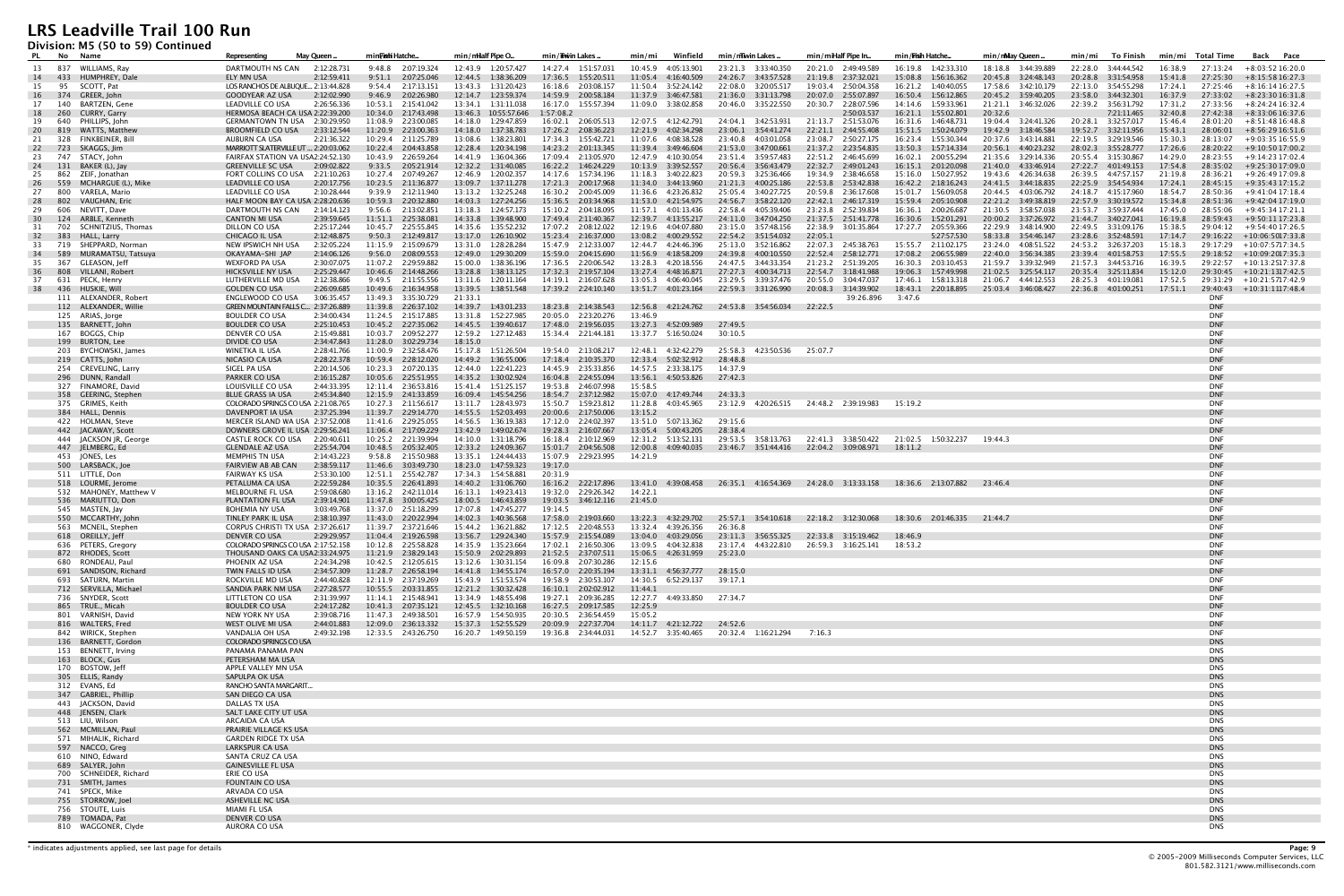**Division: M5 (50 to 59) Continued**

| PL.       |            | No Name                                    | May Queen<br>Representing                                                      | min <b>Fishi</b> Hatche                        | min/mHalf Pipe O                               | min/iiwin Lakes                               | Winfield<br>min/mi                            | min/mwinLakes.                                              | min/miHalf Pipe In                                                  | min / <b>Fish</b> Hatche                      | min/nMay Queen.                            | min/mi<br>To Finish                        | Total Time<br>min/mi                       | Back Pace                                              |
|-----------|------------|--------------------------------------------|--------------------------------------------------------------------------------|------------------------------------------------|------------------------------------------------|-----------------------------------------------|-----------------------------------------------|-------------------------------------------------------------|---------------------------------------------------------------------|-----------------------------------------------|--------------------------------------------|--------------------------------------------|--------------------------------------------|--------------------------------------------------------|
| 13        |            | 837 WILLIAMS, Rav                          | DARTMOUTH NS CAN<br>2:12:28.731                                                | 9:48.8 2:07:19.324                             | 12:43.9 1:20:57.427                            | 14:27.4 1:51:57.03                            | 10:45.9<br>4:05:13.901                        | 23:21.3 3:33:40.350                                         | 20:21.0 2:49:49.589                                                 | 16:19.8 1:42:33.310                           | 18:18.8 3:44:39.889                        | 22:28.0 3:44:44.542                        | 16:38.9<br>27:13:24                        | $+8:03:5216:20.0$                                      |
| 14        | 433        | HUMPHREY, Dale                             | 2:12:59.411<br>ELY MN USA                                                      | 9:51.1<br>2:07:25.046                          | 12:44.5  1:38:36.209                           | 17:36.5<br>1:55:20.511                        | 11:05.4<br>4:16:40.509                        | 24:26.7<br>3:43:57.528                                      | 21:19.8 2:37:32.021                                                 | 15:08.8<br>1:56:16.362                        | 20:45.8 3:24:48.143                        | 20:28.8 3:31:54.958                        | 15:41.8<br>27:25:30                        | $+8:15:5816:27.3$                                      |
| 15        | 95         | SCOTT, Pat                                 | LOS RANCHOS DE ALBUQUE 2:13:44.828                                             | 2:17:13.151<br>9:54.4                          | 1:31:20.423<br>13:43.3                         | 2:03:08.157<br>16:18.6                        |                                               | 22:08.0<br>3:20:05.517                                      | 19:03.4 2:50:04.358                                                 | 16:21.2  1:40:40.055                          | 17:58.6 3:42:10.179                        | 22:13.0 3:54:55.298                        | 17:24.1<br>27:25:46                        | $+8:16:1416:27.5$                                      |
| <b>16</b> |            | 374 GREER, John                            | 2:12:02.990<br><b>GOODYEAR AZ USA</b>                                          | 9:46.9<br>2:02:26.980                          | 12:14.7   1:23:59.374                          | 14:59.9 2:00:58.184                           |                                               | 21:36.0 3:31:13.798                                         | 20:07.0<br>2:55:07.897                                              | 16:50.4  1:56:12.865                          | 20:45.2 3:59:40.205                        | 23:58.0 3:44:32.301                        | 16:37.9<br>27:33:02                        | $+8:23:3016:31.8$                                      |
| 17        | 140<br>260 | BARTZEN, Gene<br>CURRY, Garry              | LEADVILLE CO USA<br>2:26:56.336<br>HERMOSA BEACH CA USA 2:22:39.200            | 10:53.1  2:15:41.042<br>10:34.0<br>2:17:43.498 | 13:34.1 1:31:11.038<br>13:46.3<br>10:55:57.646 | 16:17.0 1:55:57.394<br>1:57:08.2              | 11:09.0  3:38:02.858                          | 20:46.0 3:35:22.550                                         | 20:30.7<br>2:28:07.596<br>2:50:03.537                               | 14:14.6 1:59:33.961<br>16:21.1  1:55:02.801   | 21:21.1 3:46:32.026<br>20:32.6             | 22:39.2 3:56:31.792<br>7:21:11.465         | 17:31.2<br>27:33:56<br>32:40.8<br>27:42:38 | $+8:24:2416:32.4$<br>+8:33:06 16:37.6                  |
| 18<br>19  | 640        | PHILLIPS, John                             | GERMANTOWN TN USA 2:30:29.950                                                  | 11:08.9<br>2:23:00.085                         | 14:18.0 1:29:47.859                            | 16:02.1 2:06:05.513                           | 12:07.5 4:12:42.791                           | 24:04.1 3:42:53.931                                         | 21:13.7 2:51:53.076                                                 | 16:31.6 1:46:48.731                           | 19:04.4 3:24:41.326                        | 20:28.1 3:32:57.017                        | 15:46.4<br>28:01:20                        | $+8:51:4816:48.8$                                      |
| 20        |            | 819      WATTS, Matthew                    | BROOMFIELD CO USA<br>2:33:12.544                                               | 11:20.9 2:23:00.363                            | 14:18.0 1:37:38.783                            | 17:26.2<br>2:08:36.223                        | 12:21.9<br>4:02:34.298                        | 23:06.1<br>3:54:41.274                                      | 22:21.1<br>2:44:55.408                                              | 15:51.5   1:50:24.079                         | 19:42.9<br>3:18:46.584                     |                                            | 15:43.1<br>28:06:01                        | $+8:56:2916:51.6$                                      |
| 21        | - 328      | FINKBEINER, Bill                           | 2:21:36.322<br>AUBURN CA USA                                                   | 10:29.4 2:11:25.789                            | 13:08.6 1:38:23.801                            | 17:34.3  1:55:42.721                          | 11:07.6 4:08:38.528                           | 23:40.8 4:03:01.058                                         | 23:08.7 2:50:27.175                                                 | 16:23.4  1:55:30.344                          | 20:37.6  3:43:14.881                       | 22:19.5 3:29:19.546                        | 15:30.3<br>28:13:07                        | +9:03:35 16:55.9                                       |
| 22        | 723        | SKAGGS, Jim                                | MARRIOTT SLATERVILLE UT  2:20:03.062                                           | 10:22.4 2:04:43.858                            | 12:28.4 1:20:34.198                            | 14:23.2 2:01:13.345                           | 11:39.4 3:49:46.604                           | 21:53.0 3:47:00.661                                         | 21:37.2 2:23:54.835                                                 | 13:50.3  1:57:14.334                          | 20:56.1 4:40:23.232                        | 28:02.3 3:55:28.777                        | 17:26.6<br>28:20:22                        | +9:10:50 17:00.2                                       |
| 23        |            | 747 STACY, John                            | FAIRFAX STATION VA USA2:24:52.130                                              | 10:43.9 2:26:59.264                            | 14:41.9 1:36:04.366                            | 17:09.4 2:13:05.970                           | 12:47.9  4:10:30.054                          | 23:51.4 3:59:57.483                                         | 22:51.2 2:46:45.699                                                 | 16:02.1 2:00:55.294                           | 21:35.6 3:29:14.336                        | 20:55.4 3:15:30.867                        | 14:29.0<br>28:23:55                        | +9:14:23 17:02.4                                       |
| 24        | 131        | BAKER (L), Jay                             | <b>GREENVILLE SC USA</b><br>2:09:02.822                                        | 9:33.5 2:05:21.914                             | 12:32.2  1:31:40.085                           | 16:22.2<br>1:46:24.229                        | 10:13.9 3:39:52.557                           | 20:56.4 3:56:43.479                                         | 22:32.7 2:49:01.243                                                 | 16:15.1  2:01:20.098                          | 21:40.0 4:33:46.914                        | 27:22.7 4:01:49.153                        | 17:54.8<br>28:35:02                        | +9:25:30 17:09.0                                       |
| 25<br>26  | 559        | 862 ZEIF, Jonathan<br>MCHARGUE (L), Mike   | FORT COLLINS CO USA<br>2:21:10.263<br>2:20:17.756<br><b>LEADVILLE CO USA</b>   | 10:27.4 2:07:49.267<br>10:23.5 2:11:36.877     | 12:46.9 1:20:02.357<br>13:09.7 1:37:11.278     | 14:17.6  1:57:34.196<br>17:21.3 2:00:17.968   | 11:18.3 3:40:22.823<br>11:34.0<br>3:44:13.960 | 3:25:36.466<br>20:59.3<br>21:21.3<br>4:00:25.186            | 19:34.9 2:38:46.658<br>22:53.8<br>2:53:42.838                       | 15:16.0 1:50:27.952<br>16:42.2  2:18:16.243   | 19:43.6 4:26:34.638<br>24:41.5 3:44:18.835 | 26:39.5 4:47:57.157<br>22:25.9 3:54:54.934 | 21:19.8<br>28:36:21<br>17:24.1<br>28:45:15 | +9:26:49 17:09.8<br>+9:35:43 17:15.2                   |
| 27        | 800        | VARELA, Mario                              | 2:10:28.444<br>LEADVILLE CO USA                                                | 9:39.9<br>2:12:11.940                          | 13:13.2  1:32:25.248                           | 2:00:45.009<br>16:30.2                        | 11:36.6<br>4:23:26.832                        | 25:05.4<br>3:40:27.725                                      | 20:59.8 2:36:17.608                                                 | 15:01.7  1:56:09.058                          | 20:44.5<br>4:03:06.792                     | 24:18.7 4:15:17.960                        | 18:54.7<br>28:50:36                        | $+9:41:0417:18.4$                                      |
| 28        | 802        | VAUGHAN, Eric                              | HALF MOON BAY CA USA 2:28:20.636                                               | 10:59.3 2:20:32.880                            | 14:03.3  1:27:24.256                           | 15:36.5 2:03:34.968                           | 11:53.0  4:21:54.975                          | 24:56.7 3:58:22.120                                         | 22:42.1 2:46:17.319                                                 | 15:59.4 2:05:10.908                           | 22:21.2 3:49:38.819                        | 22:57.9 3:30:19.572                        | 15:34.8<br>28:51:36                        | +9:42:04 17:19.0                                       |
| 29        | 606        | NEVITT, Dave                               | DARTMOUTH NS CAN<br>2:14:14.123                                                | 9:56.6<br>2:13:02.851                          | 13:18.3 1:24:57.173                            | 15:10.2  2:04:18.095                          | 11:57.1  4:01:13.436                          | 22:58.4<br>4:05:39.406                                      | 23:23.8 2:52:39.834                                                 | 16:36.1 2:00:26.687                           | 21:30.5 3:58:57.038                        | 23:53.7 3:59:37.444                        | 17:45.0<br>28:55:06                        | +9:45:34 17:21.1                                       |
| 30        | 124        | ARBLE, Kenneth                             | <b>CANTON MI USA</b><br>2:39:59.645                                            | 11:51.1<br>2:25:38.081                         | 14:33.8<br>1:39:48.900                         | 17:49.4 2:11:40.367                           | 12:39.7 4:13:55.217                           | 24:11.0 3:47:04.250                                         | 21:37.5 2:51:41.778                                                 | 16:30.6<br>1:52:01.291                        | 20:00.2 3:37:26.972                        | 21:44.7 3:40:27.041                        | 16:19.8<br>28:59:43                        | +9:50:11 17:23.8                                       |
| 31        | 702        | SCHNITZIUS, Thomas                         | DILLON CO USA<br>2:25:17.244                                                   | 10:45.7 2:25:55.845                            | 14:35.6 1:35:52.232                            | 17:07.2 2:08:12.022                           | 12:19.6<br>4:04:07.880                        | 23:15.0 3:57:48.156                                         | 22:38.9 3:01:35.864                                                 | 17:27.7<br>2:05:59.366                        | 22:29.9 3:48:14.900                        | 22:49.5 3:31:09.176                        | 15:38.5<br>29:04:12                        | +9:54:40 17:26.5                                       |
| 32        | - 383      | <b>HALL, Larry</b>                         | CHICAGO IL USA<br>2:12:48.875                                                  | 9:50.3<br>2:12:49.817                          | 13:17.0  1:26:10.902                           | 15:23.4 2:16:37.000                           | 13:08.2<br>4:00:29.552                        |                                                             | 22:05.1                                                             | 5:27:57.530                                   | 58:33.8 3:54:46.147                        | 23:28.6 3:52:48.591                        | 17:14.7<br>29:16:22                        | $+10:06:5017:33.8$                                     |
| 33<br>34  | 589        | 719 SHEPPARD, Norman<br>MURAMATSU, Tatsuya | NEW IPSWICH NH USA<br>2:32:05.224<br>OKAYAMA-SHI JAP<br>2:14:06.126            | 11:15.9 2:15:09.679<br>9:56.0<br>2:08:09.553   | 13:31.0 1:28:28.284<br>12:49.0  1:29:30.209    | 15:47.9 2:12:33.007<br>15:59.0 2:04:15.690    | 12:44.7 4:24:46.396<br>11:56.9 4:18:58.209    | 25:13.0 3:52:16.862<br>24:39.8 4:00:10.550                  | 22:07.3 2:45:38.763<br>22:52.4 2:58:12.771                          | 15:55.7 2:11:02.175<br>17:08.2<br>2:06:55.989 | 23:24.0 4:08:51.522<br>22:40.0 3:56:34.385 | 24:53.2 3:26:37.203<br>23:39.4 4:01:58.753 | 15:18.3<br>17:55.5                         | 29:17:29 +10:07:5717:34.5<br>29:18:52 +10:09:2017:35.3 |
| 35        |            | 367 GLEASON, Jeff                          | <b>WEXFORD PA USA</b><br>2:30:07.075                                           | 11:07.2 2:29:59.882                            | 15:00.0 1:38:36.196                            | 17:36.5 2:20:06.542                           | 13:28.3 4:20:18.556                           | 24:47.5 3:44:33.354                                         | 21:23.2 2:51:39.205                                                 | 16:30.3 2:03:10.453                           | 21:59.7 3:39:32.949                        | 21:57.3 3:44:53.716                        | 16:39.5                                    | 29:22:57 +10:13:2517:37.8                              |
| 36        |            | 808 VILLANI, Robert                        | 2:25:29.447<br>HICKSVILLE NY USA                                               | 10:46.6<br>2:14:48.266                         | 13:28.8 1:38:13.125                            | 17:32.3 2:19:57.104                           | 13:27.4  4:48:16.871                          | 27:27.3 4:00:34.713                                         | 22:54.7<br>3:18:41.988                                              | 19:06.3 1:57:49.998                           |                                            | 20:35.4 3:25:11.834                        | 15:12.0                                    | 29:30:45 +10:21:1317:42.5                              |
| 37        |            | 631 PECK, Henry                            | LUTHERVILLE MD USA<br>2:12:38.866                                              | 9:49.5 2:11:55.556                             | 13:11.6  1:20:11.164                           | 14:19.1 2:16:07.628                           | 13:05.3 4:06:40.045                           | 23:29.5 3:39:37.476                                         | 20:55.0<br>3:04:47.037                                              | 17:46.1  1:58:13.318                          | 21:06.7 4:44:12.553                        | 28:25.3 4:01:19.081                        | 17:52.5<br>29:31:29                        | +10:21:5717:42.9                                       |
| 38        |            | 436 HUSKIE, Wi                             | 2:26:09.685<br><b>GOLDEN CO USA</b>                                            | 10:49.6 2:16:34.958                            | 13:39.5   1:38:51.548                          | 17:39.2  2:24:10.140                          | 13:51.7 4:01:23.164                           | 22:59.3 3:31:26.990                                         | 20:08.3<br>3:14:39.902                                              | 18:43.1 2:20:18.895                           | 25:03.4 3:46:08.427                        | 22:36.8 4:01:00.251                        | 17:51.1<br>29:40:43                        | +10:31:1117:48.4                                       |
|           |            | 111 ALEXANDER, Robert                      | 3:06:35.457<br>ENGLEWOOD CO USA                                                | 13:49.3 3:35:30.729                            | 21:33.1                                        |                                               |                                               |                                                             | 39:26.896                                                           | 3:47.6                                        |                                            |                                            | <b>DNF</b>                                 |                                                        |
|           |            | 112 ALEXANDER, Willie                      | GREEN MOUNTAIN FALLS C 2:37:26.889                                             | 11:39.8 2:26:37.102                            | 14:39.7  1:43:01.233                           | 18:23.8 2:14:38.543                           | 12:56.8 4:21:24.762                           | 24:53.8 3:54:56.034                                         | 22:22.5                                                             |                                               |                                            |                                            | <b>DNF</b>                                 |                                                        |
|           |            | 125 ARIAS, Jorge<br>135 BARNETT, John      | <b>BOULDER CO USA</b><br>2:34:00.434<br>2:25:10.453<br><b>BOULDER CO USA</b>   | 11:24.5 2:15:17.885<br>10:45.2  2:27:35.062    | 13:31.8 1:52:27.985<br>14:45.5  1:39:40.617    | 20:05.0 2:23:20.276<br>17:48.0 2:19:56.035    | 13:46.9<br>13:27.3<br>4:52:09.989             | 27:49.5                                                     |                                                                     |                                               |                                            |                                            | <b>DNF</b><br><b>DNF</b>                   |                                                        |
|           |            | 167 BOGGS, Chip                            | DENVER CO USA<br>2:15:49.881                                                   | 10:03.7 2:09:52.277                            | 12:59.2  1:27:12.483                           | 15:34.4 2:21:44.181                           | 13:37.7   5:16:50.024                         | 30:10.5                                                     |                                                                     |                                               |                                            |                                            | <b>DNF</b>                                 |                                                        |
|           |            | 199 BURTON, Lee                            | DIVIDE CO USA<br>2:34:47.843                                                   | 11:28.0 3:02:29.734                            | 18:15.0                                        |                                               |                                               |                                                             |                                                                     |                                               |                                            |                                            | <b>DNF</b>                                 |                                                        |
|           |            | 203 BYCHOWSKI, James                       | WINETKA IL USA<br>2:28:41.766                                                  | 11:00.9 2:32:58.476                            | 15:17.8  1:51:26.504                           | 19:54.0 2:13:08.217                           | 12:48.1 4:32:42.279                           | 25:58.3 4:23:50.536                                         | 25:07.7                                                             |                                               |                                            |                                            | <b>DNF</b>                                 |                                                        |
|           |            | 219 CATTS, John                            | NICASIO CA USA<br>2:28:22.378                                                  | 10:59.4 2:28:12.020                            | 14:49.2  1:36:55.006                           | 17:18.4  2:10:35.370                          | 12:33.4    5:02:32.912                        | 28:48.8                                                     |                                                                     |                                               |                                            |                                            | <b>DNF</b>                                 |                                                        |
|           |            | 254 CREVELING, Larry                       | SIGEL PA USA<br>2:20:14.506                                                    | 10:23.3 2:07:20.135                            | 12:44.0  1:22:41.223                           | 14:45.9 2:35:33.856                           | 14:57.5 2:33:38.175                           | 14:37.9                                                     |                                                                     |                                               |                                            |                                            | <b>DNF</b>                                 |                                                        |
|           |            | 296 DUNN, Randall                          | PARKER CO USA<br>2:16:15.287                                                   | 10:05.6<br>2:25:51.955                         | 14:35.2   1:30:02.924                          | 16:04.8<br>2:24:55.094                        | 13:56.1 4:50:53.826                           | 27:42.3                                                     |                                                                     |                                               |                                            |                                            | <b>DNF</b>                                 |                                                        |
|           |            | 327 FINAMORE, David                        | LOUISVILLE CO USA<br>2:44:33.395                                               | 12:11.4 2:36:53.816                            | 15:41.4 1:51:25.157                            | 19:53.8 2:46:07.998                           | 15:58.5                                       |                                                             |                                                                     |                                               |                                            |                                            | <b>DNF</b><br><b>DNF</b>                   |                                                        |
|           |            | 358 GEERING, Stephen<br>375 GRIMES, Keith  | 2:45:34.840<br><b>BLUE GRASS IA USA</b><br>COLORADO SPRINGS CO USA 2:21:08.765 | 12:15.9 2:41:33.859<br>10:27.3 2:11:56.617     | 16:09.4  1:45:54.256<br>13:11.7  1:28:43.973   | 18:54.7 2:37:12.982<br>1:59:23.812<br>15:50.7 | 15:07.0 4:17:49.744<br>11:28.8<br>4:03:45.965 | 24:33.3                                                     | 23:12.9 4:20:26.515 24:48.2 2:39:19.983                             | 15:19.2                                       |                                            |                                            | <b>DNF</b>                                 |                                                        |
|           |            | 384 HALL, Dennis                           | DAVENPORT IA USA<br>2:37:25.394                                                | 11:39.7 2:29:14.770                            | 14:55.5    1:52:03.493                         | 20:00.6 2:17:50.006                           | 13:15.2                                       |                                                             |                                                                     |                                               |                                            |                                            | <b>DNF</b>                                 |                                                        |
|           |            | 422 HOLMAN, Steve                          | MERCER ISLAND WA USA 2:37:52.008                                               | 11:41.6 2:29:25.055                            | 14:56.5<br>1:36:19.383                         | 17:12.0 2:24:02.397                           | 13:51.0 5:07:13.362                           | 29:15.6                                                     |                                                                     |                                               |                                            |                                            | <b>DNF</b>                                 |                                                        |
|           |            | 442 JACAWAY, Scott                         | DOWNERS GROVE IL USA 2:29:56.241                                               | 11:06.4 2:17:09.229                            | 13:42.9<br>1:49:02.674                         | 19:28.3 2:16:07.667                           | 13:05.4<br>5:00:43.205                        | 28:38.4                                                     |                                                                     |                                               |                                            |                                            | <b>DNF</b>                                 |                                                        |
|           |            | 444 JACKSON JR, George                     | CASTLE ROCK CO USA<br>2:20:40.611                                              | 10:25.2 2:21:39.994                            | 14:10.0 1:31:18.796                            | 16:18.4 2:10:12.969                           | 12:31.2    5:13:52.131                        | 29:53.5 3:58:13.763                                         | 22:41.3 3:38:50.422                                                 | 21:02.5 1:50:32.237                           | 19:44.3                                    |                                            | <b>DNF</b>                                 |                                                        |
|           |            | 447 JELMBERG, Ed                           | <b>GLENDALE AZ USA</b><br>2:25:54.704                                          | 10:48.5<br>2:05:32.405                         | 12:33.2  1:24:09.367                           | 15:01.7 2:04:56.508                           | 12:00.8<br>4:09:40.035                        | 23:46.7 3:51:44.416                                         | 22:04.2 3:09:08.971                                                 | 18:11.2                                       |                                            |                                            | <b>DNF</b>                                 |                                                        |
|           |            | 453 JONES, Les                             | MEMPHIS TN USA<br>2:14:43.223                                                  | 9:58.8 2:15:50.988                             | 13:35.1  1:24:44.433                           | 15:07.9 2:29:23.995                           | 14:21.9                                       |                                                             |                                                                     |                                               |                                            |                                            | <b>DNF</b>                                 |                                                        |
|           |            | 500 LARSBACK, Joe                          | <b>FAIRVIEW AB AB CAN</b><br>2:38:59.117                                       | 11:46.6 3:03:49.730<br>12:51.1 2:55:42.787     | 18:23.0 1:47:59.323                            | 19:17.0                                       |                                               |                                                             |                                                                     |                                               |                                            |                                            | <b>DNF</b><br><b>DNF</b>                   |                                                        |
|           |            | 511 LITTLE, Don<br>518 LOURME, Jerome      | <b>FAIRWAY KS USA</b><br>2:53:30.100<br>2:22:59.284<br>PETALUMA CA USA         | 10:35.5  2:26:41.893                           | 17:34.3  1:54:58.881<br>14:40.2<br>1:31:06.760 | 20:31.9<br>16:16.2<br>2:22:17.896             |                                               | 13:41.0 4:39:08.458 26:35.1 4:16:54.369 24:28.0 3:13:33.158 |                                                                     | 18:36.6 2:13:07.882                           | 23:46.4                                    |                                            | <b>DNF</b>                                 |                                                        |
|           |            | 532 MAHONEY, Matthew V                     | MELBOURNE FL USA<br>2:59:08.680                                                | 13:16.2 2:42:11.014                            | 16:13.1<br>1:49:23.413                         | 19:32.0 2:29:26.342                           | 14:22.1                                       |                                                             |                                                                     |                                               |                                            |                                            | <b>DNF</b>                                 |                                                        |
|           |            | 536 MARIUTTO, Don                          | PLANTATION FL USA<br>2:39:14.901                                               | 11:47.8 3:00:05.425                            | 18:00.5 1:46:43.859                            |                                               | 21:45.0                                       |                                                             |                                                                     |                                               |                                            |                                            | <b>DNF</b>                                 |                                                        |
|           |            | 545 MASTEN, Jay                            | <b>BOHEMIA NY USA</b><br>3:03:49.768                                           | 13:37.0 2:51:18.299                            | 17:07.8  1:47:45.277                           | 19:14.5                                       |                                               |                                                             |                                                                     |                                               |                                            |                                            | <b>DNF</b>                                 |                                                        |
|           |            | 550 MCCARTHY, John                         | TINLEY PARK IL USA<br>2:38:10.397                                              | 11:43.0 2:20:22.994                            | 14:02.3  1:40:36.568                           | 17:58.0 2:19:03.660                           | 13:22.3 4:32:29.702                           |                                                             | 25:57.1 3:54:10.618 22:18.2 3:12:30.068 18:30.6 2:01:46.335 21:44.7 |                                               |                                            |                                            | <b>DNF</b>                                 |                                                        |
|           |            | 563 MCNEIL, Stephen                        | CORPUS CHRISTI TX USA 2:37:26.617                                              | 11:39.7 2:37:21.646                            | 15:44.2  1:36:21.882                           | 17:12.5 2:20:48.553                           | 13:32.4 4:39:26.356                           | 26:36.8                                                     |                                                                     |                                               |                                            |                                            | <b>DNF</b>                                 |                                                        |
|           |            | 618 OREILLY, Jeff<br>636 PETERS, Gregory   | 2:29:29.957<br>DENVER CO USA<br>COLORADO SPRINGS CO USA 2:17:52.158            | 11:04.4 2:19:26.598<br>10:12.8 2:25:58.828     | 13:56.7  1:29:24.340<br>14:35.9 1:35:23.664    | 15:57.9 2:15:54.089<br>17:02.1 2:16:50.306    | 13:04.0 4:03:29.056<br>13:09.5 4:04:32.838    | 23:11.3 3:56:55.325<br>23:17.4 4:43:22.810                  | 22:33.8 3:15:19.462<br>26:59.3 3:16:25.141                          | 18:46.9<br>18:53.2                            |                                            |                                            | <b>DNF</b><br><b>DNF</b>                   |                                                        |
|           |            | 872 RHODES, Scott                          | THOUSAND OAKS CA USA2:33:24.975                                                | 11:21.9 2:38:29.143                            | 15:50.9 2:02:29.893                            | 21:52.5 2:37:07.511                           | 15:06.5 4:26:31.959 25:23.0                   |                                                             |                                                                     |                                               |                                            |                                            | <b>DNF</b>                                 |                                                        |
|           |            | 680 RONDEAU, Paul                          | PHOENIX AZ USA<br>2:24:34.298                                                  | 10:42.5 2:12:05.615                            | 13:12.6 1:30:31.154                            | 16:09.8 2:07:30.286                           | 12:15.6                                       |                                                             |                                                                     |                                               |                                            |                                            | DNF                                        |                                                        |
|           |            | 691 SANDISON, Richard                      | 2:34:57.309<br>TWIN FALLS ID USA                                               | 11:28.7 2:26:58.194                            | 14:41.8  1:34:55.174                           | 16:57.0 2:20:35.194                           | 13:31.1 4:56:37.777                           | 28:15.0                                                     |                                                                     |                                               |                                            |                                            | <b>DNF</b>                                 |                                                        |
|           |            | 693 SATURN, Martin                         | ROCKVILLE MD USA<br>2:44:40.828                                                | 12:11.9 2:37:19.269                            | 15:43.9   1:51:53.574                          | 19:58.9 2:30:53.107                           | 14:30.5 6:52:29.137 39:17.1                   |                                                             |                                                                     |                                               |                                            |                                            | <b>DNF</b>                                 |                                                        |
|           |            | 712 SERVILLA, Michael                      | 2:27:28.577<br>SANDIA PARK NM USA                                              | 10:55.5 2:03:31.855                            | 12:21.2  1:30:32.428                           | 16:10.1 2:02:02.912                           | 11:44.1                                       |                                                             |                                                                     |                                               |                                            |                                            | <b>DNF</b>                                 |                                                        |
|           |            | 736 SNYDER, Scott<br>865 TRUE., Micah      | LITTLETON CO USA<br>2:31:39.997<br><b>BOULDER CO USA</b>                       | 11:14.1 2:15:48.941<br>10:41.3 2:07:35.121     | 13:34.9 1:48:55.498<br>12:45.5  1:32:10.168    | 19:27.1 2:09:36.285<br>16:27.5 2:09:17.585    | 12:27.7 4:49:33.850 27:34.7<br>12:25.9        |                                                             |                                                                     |                                               |                                            |                                            | DNF<br><b>DNF</b>                          |                                                        |
|           |            | 801 VARNISH, David                         | 2:24:17.282<br>NEW YORK NY USA<br>2:39:08.716                                  | 11:47.3 2:49:38.501                            | 16:57.9   1:54:50.935                          | 20:30.5 2:36:54.459                           | 15:05.2                                       |                                                             |                                                                     |                                               |                                            |                                            | <b>DNF</b>                                 |                                                        |
|           |            | 816 WALTERS, Fred                          | WEST OLIVE MI USA<br>2:44:01.883                                               | 12:09.0 2:36:13.332                            |                                                | 20:09.9 2:27:37.704                           | 14:11.7  4:21:12.722  24:52.6                 |                                                             |                                                                     |                                               |                                            |                                            | <b>DNF</b>                                 |                                                        |
|           |            | 842 WIRICK, Stephen                        | VANDALIA OH USA<br>2:49:32.198                                                 | 12:33.5 2:43:26.750                            |                                                | 19:36.8 2:34:44.031                           |                                               | 20:32.4 1:16:21.294                                         | 7:16.3                                                              |                                               |                                            |                                            | DNF                                        |                                                        |
|           |            | 136 BARNETT, Gordon                        | COLORADO SPRINGS CO USA                                                        |                                                |                                                |                                               |                                               |                                                             |                                                                     |                                               |                                            |                                            | <b>DNS</b>                                 |                                                        |
|           |            | 153 BENNETT, Irving                        | PANAMA PANAMA PAN                                                              |                                                |                                                |                                               |                                               |                                                             |                                                                     |                                               |                                            |                                            | <b>DNS</b>                                 |                                                        |
|           |            | 163 BLOCK, Gus                             | PETERSHAM MA USA                                                               |                                                |                                                |                                               |                                               |                                                             |                                                                     |                                               |                                            |                                            | <b>DNS</b>                                 |                                                        |
|           |            | 170 BOSTOW, Jeff                           | APPLE VALLEY MN USA                                                            |                                                |                                                |                                               |                                               |                                                             |                                                                     |                                               |                                            |                                            | <b>DNS</b>                                 |                                                        |
|           |            | 305 ELLIS, Randy<br>312 EVANS, Ed          | SAPULPA OK USA<br>RANCHO SANTA MARGARIT                                        |                                                |                                                |                                               |                                               |                                                             |                                                                     |                                               |                                            |                                            | <b>DNS</b><br><b>DNS</b>                   |                                                        |
|           |            | 347 GABRIEL, Phillip                       | SAN DIEGO CA USA                                                               |                                                |                                                |                                               |                                               |                                                             |                                                                     |                                               |                                            |                                            | <b>DNS</b>                                 |                                                        |
|           |            | 443 JACKSON, David                         | DALLAS TX USA                                                                  |                                                |                                                |                                               |                                               |                                                             |                                                                     |                                               |                                            |                                            | <b>DNS</b>                                 |                                                        |
|           |            | 448 JENSEN, Clark                          | SALT LAKE CITY UT USA                                                          |                                                |                                                |                                               |                                               |                                                             |                                                                     |                                               |                                            |                                            | <b>DNS</b>                                 |                                                        |
|           |            | 513 LIU, Wilson                            | <b>ARCAIDA CA USA</b>                                                          |                                                |                                                |                                               |                                               |                                                             |                                                                     |                                               |                                            |                                            | <b>DNS</b>                                 |                                                        |
|           |            | 562 MCMILLAN, Paul                         | PRAIRIE VILLAGE KS USA                                                         |                                                |                                                |                                               |                                               |                                                             |                                                                     |                                               |                                            |                                            | <b>DNS</b>                                 |                                                        |
|           |            | 571 MIHALIK, Richard                       | <b>GARDEN RIDGE TX USA</b>                                                     |                                                |                                                |                                               |                                               |                                                             |                                                                     |                                               |                                            |                                            | <b>DNS</b>                                 |                                                        |
|           |            | 597 NACCO, Greg<br>610 NINO, Edward        | <b>LARKSPUR CA USA</b><br>SANTA CRUZ CA USA                                    |                                                |                                                |                                               |                                               |                                                             |                                                                     |                                               |                                            |                                            | <b>DNS</b><br><b>DNS</b>                   |                                                        |
|           |            | 689 SALYER, John                           | <b>GAINESVILLE FL USA</b>                                                      |                                                |                                                |                                               |                                               |                                                             |                                                                     |                                               |                                            |                                            | <b>DNS</b>                                 |                                                        |
|           |            | 700 SCHNEIDER, Richard                     | ERIE CO USA                                                                    |                                                |                                                |                                               |                                               |                                                             |                                                                     |                                               |                                            |                                            | <b>DNS</b>                                 |                                                        |
|           |            | 731 SMITH, James                           | <b>FOUNTAIN CO USA</b>                                                         |                                                |                                                |                                               |                                               |                                                             |                                                                     |                                               |                                            |                                            | <b>DNS</b>                                 |                                                        |
|           |            | 741 SPECK, Mike                            | ARVADA CO USA                                                                  |                                                |                                                |                                               |                                               |                                                             |                                                                     |                                               |                                            |                                            | <b>DNS</b>                                 |                                                        |
|           |            | 755 STORROW, Joel                          | ASHEVILLE NC USA                                                               |                                                |                                                |                                               |                                               |                                                             |                                                                     |                                               |                                            |                                            | <b>DNS</b>                                 |                                                        |
|           |            | 756 STOUTE, Luis                           | MIAMI FL USA                                                                   |                                                |                                                |                                               |                                               |                                                             |                                                                     |                                               |                                            |                                            | <b>DNS</b>                                 |                                                        |
|           |            | 789 TOMADA, Pat                            | DENVER CO USA                                                                  |                                                |                                                |                                               |                                               |                                                             |                                                                     |                                               |                                            |                                            | <b>DNS</b>                                 |                                                        |
|           |            | 810 WAGGONER, Clyde                        | AURORA CO USA                                                                  |                                                |                                                |                                               |                                               |                                                             |                                                                     |                                               |                                            |                                            | <b>DNS</b>                                 |                                                        |